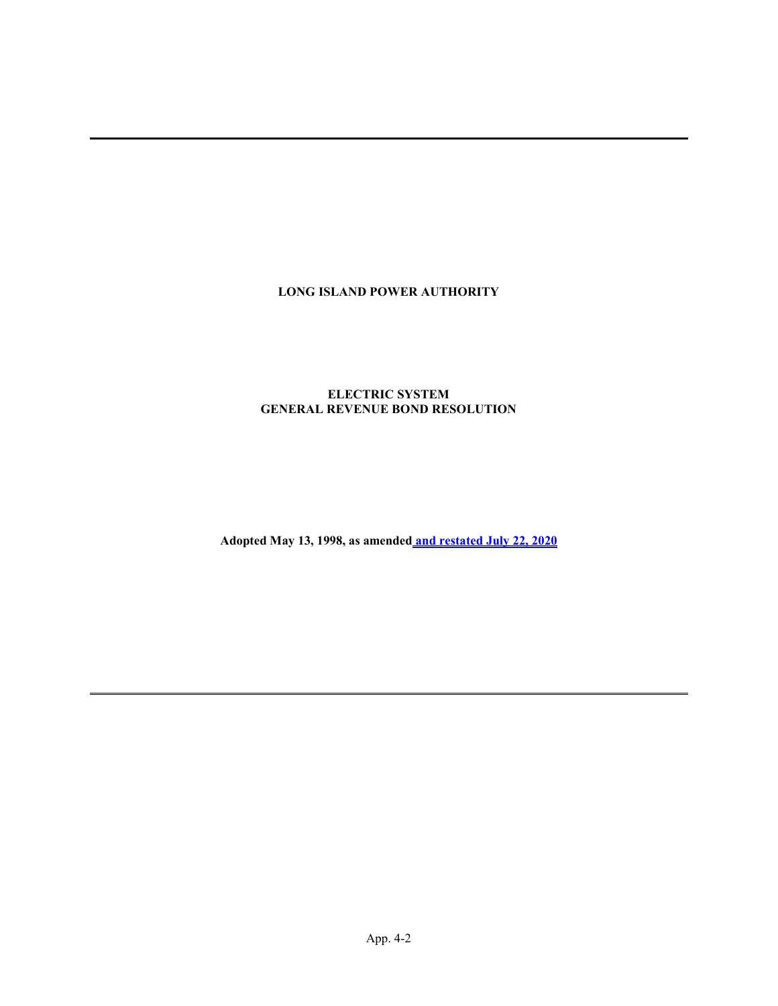## LONG ISLAND POWER AUTHORITY

## ELECTRIC SYSTEM GENERAL REVENUE BOND RESOLUTION

Adopted May 13, 1998, as amended and restated July 22, 2020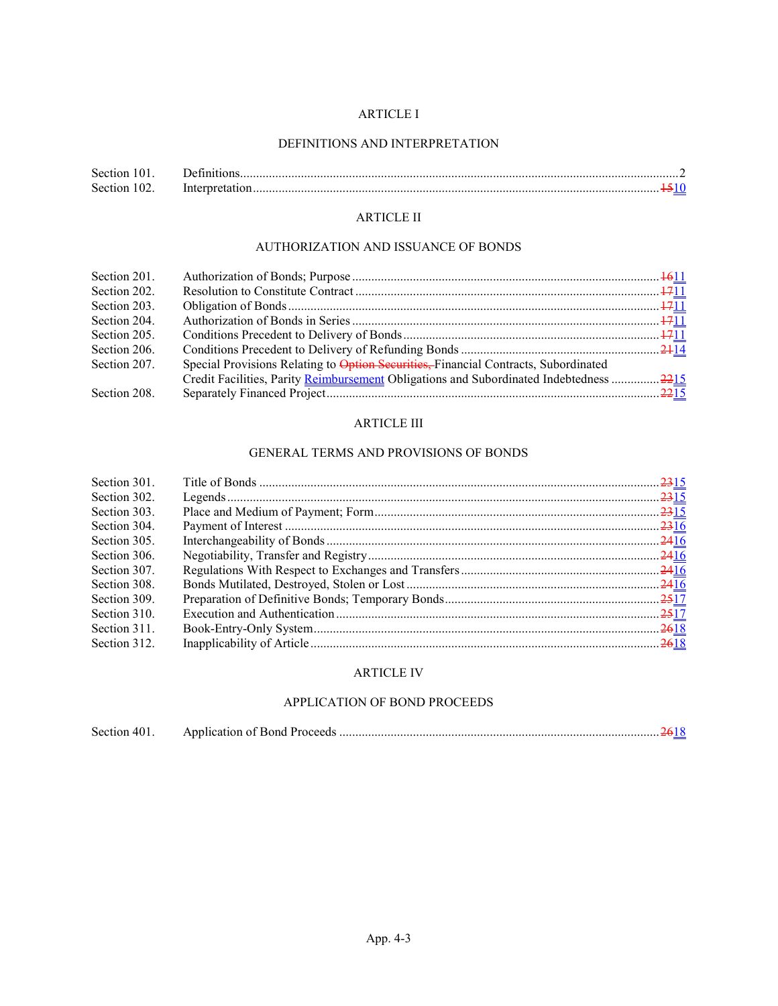## ARTICLE I

## DEFINITIONS AND INTERPRETATION

| Section 101. |                 |  |
|--------------|-----------------|--|
| Section 102. | Interpretation. |  |

# ARTICLE II

## AUTHORIZATION AND ISSUANCE OF BONDS

| Section 201. |                                                                                        |  |
|--------------|----------------------------------------------------------------------------------------|--|
| Section 202. |                                                                                        |  |
| Section 203. |                                                                                        |  |
| Section 204. |                                                                                        |  |
| Section 205. |                                                                                        |  |
| Section 206. |                                                                                        |  |
| Section 207. | Special Provisions Relating to Option Securities, Financial Contracts, Subordinated    |  |
|              | Credit Facilities, Parity Reimbursement Obligations and Subordinated Indebtedness 2215 |  |
| Section 208. |                                                                                        |  |

## ARTICLE III

## GENERAL TERMS AND PROVISIONS OF BONDS

| Section 301. |  |
|--------------|--|
| Section 302. |  |
| Section 303. |  |
| Section 304. |  |
| Section 305. |  |
| Section 306. |  |
| Section 307. |  |
| Section 308. |  |
| Section 309. |  |
| Section 310. |  |
| Section 311. |  |
| Section 312. |  |
|              |  |

## ARTICLE IV

### APPLICATION OF BOND PROCEEDS

| Section 401. |  |  |  |
|--------------|--|--|--|
|--------------|--|--|--|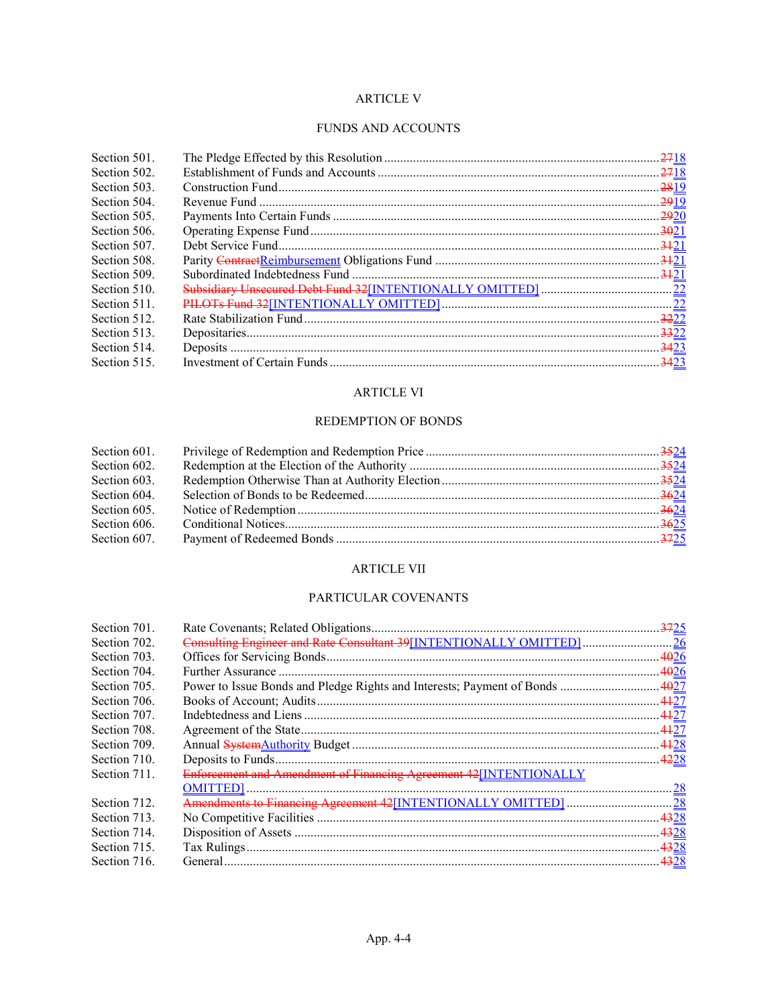## ARTICLE V

### FUNDS AND ACCOUNTS

| Section 501. |  |
|--------------|--|
| Section 502. |  |
| Section 503. |  |
| Section 504. |  |
| Section 505. |  |
| Section 506. |  |
| Section 507. |  |
| Section 508. |  |
| Section 509. |  |
| Section 510. |  |
| Section 511. |  |
| Section 512. |  |
| Section 513. |  |
| Section 514. |  |
| Section 515. |  |

## ARTICLE VI

## REDEMPTION OF BONDS

| Section 601. |  |
|--------------|--|
| Section 602. |  |
| Section 603. |  |
| Section 604. |  |
| Section 605. |  |
| Section 606. |  |
| Section 607. |  |

## ARTICLE VII

## PARTICULAR COVENANTS

| Section 701. |                                                                     |  |
|--------------|---------------------------------------------------------------------|--|
| Section 702. | Consulting Engineer and Rate Consultant 39[INTENTIONALLY OMITTED]26 |  |
| Section 703. |                                                                     |  |
| Section 704. |                                                                     |  |
| Section 705. |                                                                     |  |
| Section 706. |                                                                     |  |
| Section 707. |                                                                     |  |
| Section 708. |                                                                     |  |
| Section 709. |                                                                     |  |
| Section 710. |                                                                     |  |
| Section 711. | Enforcement and Amendment of Financing Agreement 42[INTENTIONALLY   |  |
|              |                                                                     |  |
| Section 712. |                                                                     |  |
| Section 713. |                                                                     |  |
| Section 714. |                                                                     |  |
| Section 715. |                                                                     |  |
| Section 716. |                                                                     |  |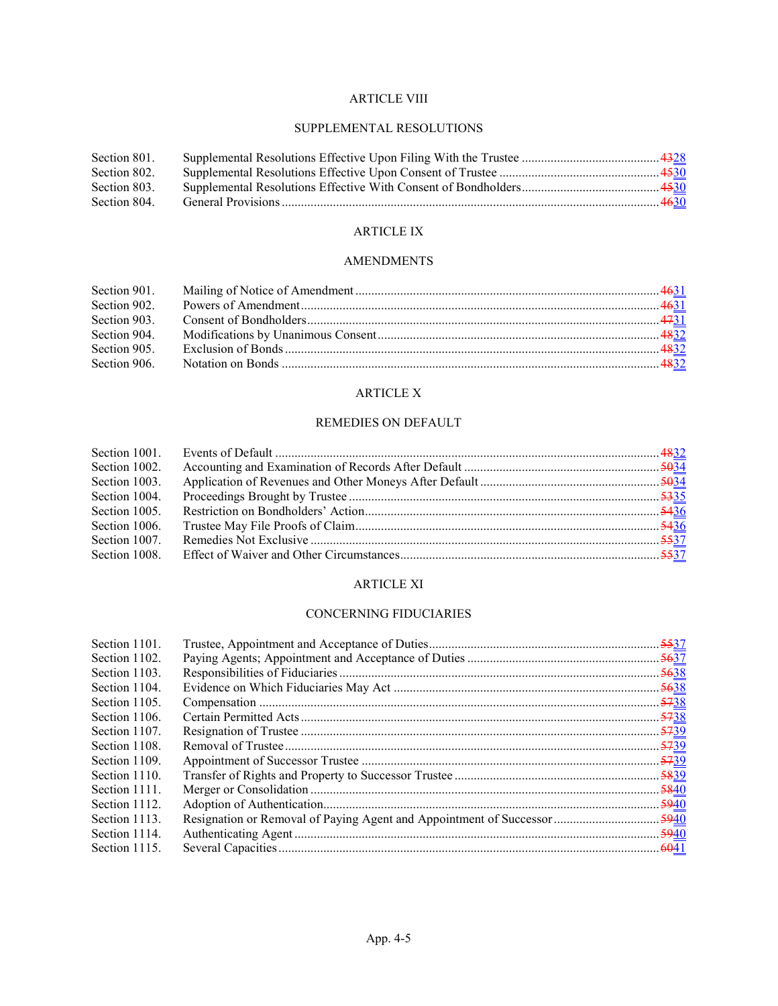## ARTICLE VIII

## SUPPLEMENTAL RESOLUTIONS

| Section 801. |  |
|--------------|--|
| Section 802. |  |
| Section 803. |  |
| Section 804. |  |

# ARTICLE IX

## AMENDMENTS

| Section 902. |  |
|--------------|--|
| Section 903. |  |
| Section 904. |  |
| Section 905. |  |
|              |  |

## ARTICLE X

## REMEDIES ON DEFAULT

| Section 1001. |  |
|---------------|--|
| Section 1002. |  |
| Section 1003. |  |
| Section 1004. |  |
| Section 1005. |  |
| Section 1006. |  |
| Section 1007. |  |
| Section 1008. |  |

## ARTICLE XI

## CONCERNING FIDUCIARIES

| Section 1101. |  |
|---------------|--|
| Section 1102. |  |
| Section 1103. |  |
| Section 1104. |  |
| Section 1105. |  |
| Section 1106. |  |
| Section 1107. |  |
| Section 1108. |  |
| Section 1109. |  |
| Section 1110. |  |
| Section 1111. |  |
| Section 1112. |  |
| Section 1113. |  |
| Section 1114. |  |
| Section 1115. |  |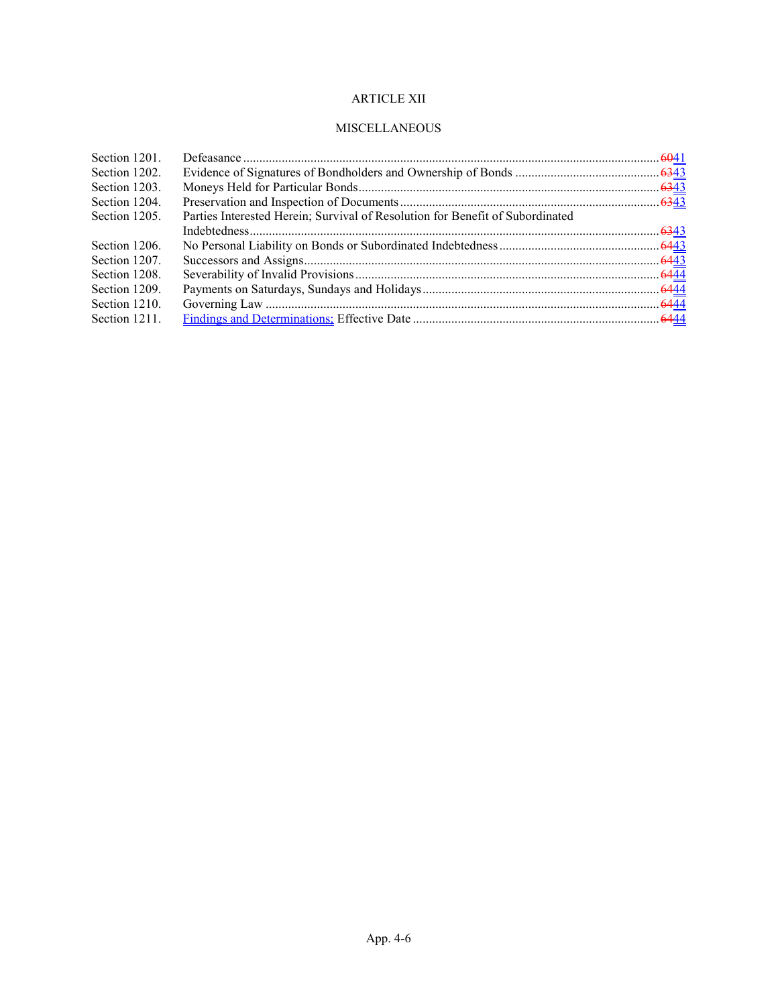# ARTICLE XII

## MISCELLANEOUS

| Section 1201. |                                                                               |  |
|---------------|-------------------------------------------------------------------------------|--|
| Section 1202. |                                                                               |  |
| Section 1203. |                                                                               |  |
| Section 1204. |                                                                               |  |
| Section 1205. | Parties Interested Herein; Survival of Resolution for Benefit of Subordinated |  |
|               |                                                                               |  |
| Section 1206. |                                                                               |  |
| Section 1207. |                                                                               |  |
| Section 1208. |                                                                               |  |
| Section 1209. |                                                                               |  |
| Section 1210. |                                                                               |  |
| Section 1211. |                                                                               |  |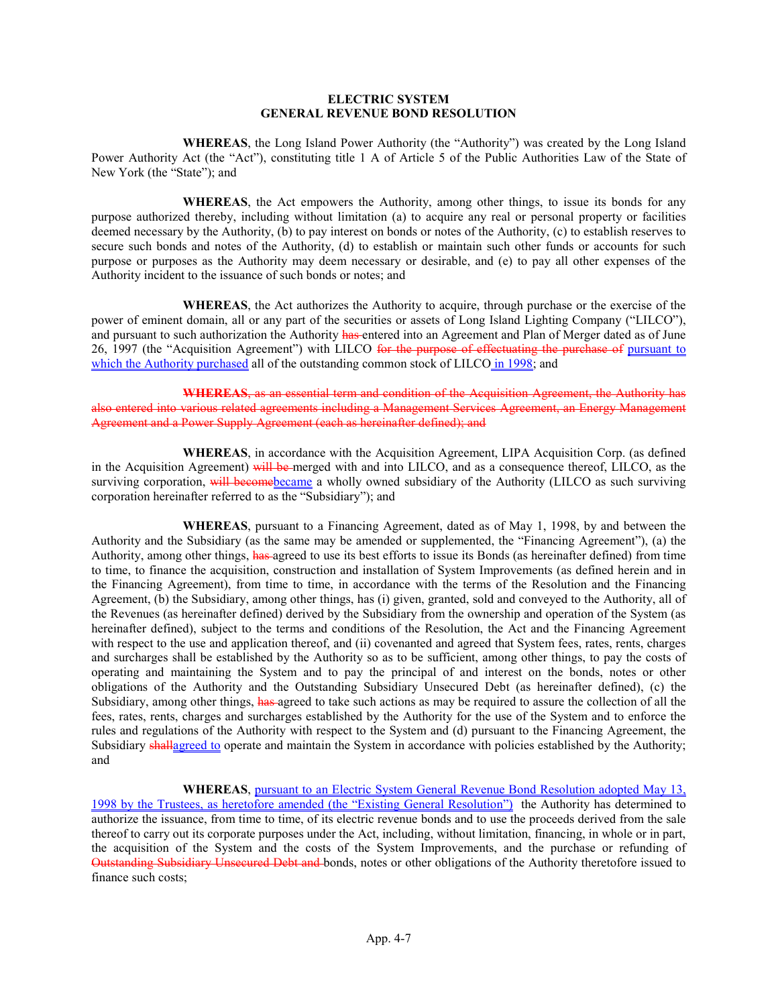### ELECTRIC SYSTEM GENERAL REVENUE BOND RESOLUTION

WHEREAS, the Long Island Power Authority (the "Authority") was created by the Long Island Power Authority Act (the "Act"), constituting title 1 A of Article 5 of the Public Authorities Law of the State of New York (the "State"); and

WHEREAS, the Act empowers the Authority, among other things, to issue its bonds for any purpose authorized thereby, including without limitation (a) to acquire any real or personal property or facilities deemed necessary by the Authority, (b) to pay interest on bonds or notes of the Authority, (c) to establish reserves to secure such bonds and notes of the Authority, (d) to establish or maintain such other funds or accounts for such purpose or purposes as the Authority may deem necessary or desirable, and (e) to pay all other expenses of the Authority incident to the issuance of such bonds or notes; and

WHEREAS, the Act authorizes the Authority to acquire, through purchase or the exercise of the power of eminent domain, all or any part of the securities or assets of Long Island Lighting Company ("LILCO"), and pursuant to such authorization the Authority has entered into an Agreement and Plan of Merger dated as of June 26, 1997 (the "Acquisition Agreement") with LILCO for the purpose of effectuating the purchase of pursuant to which the Authority purchased all of the outstanding common stock of LILCO in 1998; and

WHEREAS, as an essential term and condition of the Acquisition Agreement, the Authority has also entered into various related agreements including a Management Services Agreement, an Energy Management Agreement and a Power Supply Agreement (each as hereinafter defined); and

WHEREAS, in accordance with the Acquisition Agreement, LIPA Acquisition Corp. (as defined in the Acquisition Agreement) will be merged with and into LILCO, and as a consequence thereof, LILCO, as the surviving corporation, will become became a wholly owned subsidiary of the Authority (LILCO as such surviving corporation hereinafter referred to as the "Subsidiary"); and

WHEREAS, pursuant to a Financing Agreement, dated as of May 1, 1998, by and between the Authority and the Subsidiary (as the same may be amended or supplemented, the "Financing Agreement"), (a) the Authority, among other things, has agreed to use its best efforts to issue its Bonds (as hereinafter defined) from time to time, to finance the acquisition, construction and installation of System Improvements (as defined herein and in the Financing Agreement), from time to time, in accordance with the terms of the Resolution and the Financing Agreement, (b) the Subsidiary, among other things, has (i) given, granted, sold and conveyed to the Authority, all of the Revenues (as hereinafter defined) derived by the Subsidiary from the ownership and operation of the System (as hereinafter defined), subject to the terms and conditions of the Resolution, the Act and the Financing Agreement with respect to the use and application thereof, and (ii) covenanted and agreed that System fees, rates, rents, charges and surcharges shall be established by the Authority so as to be sufficient, among other things, to pay the costs of operating and maintaining the System and to pay the principal of and interest on the bonds, notes or other obligations of the Authority and the Outstanding Subsidiary Unsecured Debt (as hereinafter defined), (c) the Subsidiary, among other things, has agreed to take such actions as may be required to assure the collection of all the fees, rates, rents, charges and surcharges established by the Authority for the use of the System and to enforce the rules and regulations of the Authority with respect to the System and (d) pursuant to the Financing Agreement, the Subsidiary shallagreed to operate and maintain the System in accordance with policies established by the Authority; and

WHEREAS, pursuant to an Electric System General Revenue Bond Resolution adopted May 13, 1998 by the Trustees, as heretofore amended (the "Existing General Resolution") the Authority has determined to authorize the issuance, from time to time, of its electric revenue bonds and to use the proceeds derived from the sale thereof to carry out its corporate purposes under the Act, including, without limitation, financing, in whole or in part, the acquisition of the System and the costs of the System Improvements, and the purchase or refunding of Outstanding Subsidiary Unsecured Debt and bonds, notes or other obligations of the Authority theretofore issued to finance such costs;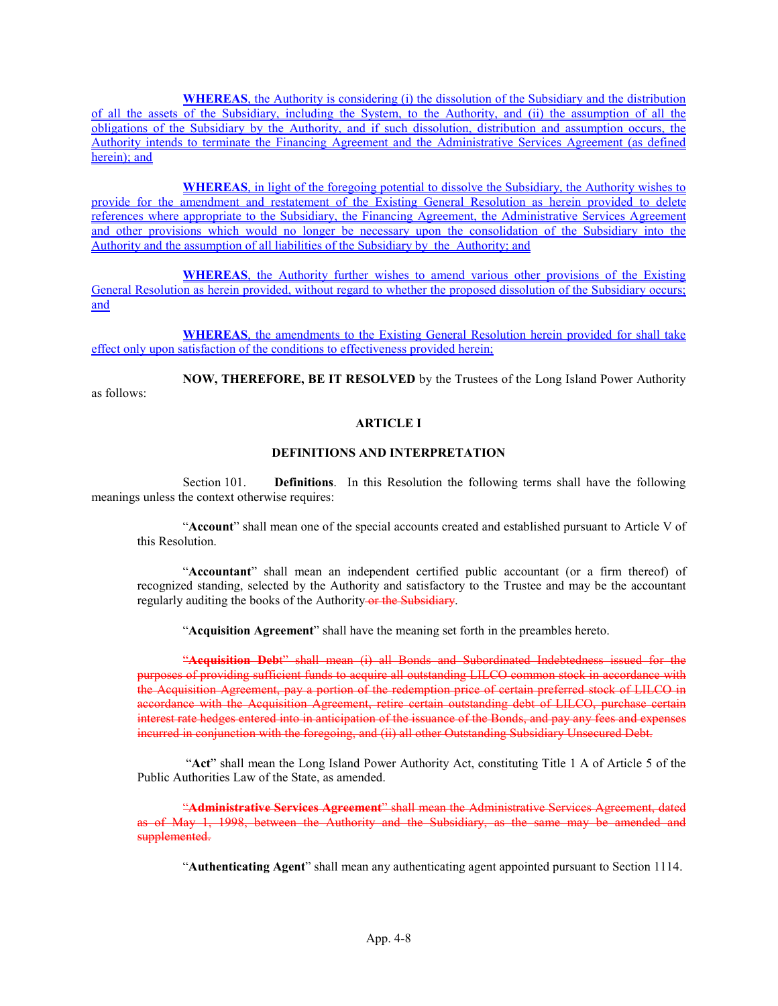WHEREAS, the Authority is considering (i) the dissolution of the Subsidiary and the distribution of all the assets of the Subsidiary, including the System, to the Authority, and (ii) the assumption of all the obligations of the Subsidiary by the Authority, and if such dissolution, distribution and assumption occurs, the Authority intends to terminate the Financing Agreement and the Administrative Services Agreement (as defined herein); and

WHEREAS, in light of the foregoing potential to dissolve the Subsidiary, the Authority wishes to provide for the amendment and restatement of the Existing General Resolution as herein provided to delete references where appropriate to the Subsidiary, the Financing Agreement, the Administrative Services Agreement and other provisions which would no longer be necessary upon the consolidation of the Subsidiary into the Authority and the assumption of all liabilities of the Subsidiary by the Authority; and

WHEREAS, the Authority further wishes to amend various other provisions of the Existing General Resolution as herein provided, without regard to whether the proposed dissolution of the Subsidiary occurs; and

WHEREAS, the amendments to the Existing General Resolution herein provided for shall take effect only upon satisfaction of the conditions to effectiveness provided herein;

NOW, THEREFORE, BE IT RESOLVED by the Trustees of the Long Island Power Authority as follows:

### ARTICLE I

#### DEFINITIONS AND INTERPRETATION

Section 101. Definitions. In this Resolution the following terms shall have the following meanings unless the context otherwise requires:

"Account" shall mean one of the special accounts created and established pursuant to Article V of this Resolution.

"Accountant" shall mean an independent certified public accountant (or a firm thereof) of recognized standing, selected by the Authority and satisfactory to the Trustee and may be the accountant regularly auditing the books of the Authority or the Subsidiary.

"Acquisition Agreement" shall have the meaning set forth in the preambles hereto.

"Acquisition Debt" shall mean (i) all Bonds and Subordinated Indebtedness issued for the purposes of providing sufficient funds to acquire all outstanding LILCO common stock in accordance with the Acquisition Agreement, pay a portion of the redemption price of certain preferred stock of LILCO in accordance with the Acquisition Agreement, retire certain outstanding debt of LILCO, purchase certain interest rate hedges entered into in anticipation of the issuance of the Bonds, and pay any fees and expenses incurred in conjunction with the foregoing, and (ii) all other Outstanding Subsidiary Unsecured Debt.

"Act" shall mean the Long Island Power Authority Act, constituting Title 1 A of Article 5 of the Public Authorities Law of the State, as amended.

"Administrative Services Agreement" shall mean the Administrative Services Agreement, dated as of May 1, 1998, between the Authority and the Subsidiary, as the same may be amended and supplemented.

"Authenticating Agent" shall mean any authenticating agent appointed pursuant to Section 1114.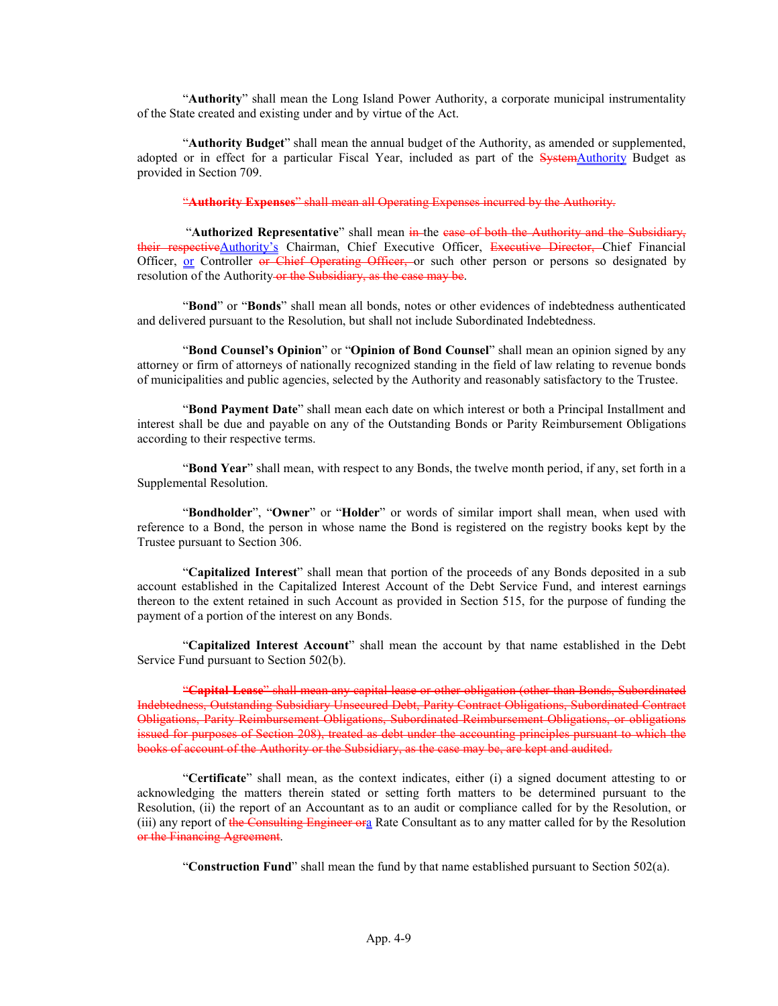"Authority" shall mean the Long Island Power Authority, a corporate municipal instrumentality of the State created and existing under and by virtue of the Act.

"Authority Budget" shall mean the annual budget of the Authority, as amended or supplemented, adopted or in effect for a particular Fiscal Year, included as part of the SystemAuthority Budget as provided in Section 709.

"Authority Expenses" shall mean all Operating Expenses incurred by the Authority.

"Authorized Representative" shall mean in the case of both the Authority and the Subsidiary, their respective Authority's Chairman, Chief Executive Officer, Executive Director, Chief Financial Officer, or Controller or Chief Operating Officer, or such other person or persons so designated by resolution of the Authority-or the Subsidiary, as the case may be.

"Bond" or "Bonds" shall mean all bonds, notes or other evidences of indebtedness authenticated and delivered pursuant to the Resolution, but shall not include Subordinated Indebtedness.

"Bond Counsel's Opinion" or "Opinion of Bond Counsel" shall mean an opinion signed by any attorney or firm of attorneys of nationally recognized standing in the field of law relating to revenue bonds of municipalities and public agencies, selected by the Authority and reasonably satisfactory to the Trustee.

"Bond Payment Date" shall mean each date on which interest or both a Principal Installment and interest shall be due and payable on any of the Outstanding Bonds or Parity Reimbursement Obligations according to their respective terms.

"Bond Year" shall mean, with respect to any Bonds, the twelve month period, if any, set forth in a Supplemental Resolution.

"Bondholder", "Owner" or "Holder" or words of similar import shall mean, when used with reference to a Bond, the person in whose name the Bond is registered on the registry books kept by the Trustee pursuant to Section 306.

"Capitalized Interest" shall mean that portion of the proceeds of any Bonds deposited in a sub account established in the Capitalized Interest Account of the Debt Service Fund, and interest earnings thereon to the extent retained in such Account as provided in Section 515, for the purpose of funding the payment of a portion of the interest on any Bonds.

"Capitalized Interest Account" shall mean the account by that name established in the Debt Service Fund pursuant to Section 502(b).

"Capital Lease" shall mean any capital lease or other obligation (other than Bonds, Subordinated Indebtedness, Outstanding Subsidiary Unsecured Debt, Parity Contract Obligations, Subordinated Contract Obligations, Parity Reimbursement Obligations, Subordinated Reimbursement Obligations, or obligations issued for purposes of Section 208), treated as debt under the accounting principles pursuant to which the books of account of the Authority or the Subsidiary, as the case may be, are kept and audited.

"Certificate" shall mean, as the context indicates, either (i) a signed document attesting to or acknowledging the matters therein stated or setting forth matters to be determined pursuant to the Resolution, (ii) the report of an Accountant as to an audit or compliance called for by the Resolution, or (iii) any report of the Consulting Engineer ora Rate Consultant as to any matter called for by the Resolution or the Financing Agreement.

"Construction Fund" shall mean the fund by that name established pursuant to Section  $502(a)$ .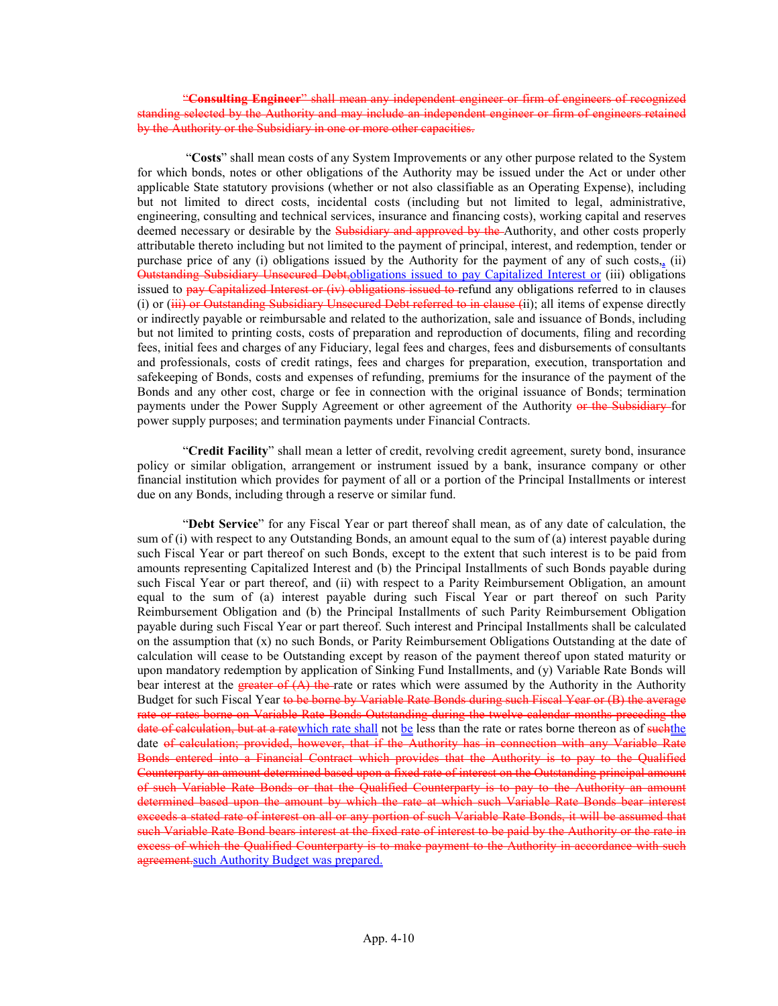"Consulting Engineer" shall mean any independent engineer or firm of engineers of recognized standing selected by the Authority and may include an independent engineer or firm of engineers retained by the Authority or the Subsidiary in one or more other capacities.

"Costs" shall mean costs of any System Improvements or any other purpose related to the System for which bonds, notes or other obligations of the Authority may be issued under the Act or under other applicable State statutory provisions (whether or not also classifiable as an Operating Expense), including but not limited to direct costs, incidental costs (including but not limited to legal, administrative, engineering, consulting and technical services, insurance and financing costs), working capital and reserves deemed necessary or desirable by the Subsidiary and approved by the Authority, and other costs properly attributable thereto including but not limited to the payment of principal, interest, and redemption, tender or purchase price of any (i) obligations issued by the Authority for the payment of any of such costs,, (ii) Outstanding Subsidiary Unsecured Debt,obligations issued to pay Capitalized Interest or (iii) obligations issued to pay Capitalized Interest or (iv) obligations issued to refund any obligations referred to in clauses (i) or (iii) or Outstanding Subsidiary Unsecured Debt referred to in clause (ii); all items of expense directly or indirectly payable or reimbursable and related to the authorization, sale and issuance of Bonds, including but not limited to printing costs, costs of preparation and reproduction of documents, filing and recording fees, initial fees and charges of any Fiduciary, legal fees and charges, fees and disbursements of consultants and professionals, costs of credit ratings, fees and charges for preparation, execution, transportation and safekeeping of Bonds, costs and expenses of refunding, premiums for the insurance of the payment of the Bonds and any other cost, charge or fee in connection with the original issuance of Bonds; termination payments under the Power Supply Agreement or other agreement of the Authority or the Subsidiary-for power supply purposes; and termination payments under Financial Contracts.

"Credit Facility" shall mean a letter of credit, revolving credit agreement, surety bond, insurance policy or similar obligation, arrangement or instrument issued by a bank, insurance company or other financial institution which provides for payment of all or a portion of the Principal Installments or interest due on any Bonds, including through a reserve or similar fund.

"Debt Service" for any Fiscal Year or part thereof shall mean, as of any date of calculation, the sum of (i) with respect to any Outstanding Bonds, an amount equal to the sum of (a) interest payable during such Fiscal Year or part thereof on such Bonds, except to the extent that such interest is to be paid from amounts representing Capitalized Interest and (b) the Principal Installments of such Bonds payable during such Fiscal Year or part thereof, and (ii) with respect to a Parity Reimbursement Obligation, an amount equal to the sum of (a) interest payable during such Fiscal Year or part thereof on such Parity Reimbursement Obligation and (b) the Principal Installments of such Parity Reimbursement Obligation payable during such Fiscal Year or part thereof. Such interest and Principal Installments shall be calculated on the assumption that (x) no such Bonds, or Parity Reimbursement Obligations Outstanding at the date of calculation will cease to be Outstanding except by reason of the payment thereof upon stated maturity or upon mandatory redemption by application of Sinking Fund Installments, and (y) Variable Rate Bonds will bear interest at the **greater of**  $(A)$  **the** rate or rates which were assumed by the Authority in the Authority Budget for such Fiscal Year to be borne by Variable Rate Bonds during such Fiscal Year or (B) the average rate or rates borne on Variable Rate Bonds Outstanding during the twelve calendar months preceding the date of calculation, but at a ratewhich rate shall not be less than the rate or rates borne thereon as of such the date of calculation; provided, however, that if the Authority has in connection with any Variable Rate Bonds entered into a Financial Contract which provides that the Authority is to pay to the Qualified Counterparty an amount determined based upon a fixed rate of interest on the Outstanding principal amount of such Variable Rate Bonds or that the Qualified Counterparty is to pay to the Authority an amount determined based upon the amount by which the rate at which such Variable Rate Bonds bear interest exceeds a stated rate of interest on all or any portion of such Variable Rate Bonds, it will be assumed that such Variable Rate Bond bears interest at the fixed rate of interest to be paid by the Authority or the rate in excess of which the Qualified Counterparty is to make payment to the Authority in accordance with such agreement. such Authority Budget was prepared.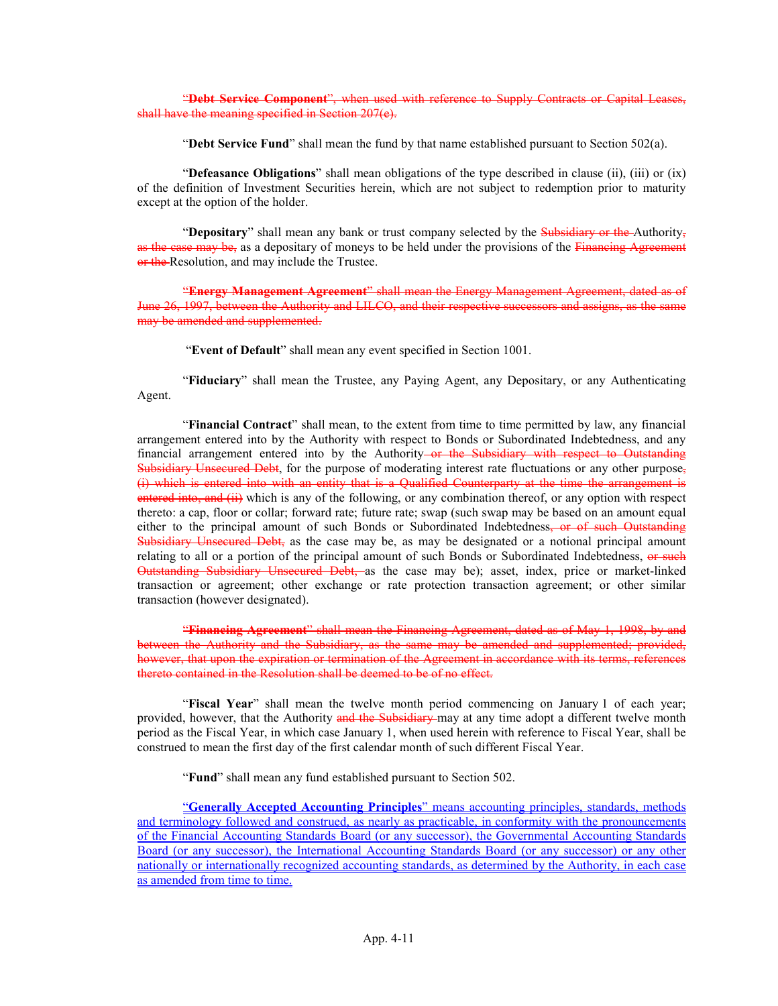"Debt Service Component", when used with reference to Supply Contracts or Capital Leases, shall have the meaning specified in Section 207(e).

"Debt Service Fund" shall mean the fund by that name established pursuant to Section  $502(a)$ .

"Defeasance Obligations" shall mean obligations of the type described in clause (ii), (iii) or (ix) of the definition of Investment Securities herein, which are not subject to redemption prior to maturity except at the option of the holder.

"Depositary" shall mean any bank or trust company selected by the Subsidiary or the Authority. as the case may be, as a depositary of moneys to be held under the provisions of the Financing Agreement or the Resolution, and may include the Trustee.

"Energy Management Agreement" shall mean the Energy Management Agreement, dated as of June 26, 1997, between the Authority and LILCO, and their respective successors and assigns, as the same may be amended and supplemented.

"Event of Default" shall mean any event specified in Section 1001.

"Fiduciary" shall mean the Trustee, any Paying Agent, any Depositary, or any Authenticating Agent.

"Financial Contract" shall mean, to the extent from time to time permitted by law, any financial arrangement entered into by the Authority with respect to Bonds or Subordinated Indebtedness, and any financial arrangement entered into by the Authority or the Subsidiary with respect to Outstanding Subsidiary Unsecured Debt, for the purpose of moderating interest rate fluctuations or any other purpose, (i) which is entered into with an entity that is a Qualified Counterparty at the time the arrangement is entered into, and (ii) which is any of the following, or any combination thereof, or any option with respect thereto: a cap, floor or collar; forward rate; future rate; swap (such swap may be based on an amount equal either to the principal amount of such Bonds or Subordinated Indebtedness, or of such Outstanding Subsidiary Unsecured Debt, as the case may be, as may be designated or a notional principal amount relating to all or a portion of the principal amount of such Bonds or Subordinated Indebtedness, or such Outstanding Subsidiary Unsecured Debt, as the case may be); asset, index, price or market-linked transaction or agreement; other exchange or rate protection transaction agreement; or other similar transaction (however designated).

"Financing Agreement" shall mean the Financing Agreement, dated as of May 1, 1998, by and between the Authority and the Subsidiary, as the same may be amended and supplemented; provided, however, that upon the expiration or termination of the Agreement in accordance with its terms, references thereto contained in the Resolution shall be deemed to be of no effect.

"Fiscal Year" shall mean the twelve month period commencing on January 1 of each year; provided, however, that the Authority and the Subsidiary may at any time adopt a different twelve month period as the Fiscal Year, in which case January 1, when used herein with reference to Fiscal Year, shall be construed to mean the first day of the first calendar month of such different Fiscal Year.

"Fund" shall mean any fund established pursuant to Section 502.

"Generally Accepted Accounting Principles" means accounting principles, standards, methods and terminology followed and construed, as nearly as practicable, in conformity with the pronouncements of the Financial Accounting Standards Board (or any successor), the Governmental Accounting Standards Board (or any successor), the International Accounting Standards Board (or any successor) or any other nationally or internationally recognized accounting standards, as determined by the Authority, in each case as amended from time to time.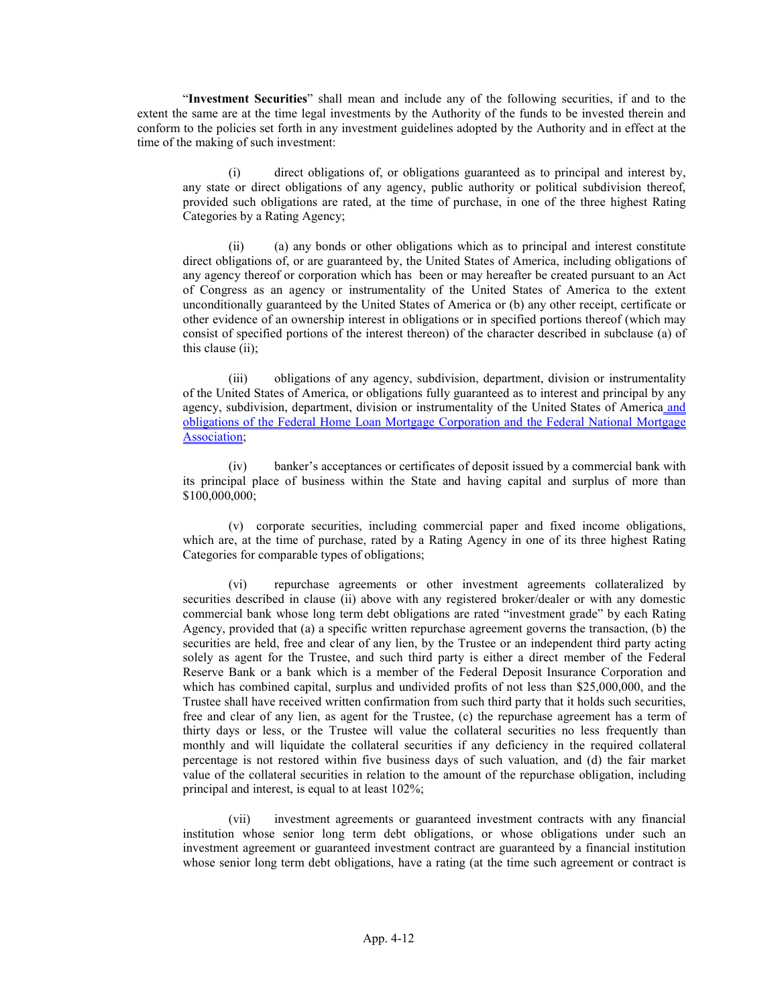"Investment Securities" shall mean and include any of the following securities, if and to the extent the same are at the time legal investments by the Authority of the funds to be invested therein and conform to the policies set forth in any investment guidelines adopted by the Authority and in effect at the time of the making of such investment:

(i) direct obligations of, or obligations guaranteed as to principal and interest by, any state or direct obligations of any agency, public authority or political subdivision thereof, provided such obligations are rated, at the time of purchase, in one of the three highest Rating Categories by a Rating Agency;

(ii) (a) any bonds or other obligations which as to principal and interest constitute direct obligations of, or are guaranteed by, the United States of America, including obligations of any agency thereof or corporation which has been or may hereafter be created pursuant to an Act of Congress as an agency or instrumentality of the United States of America to the extent unconditionally guaranteed by the United States of America or (b) any other receipt, certificate or other evidence of an ownership interest in obligations or in specified portions thereof (which may consist of specified portions of the interest thereon) of the character described in subclause (a) of this clause (ii);

(iii) obligations of any agency, subdivision, department, division or instrumentality of the United States of America, or obligations fully guaranteed as to interest and principal by any agency, subdivision, department, division or instrumentality of the United States of America and obligations of the Federal Home Loan Mortgage Corporation and the Federal National Mortgage Association;

(iv) banker's acceptances or certificates of deposit issued by a commercial bank with its principal place of business within the State and having capital and surplus of more than \$100,000,000;

(v) corporate securities, including commercial paper and fixed income obligations, which are, at the time of purchase, rated by a Rating Agency in one of its three highest Rating Categories for comparable types of obligations;

(vi) repurchase agreements or other investment agreements collateralized by securities described in clause (ii) above with any registered broker/dealer or with any domestic commercial bank whose long term debt obligations are rated "investment grade" by each Rating Agency, provided that (a) a specific written repurchase agreement governs the transaction, (b) the securities are held, free and clear of any lien, by the Trustee or an independent third party acting solely as agent for the Trustee, and such third party is either a direct member of the Federal Reserve Bank or a bank which is a member of the Federal Deposit Insurance Corporation and which has combined capital, surplus and undivided profits of not less than \$25,000,000, and the Trustee shall have received written confirmation from such third party that it holds such securities, free and clear of any lien, as agent for the Trustee, (c) the repurchase agreement has a term of thirty days or less, or the Trustee will value the collateral securities no less frequently than monthly and will liquidate the collateral securities if any deficiency in the required collateral percentage is not restored within five business days of such valuation, and (d) the fair market value of the collateral securities in relation to the amount of the repurchase obligation, including principal and interest, is equal to at least 102%;

(vii) investment agreements or guaranteed investment contracts with any financial institution whose senior long term debt obligations, or whose obligations under such an investment agreement or guaranteed investment contract are guaranteed by a financial institution whose senior long term debt obligations, have a rating (at the time such agreement or contract is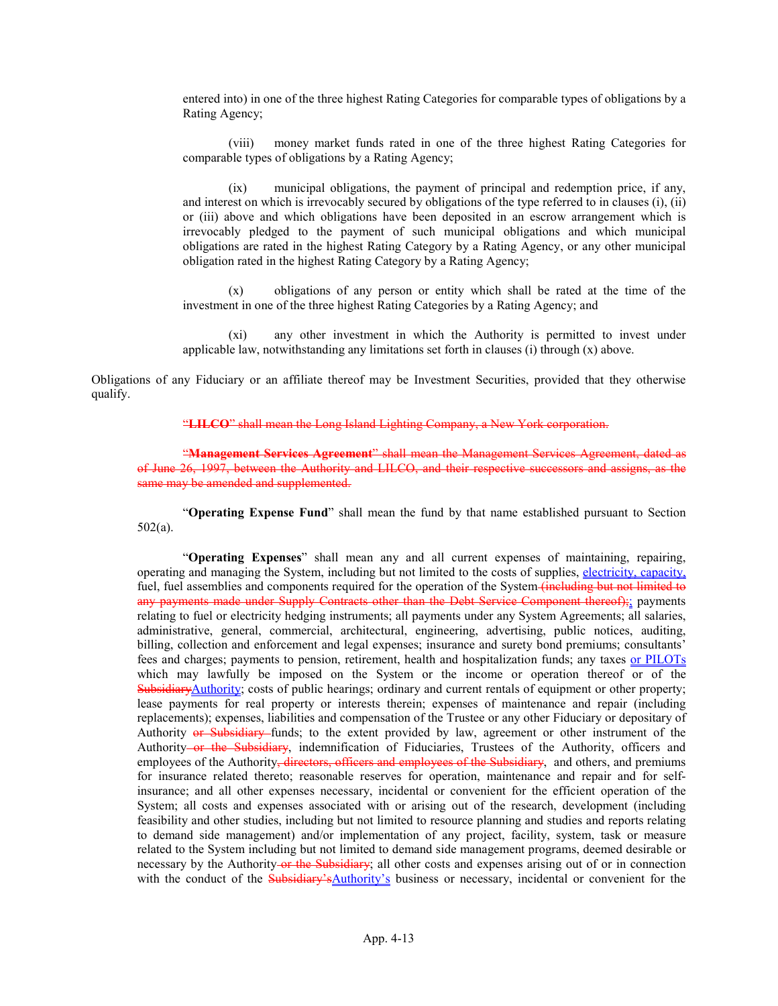entered into) in one of the three highest Rating Categories for comparable types of obligations by a Rating Agency;

(viii) money market funds rated in one of the three highest Rating Categories for comparable types of obligations by a Rating Agency;

(ix) municipal obligations, the payment of principal and redemption price, if any, and interest on which is irrevocably secured by obligations of the type referred to in clauses (i), (ii) or (iii) above and which obligations have been deposited in an escrow arrangement which is irrevocably pledged to the payment of such municipal obligations and which municipal obligations are rated in the highest Rating Category by a Rating Agency, or any other municipal obligation rated in the highest Rating Category by a Rating Agency;

(x) obligations of any person or entity which shall be rated at the time of the investment in one of the three highest Rating Categories by a Rating Agency; and

(xi) any other investment in which the Authority is permitted to invest under applicable law, notwithstanding any limitations set forth in clauses (i) through (x) above.

Obligations of any Fiduciary or an affiliate thereof may be Investment Securities, provided that they otherwise qualify.

"LILCO" shall mean the Long Island Lighting Company, a New York corporation.

"Management Services Agreement" shall mean the Management Services Agreement, dated as of June 26, 1997, between the Authority and LILCO, and their respective successors and assigns, as the same may be amended and supplemented.

"Operating Expense Fund" shall mean the fund by that name established pursuant to Section 502(a).

"Operating Expenses" shall mean any and all current expenses of maintaining, repairing, operating and managing the System, including but not limited to the costs of supplies, electricity, capacity, fuel, fuel assemblies and components required for the operation of the System (including but not limited to any payments made under Supply Contracts other than the Debt Service Component thereof);; payments relating to fuel or electricity hedging instruments; all payments under any System Agreements; all salaries, administrative, general, commercial, architectural, engineering, advertising, public notices, auditing, billing, collection and enforcement and legal expenses; insurance and surety bond premiums; consultants' fees and charges; payments to pension, retirement, health and hospitalization funds; any taxes or PILOTs which may lawfully be imposed on the System or the income or operation thereof or of the SubsidiaryAuthority; costs of public hearings; ordinary and current rentals of equipment or other property; lease payments for real property or interests therein; expenses of maintenance and repair (including replacements); expenses, liabilities and compensation of the Trustee or any other Fiduciary or depositary of Authority or Subsidiary funds; to the extent provided by law, agreement or other instrument of the Authority or the Subsidiary, indemnification of Fiduciaries, Trustees of the Authority, officers and employees of the Authority<del>, directors, officers and employees of the Subsidiary</del>, and others, and premiums for insurance related thereto; reasonable reserves for operation, maintenance and repair and for selfinsurance; and all other expenses necessary, incidental or convenient for the efficient operation of the System; all costs and expenses associated with or arising out of the research, development (including feasibility and other studies, including but not limited to resource planning and studies and reports relating to demand side management) and/or implementation of any project, facility, system, task or measure related to the System including but not limited to demand side management programs, deemed desirable or necessary by the Authority or the Subsidiary; all other costs and expenses arising out of or in connection with the conduct of the **Subsidiary'sAuthority's** business or necessary, incidental or convenient for the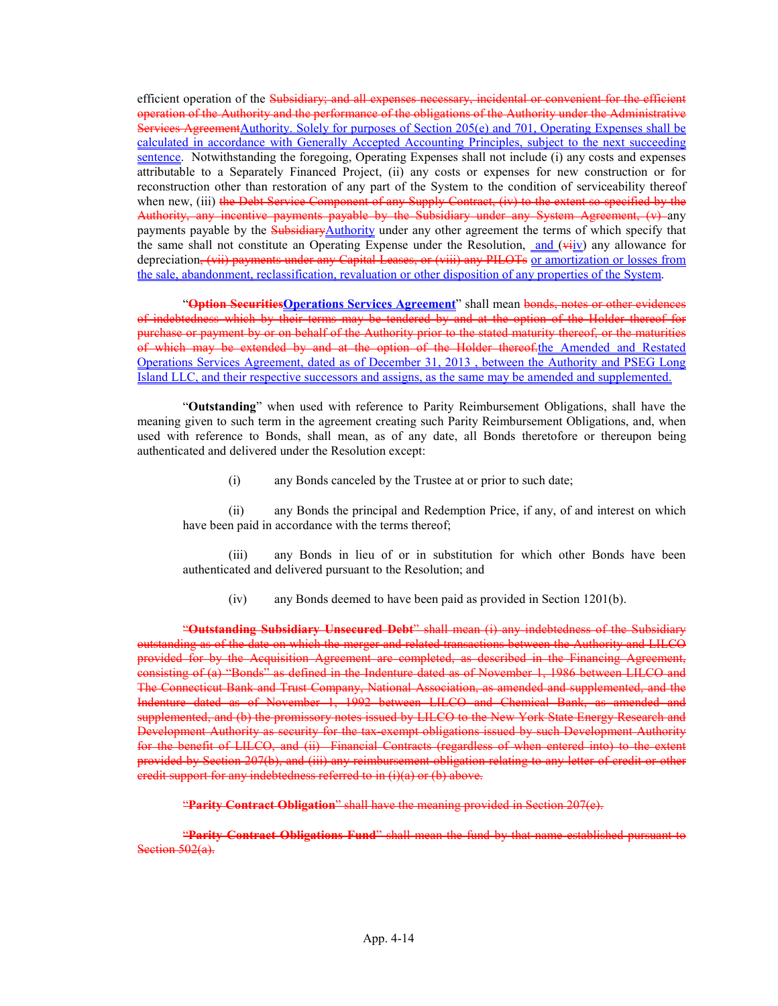efficient operation of the Subsidiary; and all expenses necessary, incidental or convenient for the efficient operation of the Authority and the performance of the obligations of the Authority under the Administrative Services AgreementAuthority. Solely for purposes of Section 205(e) and 701, Operating Expenses shall be calculated in accordance with Generally Accepted Accounting Principles, subject to the next succeeding sentence. Notwithstanding the foregoing, Operating Expenses shall not include (i) any costs and expenses attributable to a Separately Financed Project, (ii) any costs or expenses for new construction or for reconstruction other than restoration of any part of the System to the condition of serviceability thereof when new, (iii) the Debt Service Component of any Supply Contract, (iv) to the extent so specified by the Authority, any incentive payments payable by the Subsidiary under any System Agreement, (v) any payments payable by the **SubsidiaryAuthority** under any other agreement the terms of which specify that the same shall not constitute an Operating Expense under the Resolution, and  $(\overrightarrow{v_i} \cdot \overrightarrow{v_i})$  any allowance for depreciation, (vii) payments under any Capital Leases, or (viii) any PILOTs or amortization or losses from the sale, abandonment, reclassification, revaluation or other disposition of any properties of the System.

"Option SecuritiesOperations Services Agreement" shall mean bonds, notes or other evidences of indebtedness which by their terms may be tendered by and at the option of the Holder thereof for purchase or payment by or on behalf of the Authority prior to the stated maturity thereof, or the maturities of which may be extended by and at the option of the Holder thereof, the Amended and Restated Operations Services Agreement, dated as of December 31, 2013 , between the Authority and PSEG Long Island LLC, and their respective successors and assigns, as the same may be amended and supplemented.

"Outstanding" when used with reference to Parity Reimbursement Obligations, shall have the meaning given to such term in the agreement creating such Parity Reimbursement Obligations, and, when used with reference to Bonds, shall mean, as of any date, all Bonds theretofore or thereupon being authenticated and delivered under the Resolution except:

(i) any Bonds canceled by the Trustee at or prior to such date;

(ii) any Bonds the principal and Redemption Price, if any, of and interest on which have been paid in accordance with the terms thereof;

(iii) any Bonds in lieu of or in substitution for which other Bonds have been authenticated and delivered pursuant to the Resolution; and

(iv) any Bonds deemed to have been paid as provided in Section 1201(b).

"Outstanding Subsidiary Unsecured Debt" shall mean (i) any indebtedness of the Subsidiary outstanding as of the date on which the merger and related transactions between the Authority and LILCO provided for by the Acquisition Agreement are completed, as described in the Financing Agreement, consisting of (a) "Bonds" as defined in the Indenture dated as of November 1, 1986 between LILCO and The Connecticut Bank and Trust Company, National Association, as amended and supplemented, and the Indenture dated as of November 1, 1992 between LILCO and Chemical Bank, as amended and supplemented, and (b) the promissory notes issued by LILCO to the New York State Energy Research and Development Authority as security for the tax-exempt obligations issued by such Development Authority for the benefit of LILCO, and (ii) Financial Contracts (regardless of when entered into) to the extent provided by Section 207(b), and (iii) any reimbursement obligation relating to any letter of credit or other credit support for any indebtedness referred to in (i)(a) or (b) above.

"Parity Contract Obligation" shall have the meaning provided in Section 207(e).

"Parity Contract Obligations Fund" shall mean the fund by that name established pursuant to Section 502(a).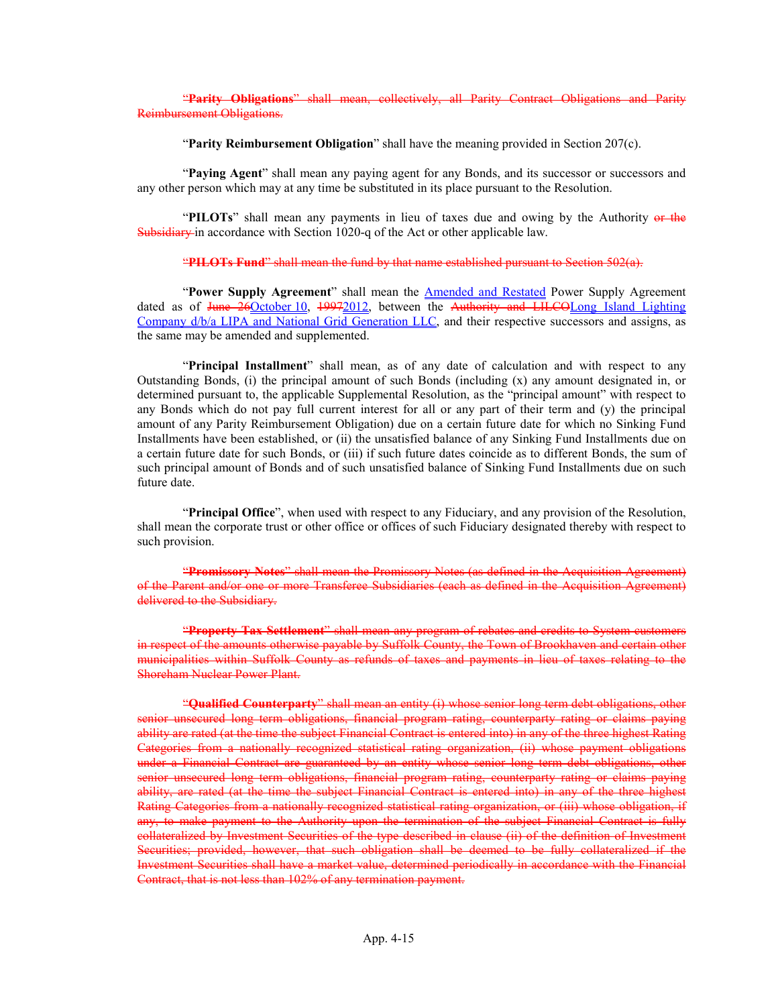"Parity Obligations" shall mean, collectively, all Parity Contract Obligations and Parity Reimbursement Obligations.

"Parity Reimbursement Obligation" shall have the meaning provided in Section 207(c).

"Paying Agent" shall mean any paying agent for any Bonds, and its successor or successors and any other person which may at any time be substituted in its place pursuant to the Resolution.

"PILOTs" shall mean any payments in lieu of taxes due and owing by the Authority or the Subsidiary in accordance with Section 1020-q of the Act or other applicable law.

#### "PILOTs Fund" shall mean the fund by that name established pursuant to Section  $502(a)$ .

"Power Supply Agreement" shall mean the **Amended and Restated** Power Supply Agreement dated as of June 26October 10, 19972012, between the Authority and LILCOLong Island Lighting Company d/b/a LIPA and National Grid Generation LLC, and their respective successors and assigns, as the same may be amended and supplemented.

"Principal Installment" shall mean, as of any date of calculation and with respect to any Outstanding Bonds, (i) the principal amount of such Bonds (including (x) any amount designated in, or determined pursuant to, the applicable Supplemental Resolution, as the "principal amount" with respect to any Bonds which do not pay full current interest for all or any part of their term and (y) the principal amount of any Parity Reimbursement Obligation) due on a certain future date for which no Sinking Fund Installments have been established, or (ii) the unsatisfied balance of any Sinking Fund Installments due on a certain future date for such Bonds, or (iii) if such future dates coincide as to different Bonds, the sum of such principal amount of Bonds and of such unsatisfied balance of Sinking Fund Installments due on such future date.

"Principal Office", when used with respect to any Fiduciary, and any provision of the Resolution, shall mean the corporate trust or other office or offices of such Fiduciary designated thereby with respect to such provision.

"Promissory Notes" shall mean the Promissory Notes (as defined in the Acquisition Agreement) of the Parent and/or one or more Transferee Subsidiaries (each as defined in the Acquisition Agreement) delivered to the Subsidiary.

"Property Tax Settlement" shall mean any program of rebates and credits to System customers in respect of the amounts otherwise payable by Suffolk County, the Town of Brookhaven and certain other municipalities within Suffolk County as refunds of taxes and payments in lieu of taxes relating to the Shoreham Nuclear Power Plant.

"Qualified Counterparty" shall mean an entity (i) whose senior long term debt obligations, other senior unsecured long term obligations, financial program rating, counterparty rating or claims paying ability are rated (at the time the subject Financial Contract is entered into) in any of the three highest Rating Categories from a nationally recognized statistical rating organization, (ii) whose payment obligations under a Financial Contract are guaranteed by an entity whose senior long term debt obligations, other senior unsecured long term obligations, financial program rating, counterparty rating or claims paying ability, are rated (at the time the subject Financial Contract is entered into) in any of the three highest Rating Categories from a nationally recognized statistical rating organization, or (iii) whose obligation, if any, to make payment to the Authority upon the termination of the subject Financial Contract is fully collateralized by Investment Securities of the type described in clause (ii) of the definition of Investment Securities; provided, however, that such obligation shall be deemed to be fully collateralized if the Investment Securities shall have a market value, determined periodically in accordance with the Financial Contract, that is not less than 102% of any termination payment.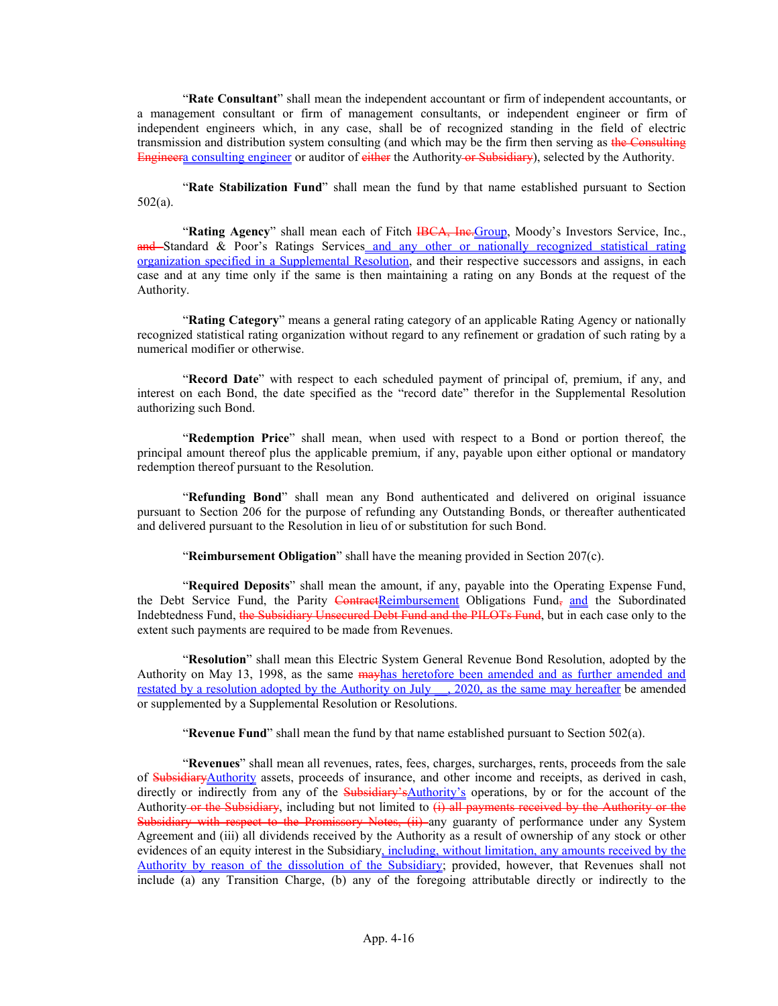"Rate Consultant" shall mean the independent accountant or firm of independent accountants, or a management consultant or firm of management consultants, or independent engineer or firm of independent engineers which, in any case, shall be of recognized standing in the field of electric transmission and distribution system consulting (and which may be the firm then serving as the Consulting Engineera consulting engineer or auditor of either the Authority or Subsidiary), selected by the Authority.

"Rate Stabilization Fund" shall mean the fund by that name established pursuant to Section 502(a).

"Rating Agency" shall mean each of Fitch HBCA, Ine.Group, Moody's Investors Service, Inc., and Standard & Poor's Ratings Services and any other or nationally recognized statistical rating organization specified in a Supplemental Resolution, and their respective successors and assigns, in each case and at any time only if the same is then maintaining a rating on any Bonds at the request of the Authority.

"Rating Category" means a general rating category of an applicable Rating Agency or nationally recognized statistical rating organization without regard to any refinement or gradation of such rating by a numerical modifier or otherwise.

"Record Date" with respect to each scheduled payment of principal of, premium, if any, and interest on each Bond, the date specified as the "record date" therefor in the Supplemental Resolution authorizing such Bond.

"Redemption Price" shall mean, when used with respect to a Bond or portion thereof, the principal amount thereof plus the applicable premium, if any, payable upon either optional or mandatory redemption thereof pursuant to the Resolution.

"Refunding Bond" shall mean any Bond authenticated and delivered on original issuance pursuant to Section 206 for the purpose of refunding any Outstanding Bonds, or thereafter authenticated and delivered pursuant to the Resolution in lieu of or substitution for such Bond.

"Reimbursement Obligation" shall have the meaning provided in Section 207(c).

"Required Deposits" shall mean the amount, if any, payable into the Operating Expense Fund, the Debt Service Fund, the Parity ContractReimbursement Obligations Fund, and the Subordinated Indebtedness Fund, the Subsidiary Unsecured Debt Fund and the PILOTs Fund, but in each case only to the extent such payments are required to be made from Revenues.

"Resolution" shall mean this Electric System General Revenue Bond Resolution, adopted by the Authority on May 13, 1998, as the same may has heretofore been amended and as further amended and restated by a resolution adopted by the Authority on July . 2020, as the same may hereafter be amended or supplemented by a Supplemental Resolution or Resolutions.

"Revenue Fund" shall mean the fund by that name established pursuant to Section  $502(a)$ .

"Revenues" shall mean all revenues, rates, fees, charges, surcharges, rents, proceeds from the sale of SubsidiaryAuthority assets, proceeds of insurance, and other income and receipts, as derived in cash, directly or indirectly from any of the Subsidiary'sAuthority's operations, by or for the account of the Authority or the Subsidiary, including but not limited to  $(i)$  all payments received by the Authority or the Subsidiary with respect to the Promissory Notes, (ii) any guaranty of performance under any System Agreement and (iii) all dividends received by the Authority as a result of ownership of any stock or other evidences of an equity interest in the Subsidiary, including, without limitation, any amounts received by the Authority by reason of the dissolution of the Subsidiary; provided, however, that Revenues shall not include (a) any Transition Charge, (b) any of the foregoing attributable directly or indirectly to the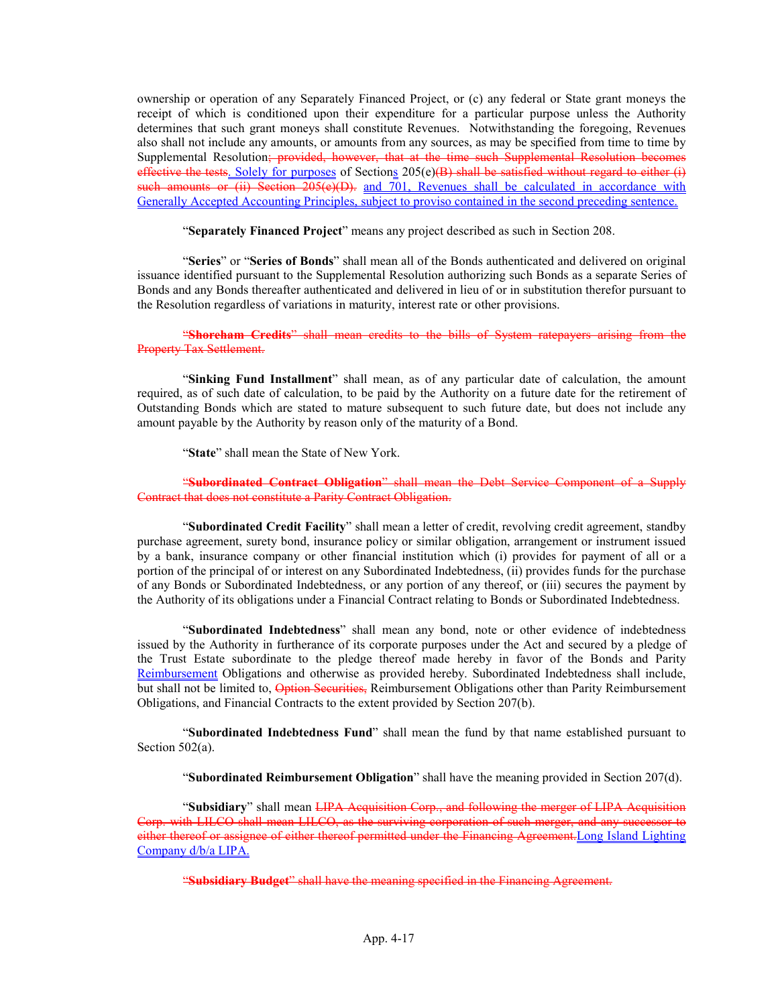ownership or operation of any Separately Financed Project, or (c) any federal or State grant moneys the receipt of which is conditioned upon their expenditure for a particular purpose unless the Authority determines that such grant moneys shall constitute Revenues. Notwithstanding the foregoing, Revenues also shall not include any amounts, or amounts from any sources, as may be specified from time to time by Supplemental Resolution; provided, however, that at the time such Supplemental Resolution becomes effective the tests. Solely for purposes of Sections  $205(e)(B)$  shall be satisfied without regard to either (i) such amounts or (ii) Section 205(e)(D). and 701, Revenues shall be calculated in accordance with Generally Accepted Accounting Principles, subject to proviso contained in the second preceding sentence.

"Separately Financed Project" means any project described as such in Section 208.

"Series" or "Series of Bonds" shall mean all of the Bonds authenticated and delivered on original issuance identified pursuant to the Supplemental Resolution authorizing such Bonds as a separate Series of Bonds and any Bonds thereafter authenticated and delivered in lieu of or in substitution therefor pursuant to the Resolution regardless of variations in maturity, interest rate or other provisions.

#### "Shoreham Credits" shall mean credits to the bills of System ratepayers arising from the Property Tax Settlement.

"Sinking Fund Installment" shall mean, as of any particular date of calculation, the amount required, as of such date of calculation, to be paid by the Authority on a future date for the retirement of Outstanding Bonds which are stated to mature subsequent to such future date, but does not include any amount payable by the Authority by reason only of the maturity of a Bond.

"State" shall mean the State of New York.

#### "Subordinated Contract Obligation" shall mean the Debt Service Component of a Supply Contract that does not constitute a Parity Contract Obligation.

"Subordinated Credit Facility" shall mean a letter of credit, revolving credit agreement, standby purchase agreement, surety bond, insurance policy or similar obligation, arrangement or instrument issued by a bank, insurance company or other financial institution which (i) provides for payment of all or a portion of the principal of or interest on any Subordinated Indebtedness, (ii) provides funds for the purchase of any Bonds or Subordinated Indebtedness, or any portion of any thereof, or (iii) secures the payment by the Authority of its obligations under a Financial Contract relating to Bonds or Subordinated Indebtedness.

"Subordinated Indebtedness" shall mean any bond, note or other evidence of indebtedness issued by the Authority in furtherance of its corporate purposes under the Act and secured by a pledge of the Trust Estate subordinate to the pledge thereof made hereby in favor of the Bonds and Parity Reimbursement Obligations and otherwise as provided hereby. Subordinated Indebtedness shall include, but shall not be limited to, Option Securities, Reimbursement Obligations other than Parity Reimbursement Obligations, and Financial Contracts to the extent provided by Section 207(b).

"Subordinated Indebtedness Fund" shall mean the fund by that name established pursuant to Section 502(a).

"Subordinated Reimbursement Obligation" shall have the meaning provided in Section 207(d).

"Subsidiary" shall mean LIPA Acquisition Corp., and following the merger of LIPA Acquisition Corp. with LILCO shall mean LILCO, as the surviving corporation of such merger, and any successe either thereof or assignee of either thereof permitted under the Financing Agreement. Long Island Lighting Company d/b/a LIPA.

"Subsidiary Budget" shall have the meaning specified in the Financing Agreement.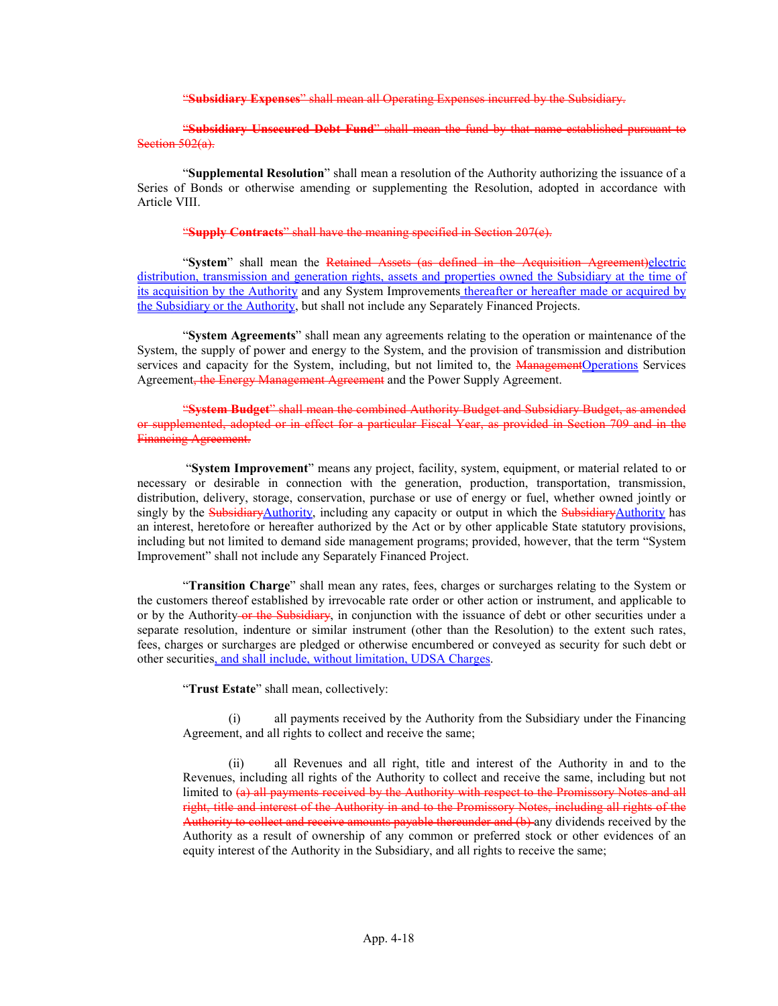"Subsidiary Expenses" shall mean all Operating Expenses incurred by the Subsidiary.

### "Subsidiary Unsecured Debt Fund" shall mean the fund by that name established pursuant to Section 502(a).

"Supplemental Resolution" shall mean a resolution of the Authority authorizing the issuance of a Series of Bonds or otherwise amending or supplementing the Resolution, adopted in accordance with Article VIII.

#### "Supply Contracts" shall have the meaning specified in Section 207(e).

"System" shall mean the Retained Assets (as defined in the Acquisition Agreement)electric distribution, transmission and generation rights, assets and properties owned the Subsidiary at the time of its acquisition by the Authority and any System Improvements thereafter or hereafter made or acquired by the Subsidiary or the Authority, but shall not include any Separately Financed Projects.

"System Agreements" shall mean any agreements relating to the operation or maintenance of the System, the supply of power and energy to the System, and the provision of transmission and distribution services and capacity for the System, including, but not limited to, the ManagementOperations Services Agreement, the Energy Management Agreement and the Power Supply Agreement.

"System Budget" shall mean the combined Authority Budget and Subsidiary Budget, as amended or supplemented, adopted or in effect for a particular Fiscal Year, as provided in Section 709 and in the Financing Agreement.

"System Improvement" means any project, facility, system, equipment, or material related to or necessary or desirable in connection with the generation, production, transportation, transmission, distribution, delivery, storage, conservation, purchase or use of energy or fuel, whether owned jointly or singly by the SubsidiaryAuthority, including any capacity or output in which the SubsidiaryAuthority has an interest, heretofore or hereafter authorized by the Act or by other applicable State statutory provisions, including but not limited to demand side management programs; provided, however, that the term "System Improvement" shall not include any Separately Financed Project.

"Transition Charge" shall mean any rates, fees, charges or surcharges relating to the System or the customers thereof established by irrevocable rate order or other action or instrument, and applicable to or by the Authority or the Subsidiary, in conjunction with the issuance of debt or other securities under a separate resolution, indenture or similar instrument (other than the Resolution) to the extent such rates, fees, charges or surcharges are pledged or otherwise encumbered or conveyed as security for such debt or other securities, and shall include, without limitation, UDSA Charges.

"Trust Estate" shall mean, collectively:

(i) all payments received by the Authority from the Subsidiary under the Financing Agreement, and all rights to collect and receive the same;

(ii) all Revenues and all right, title and interest of the Authority in and to the Revenues, including all rights of the Authority to collect and receive the same, including but not limited to (a) all payments received by the Authority with respect to the Promissory Notes and all right, title and interest of the Authority in and to the Promissory Notes, including all rights of the Authority to collect and receive amounts payable thereunder and (b) any dividends received by the Authority as a result of ownership of any common or preferred stock or other evidences of an equity interest of the Authority in the Subsidiary, and all rights to receive the same;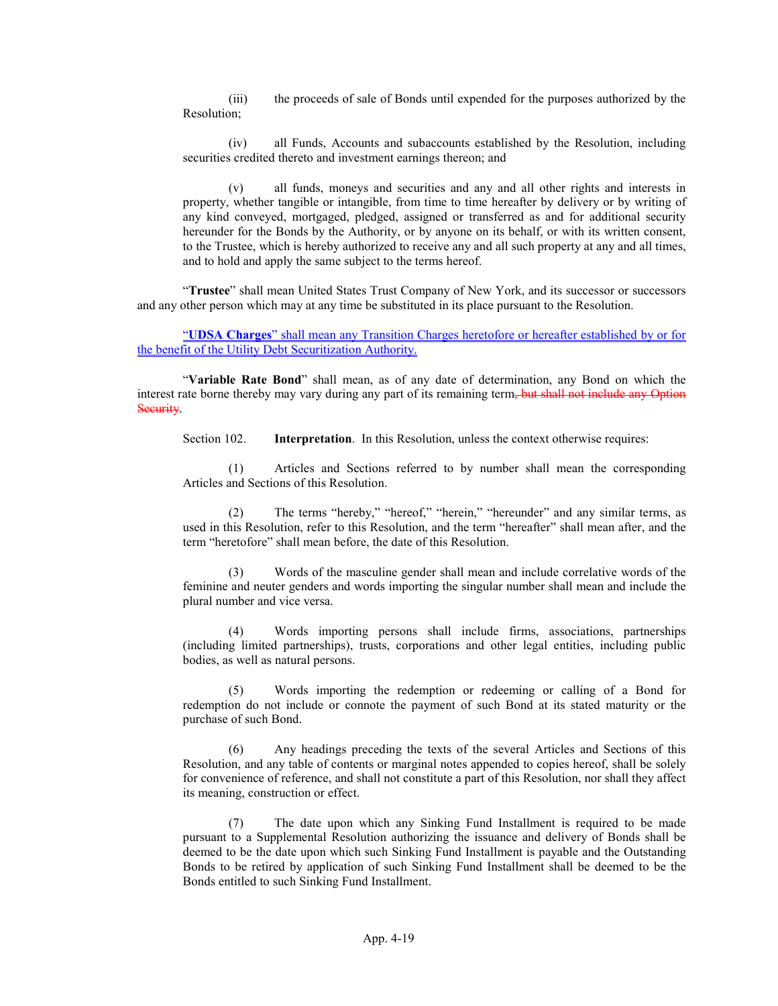(iii) the proceeds of sale of Bonds until expended for the purposes authorized by the Resolution;

(iv) all Funds, Accounts and subaccounts established by the Resolution, including securities credited thereto and investment earnings thereon; and

(v) all funds, moneys and securities and any and all other rights and interests in property, whether tangible or intangible, from time to time hereafter by delivery or by writing of any kind conveyed, mortgaged, pledged, assigned or transferred as and for additional security hereunder for the Bonds by the Authority, or by anyone on its behalf, or with its written consent, to the Trustee, which is hereby authorized to receive any and all such property at any and all times, and to hold and apply the same subject to the terms hereof.

"Trustee" shall mean United States Trust Company of New York, and its successor or successors and any other person which may at any time be substituted in its place pursuant to the Resolution.

### "UDSA Charges" shall mean any Transition Charges heretofore or hereafter established by or for the benefit of the Utility Debt Securitization Authority.

"Variable Rate Bond" shall mean, as of any date of determination, any Bond on which the interest rate borne thereby may vary during any part of its remaining term, but shall not include any Option Security.

Section 102. **Interpretation.** In this Resolution, unless the context otherwise requires:

(1) Articles and Sections referred to by number shall mean the corresponding Articles and Sections of this Resolution.

(2) The terms "hereby," "hereof," "herein," "hereunder" and any similar terms, as used in this Resolution, refer to this Resolution, and the term "hereafter" shall mean after, and the term "heretofore" shall mean before, the date of this Resolution.

(3) Words of the masculine gender shall mean and include correlative words of the feminine and neuter genders and words importing the singular number shall mean and include the plural number and vice versa.

(4) Words importing persons shall include firms, associations, partnerships (including limited partnerships), trusts, corporations and other legal entities, including public bodies, as well as natural persons.

Words importing the redemption or redeeming or calling of a Bond for redemption do not include or connote the payment of such Bond at its stated maturity or the purchase of such Bond.

(6) Any headings preceding the texts of the several Articles and Sections of this Resolution, and any table of contents or marginal notes appended to copies hereof, shall be solely for convenience of reference, and shall not constitute a part of this Resolution, nor shall they affect its meaning, construction or effect.

(7) The date upon which any Sinking Fund Installment is required to be made pursuant to a Supplemental Resolution authorizing the issuance and delivery of Bonds shall be deemed to be the date upon which such Sinking Fund Installment is payable and the Outstanding Bonds to be retired by application of such Sinking Fund Installment shall be deemed to be the Bonds entitled to such Sinking Fund Installment.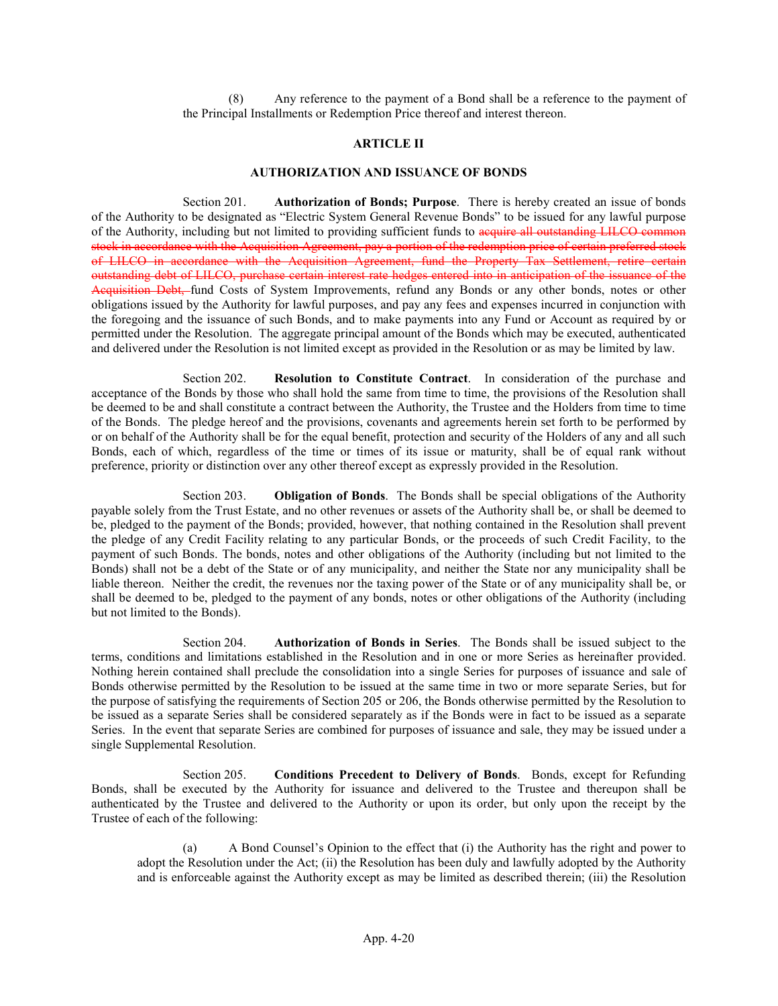(8) Any reference to the payment of a Bond shall be a reference to the payment of the Principal Installments or Redemption Price thereof and interest thereon.

### ARTICLE II

#### AUTHORIZATION AND ISSUANCE OF BONDS

Section 201. Authorization of Bonds; Purpose. There is hereby created an issue of bonds of the Authority to be designated as "Electric System General Revenue Bonds" to be issued for any lawful purpose of the Authority, including but not limited to providing sufficient funds to acquire all outstanding LILCO common stock in accordance with the Acquisition Agreement, pay a portion of the redemption price of certain preferred stock of LILCO in accordance with the Acquisition Agreement, fund the Property Tax Settlement, retire certain outstanding debt of LILCO, purchase certain interest rate hedges entered into in anticipation of the issuance of the Acquisition Debt, fund Costs of System Improvements, refund any Bonds or any other bonds, notes or other obligations issued by the Authority for lawful purposes, and pay any fees and expenses incurred in conjunction with the foregoing and the issuance of such Bonds, and to make payments into any Fund or Account as required by or permitted under the Resolution. The aggregate principal amount of the Bonds which may be executed, authenticated and delivered under the Resolution is not limited except as provided in the Resolution or as may be limited by law.

Section 202. Resolution to Constitute Contract. In consideration of the purchase and acceptance of the Bonds by those who shall hold the same from time to time, the provisions of the Resolution shall be deemed to be and shall constitute a contract between the Authority, the Trustee and the Holders from time to time of the Bonds. The pledge hereof and the provisions, covenants and agreements herein set forth to be performed by or on behalf of the Authority shall be for the equal benefit, protection and security of the Holders of any and all such Bonds, each of which, regardless of the time or times of its issue or maturity, shall be of equal rank without preference, priority or distinction over any other thereof except as expressly provided in the Resolution.

Section 203. Obligation of Bonds. The Bonds shall be special obligations of the Authority payable solely from the Trust Estate, and no other revenues or assets of the Authority shall be, or shall be deemed to be, pledged to the payment of the Bonds; provided, however, that nothing contained in the Resolution shall prevent the pledge of any Credit Facility relating to any particular Bonds, or the proceeds of such Credit Facility, to the payment of such Bonds. The bonds, notes and other obligations of the Authority (including but not limited to the Bonds) shall not be a debt of the State or of any municipality, and neither the State nor any municipality shall be liable thereon. Neither the credit, the revenues nor the taxing power of the State or of any municipality shall be, or shall be deemed to be, pledged to the payment of any bonds, notes or other obligations of the Authority (including but not limited to the Bonds).

Section 204. Authorization of Bonds in Series. The Bonds shall be issued subject to the terms, conditions and limitations established in the Resolution and in one or more Series as hereinafter provided. Nothing herein contained shall preclude the consolidation into a single Series for purposes of issuance and sale of Bonds otherwise permitted by the Resolution to be issued at the same time in two or more separate Series, but for the purpose of satisfying the requirements of Section 205 or 206, the Bonds otherwise permitted by the Resolution to be issued as a separate Series shall be considered separately as if the Bonds were in fact to be issued as a separate Series. In the event that separate Series are combined for purposes of issuance and sale, they may be issued under a single Supplemental Resolution.

Section 205. Conditions Precedent to Delivery of Bonds. Bonds, except for Refunding Bonds, shall be executed by the Authority for issuance and delivered to the Trustee and thereupon shall be authenticated by the Trustee and delivered to the Authority or upon its order, but only upon the receipt by the Trustee of each of the following:

(a) A Bond Counsel's Opinion to the effect that (i) the Authority has the right and power to adopt the Resolution under the Act; (ii) the Resolution has been duly and lawfully adopted by the Authority and is enforceable against the Authority except as may be limited as described therein; (iii) the Resolution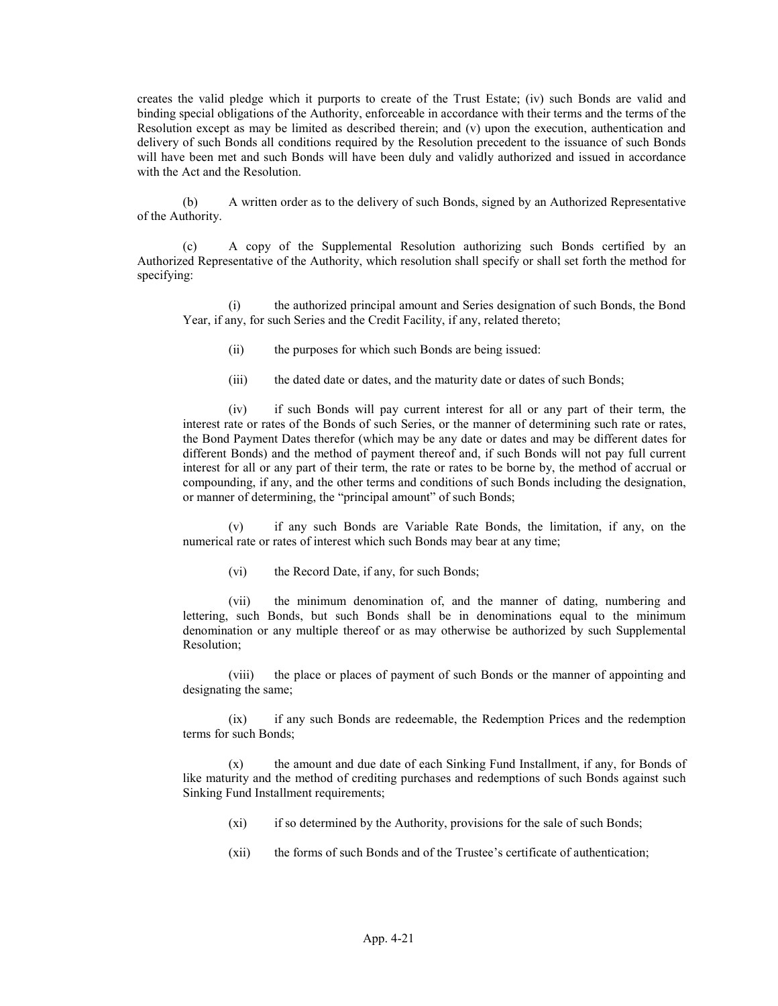creates the valid pledge which it purports to create of the Trust Estate; (iv) such Bonds are valid and binding special obligations of the Authority, enforceable in accordance with their terms and the terms of the Resolution except as may be limited as described therein; and (v) upon the execution, authentication and delivery of such Bonds all conditions required by the Resolution precedent to the issuance of such Bonds will have been met and such Bonds will have been duly and validly authorized and issued in accordance with the Act and the Resolution.

(b) A written order as to the delivery of such Bonds, signed by an Authorized Representative of the Authority.

(c) A copy of the Supplemental Resolution authorizing such Bonds certified by an Authorized Representative of the Authority, which resolution shall specify or shall set forth the method for specifying:

(i) the authorized principal amount and Series designation of such Bonds, the Bond Year, if any, for such Series and the Credit Facility, if any, related thereto;

(ii) the purposes for which such Bonds are being issued:

(iii) the dated date or dates, and the maturity date or dates of such Bonds;

(iv) if such Bonds will pay current interest for all or any part of their term, the interest rate or rates of the Bonds of such Series, or the manner of determining such rate or rates, the Bond Payment Dates therefor (which may be any date or dates and may be different dates for different Bonds) and the method of payment thereof and, if such Bonds will not pay full current interest for all or any part of their term, the rate or rates to be borne by, the method of accrual or compounding, if any, and the other terms and conditions of such Bonds including the designation, or manner of determining, the "principal amount" of such Bonds;

(v) if any such Bonds are Variable Rate Bonds, the limitation, if any, on the numerical rate or rates of interest which such Bonds may bear at any time;

(vi) the Record Date, if any, for such Bonds;

(vii) the minimum denomination of, and the manner of dating, numbering and lettering, such Bonds, but such Bonds shall be in denominations equal to the minimum denomination or any multiple thereof or as may otherwise be authorized by such Supplemental Resolution;

(viii) the place or places of payment of such Bonds or the manner of appointing and designating the same;

(ix) if any such Bonds are redeemable, the Redemption Prices and the redemption terms for such Bonds;

(x) the amount and due date of each Sinking Fund Installment, if any, for Bonds of like maturity and the method of crediting purchases and redemptions of such Bonds against such Sinking Fund Installment requirements;

- (xi) if so determined by the Authority, provisions for the sale of such Bonds;
- (xii) the forms of such Bonds and of the Trustee's certificate of authentication;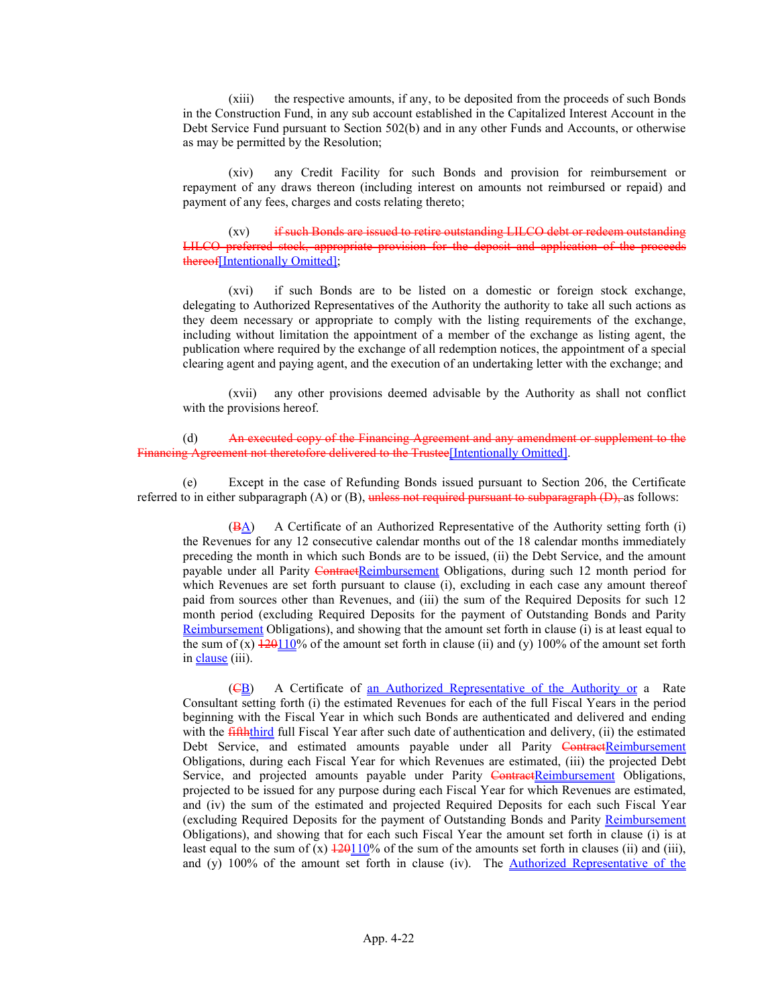(xiii) the respective amounts, if any, to be deposited from the proceeds of such Bonds in the Construction Fund, in any sub account established in the Capitalized Interest Account in the Debt Service Fund pursuant to Section 502(b) and in any other Funds and Accounts, or otherwise as may be permitted by the Resolution;

(xiv) any Credit Facility for such Bonds and provision for reimbursement or repayment of any draws thereon (including interest on amounts not reimbursed or repaid) and payment of any fees, charges and costs relating thereto;

(xv) if such Bonds are issued to retire outstanding LILCO debt or redeem outstanding LILCO preferred stock, appropriate provision for the deposit and application of the proceeds thereof[Intentionally Omitted]:

(xvi) if such Bonds are to be listed on a domestic or foreign stock exchange, delegating to Authorized Representatives of the Authority the authority to take all such actions as they deem necessary or appropriate to comply with the listing requirements of the exchange, including without limitation the appointment of a member of the exchange as listing agent, the publication where required by the exchange of all redemption notices, the appointment of a special clearing agent and paying agent, and the execution of an undertaking letter with the exchange; and

(xvii) any other provisions deemed advisable by the Authority as shall not conflict with the provisions hereof.

(d) An executed copy of the Financing Agreement and any amendment or supplement to the Financing Agreement not theretofore delivered to the Trustee[Intentionally Omitted].

(e) Except in the case of Refunding Bonds issued pursuant to Section 206, the Certificate referred to in either subparagraph (A) or (B), unless not required pursuant to subparagraph (D), as follows:

(BA) A Certificate of an Authorized Representative of the Authority setting forth (i) the Revenues for any 12 consecutive calendar months out of the 18 calendar months immediately preceding the month in which such Bonds are to be issued, (ii) the Debt Service, and the amount payable under all Parity ContractReimbursement Obligations, during such 12 month period for which Revenues are set forth pursuant to clause (i), excluding in each case any amount thereof paid from sources other than Revenues, and (iii) the sum of the Required Deposits for such 12 month period (excluding Required Deposits for the payment of Outstanding Bonds and Parity Reimbursement Obligations), and showing that the amount set forth in clause (i) is at least equal to the sum of (x)  $\frac{120110}{6}$  of the amount set forth in clause (ii) and (y) 100% of the amount set forth in clause (iii).

(CB) A Certificate of an Authorized Representative of the Authority or a Rate Consultant setting forth (i) the estimated Revenues for each of the full Fiscal Years in the period beginning with the Fiscal Year in which such Bonds are authenticated and delivered and ending with the **fifth**third full Fiscal Year after such date of authentication and delivery, (ii) the estimated Debt Service, and estimated amounts payable under all Parity ContractReimbursement Obligations, during each Fiscal Year for which Revenues are estimated, (iii) the projected Debt Service, and projected amounts payable under Parity ContractReimbursement Obligations, projected to be issued for any purpose during each Fiscal Year for which Revenues are estimated, and (iv) the sum of the estimated and projected Required Deposits for each such Fiscal Year (excluding Required Deposits for the payment of Outstanding Bonds and Parity Reimbursement Obligations), and showing that for each such Fiscal Year the amount set forth in clause (i) is at least equal to the sum of (x)  $\frac{120110}{%}$  of the sum of the amounts set forth in clauses (ii) and (iii), and (y) 100% of the amount set forth in clause (iv). The Authorized Representative of the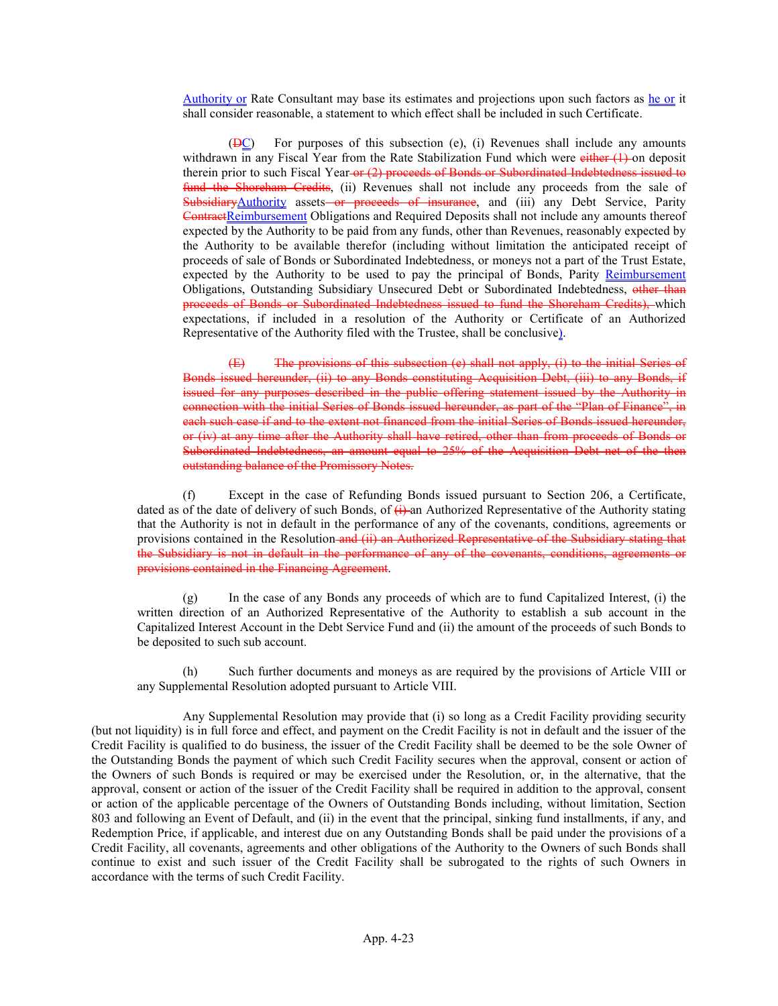Authority or Rate Consultant may base its estimates and projections upon such factors as he or it shall consider reasonable, a statement to which effect shall be included in such Certificate.

 $(DC)$  For purposes of this subsection (e), (i) Revenues shall include any amounts withdrawn in any Fiscal Year from the Rate Stabilization Fund which were either (1) on deposit therein prior to such Fiscal Year-or (2) proceeds of Bonds or Subordinated Indebtedness issued to fund the Shoreham Credits, (ii) Revenues shall not include any proceeds from the sale of SubsidiaryAuthority assets or proceeds of insurance, and (iii) any Debt Service, Parity ContractReimbursement Obligations and Required Deposits shall not include any amounts thereof expected by the Authority to be paid from any funds, other than Revenues, reasonably expected by the Authority to be available therefor (including without limitation the anticipated receipt of proceeds of sale of Bonds or Subordinated Indebtedness, or moneys not a part of the Trust Estate, expected by the Authority to be used to pay the principal of Bonds, Parity Reimbursement Obligations, Outstanding Subsidiary Unsecured Debt or Subordinated Indebtedness, other than proceeds of Bonds or Subordinated Indebtedness issued to fund the Shoreham Credits), which expectations, if included in a resolution of the Authority or Certificate of an Authorized Representative of the Authority filed with the Trustee, shall be conclusive).

(E) The provisions of this subsection (e) shall not apply, (i) to the initial Series of Bonds issued hereunder, (ii) to any Bonds constituting Acquisition Debt, (iii) to any Bonds, if issued for any purposes described in the public offering statement issued by the Authority in connection with the initial Series of Bonds issued hereunder, as part of the "Plan of Finance", in each such case if and to the extent not financed from the initial Series of Bonds issued hereunder, or (iv) at any time after the Authority shall have retired, other than from proceeds of Bonds or Subordinated Indebtedness, an amount equal to 25% of the Acquisition Debt net of the then outstanding balance of the Promissory Notes.

(f) Except in the case of Refunding Bonds issued pursuant to Section 206, a Certificate, dated as of the date of delivery of such Bonds, of  $\leftrightarrow$  an Authorized Representative of the Authority stating that the Authority is not in default in the performance of any of the covenants, conditions, agreements or provisions contained in the Resolution and (ii) an Authorized Representative of the Subsidiary stating that the Subsidiary is not in default in the performance of any of the covenants, conditions, agreements or provisions contained in the Financing Agreement.

(g) In the case of any Bonds any proceeds of which are to fund Capitalized Interest, (i) the written direction of an Authorized Representative of the Authority to establish a sub account in the Capitalized Interest Account in the Debt Service Fund and (ii) the amount of the proceeds of such Bonds to be deposited to such sub account.

(h) Such further documents and moneys as are required by the provisions of Article VIII or any Supplemental Resolution adopted pursuant to Article VIII.

Any Supplemental Resolution may provide that (i) so long as a Credit Facility providing security (but not liquidity) is in full force and effect, and payment on the Credit Facility is not in default and the issuer of the Credit Facility is qualified to do business, the issuer of the Credit Facility shall be deemed to be the sole Owner of the Outstanding Bonds the payment of which such Credit Facility secures when the approval, consent or action of the Owners of such Bonds is required or may be exercised under the Resolution, or, in the alternative, that the approval, consent or action of the issuer of the Credit Facility shall be required in addition to the approval, consent or action of the applicable percentage of the Owners of Outstanding Bonds including, without limitation, Section 803 and following an Event of Default, and (ii) in the event that the principal, sinking fund installments, if any, and Redemption Price, if applicable, and interest due on any Outstanding Bonds shall be paid under the provisions of a Credit Facility, all covenants, agreements and other obligations of the Authority to the Owners of such Bonds shall continue to exist and such issuer of the Credit Facility shall be subrogated to the rights of such Owners in accordance with the terms of such Credit Facility.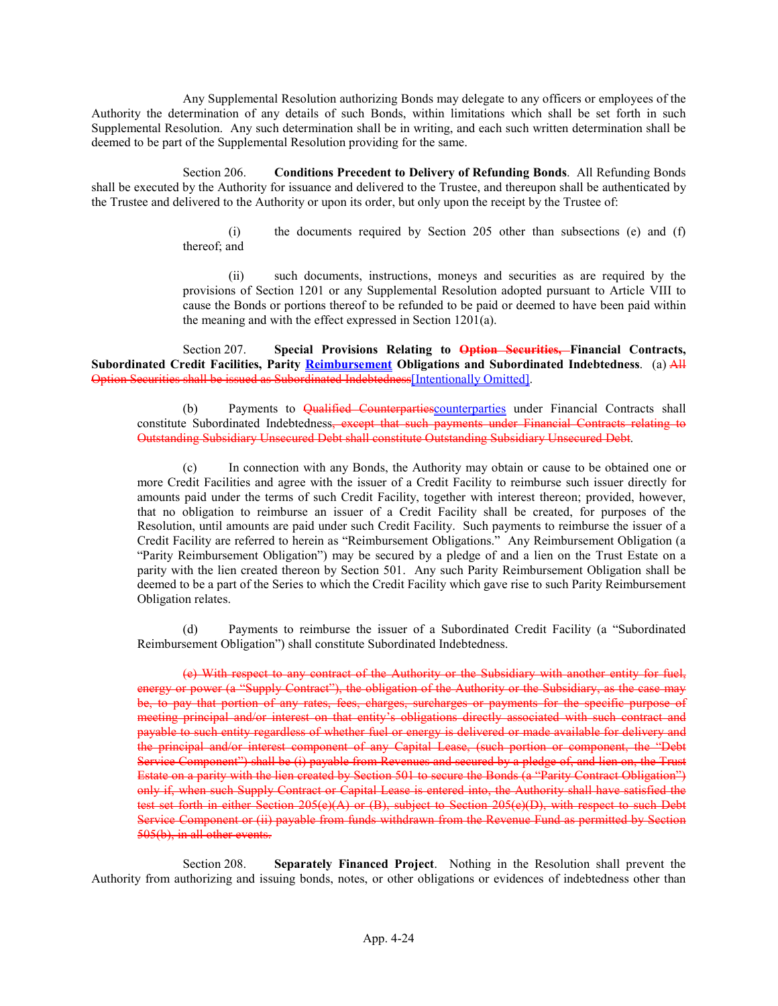Any Supplemental Resolution authorizing Bonds may delegate to any officers or employees of the Authority the determination of any details of such Bonds, within limitations which shall be set forth in such Supplemental Resolution. Any such determination shall be in writing, and each such written determination shall be deemed to be part of the Supplemental Resolution providing for the same.

Section 206. Conditions Precedent to Delivery of Refunding Bonds. All Refunding Bonds shall be executed by the Authority for issuance and delivered to the Trustee, and thereupon shall be authenticated by the Trustee and delivered to the Authority or upon its order, but only upon the receipt by the Trustee of:

> (i) the documents required by Section 205 other than subsections (e) and (f) thereof; and

> (ii) such documents, instructions, moneys and securities as are required by the provisions of Section 1201 or any Supplemental Resolution adopted pursuant to Article VIII to cause the Bonds or portions thereof to be refunded to be paid or deemed to have been paid within the meaning and with the effect expressed in Section 1201(a).

Section 207. Special Provisions Relating to Option Securities, Financial Contracts, Subordinated Credit Facilities, Parity Reimbursement Obligations and Subordinated Indebtedness. (a) All Option Securities shall be issued as Subordinated Indebtedness[Intentionally Omitted].

(b) Payments to Qualified Counterpartiescounterparties under Financial Contracts shall constitute Subordinated Indebtedness, except that such payments under Financial Contracts relating to Outstanding Subsidiary Unsecured Debt shall constitute Outstanding Subsidiary Unsecured Debt.

(c) In connection with any Bonds, the Authority may obtain or cause to be obtained one or more Credit Facilities and agree with the issuer of a Credit Facility to reimburse such issuer directly for amounts paid under the terms of such Credit Facility, together with interest thereon; provided, however, that no obligation to reimburse an issuer of a Credit Facility shall be created, for purposes of the Resolution, until amounts are paid under such Credit Facility. Such payments to reimburse the issuer of a Credit Facility are referred to herein as "Reimbursement Obligations." Any Reimbursement Obligation (a "Parity Reimbursement Obligation") may be secured by a pledge of and a lien on the Trust Estate on a parity with the lien created thereon by Section 501. Any such Parity Reimbursement Obligation shall be deemed to be a part of the Series to which the Credit Facility which gave rise to such Parity Reimbursement Obligation relates.

(d) Payments to reimburse the issuer of a Subordinated Credit Facility (a "Subordinated Reimbursement Obligation") shall constitute Subordinated Indebtedness.

(e) With respect to any contract of the Authority or the Subsidiary with another entity for fuel, energy or power (a "Supply Contract"), the obligation of the Authority or the Subsidiary, as the case may be, to pay that portion of any rates, fees, charges, surcharges or payments for the specific purpose of meeting principal and/or interest on that entity's obligations directly associated with such contract and payable to such entity regardless of whether fuel or energy is delivered or made available for delivery and the principal and/or interest component of any Capital Lease, (such portion or component, the "Debt Service Component") shall be (i) payable from Revenues and secured by a pledge of, and lien on, the Trust Estate on a parity with the lien created by Section 501 to secure the Bonds (a "Parity Contract Obligation") only if, when such Supply Contract or Capital Lease is entered into, the Authority shall have satisfied the test set forth in either Section 205(e)(A) or (B), subject to Section 205(e)(D), with respect to such Debt Service Component or (ii) payable from funds withdrawn from the Revenue Fund as permitted by Section 505(b), in all other events.

Section 208. Separately Financed Project. Nothing in the Resolution shall prevent the Authority from authorizing and issuing bonds, notes, or other obligations or evidences of indebtedness other than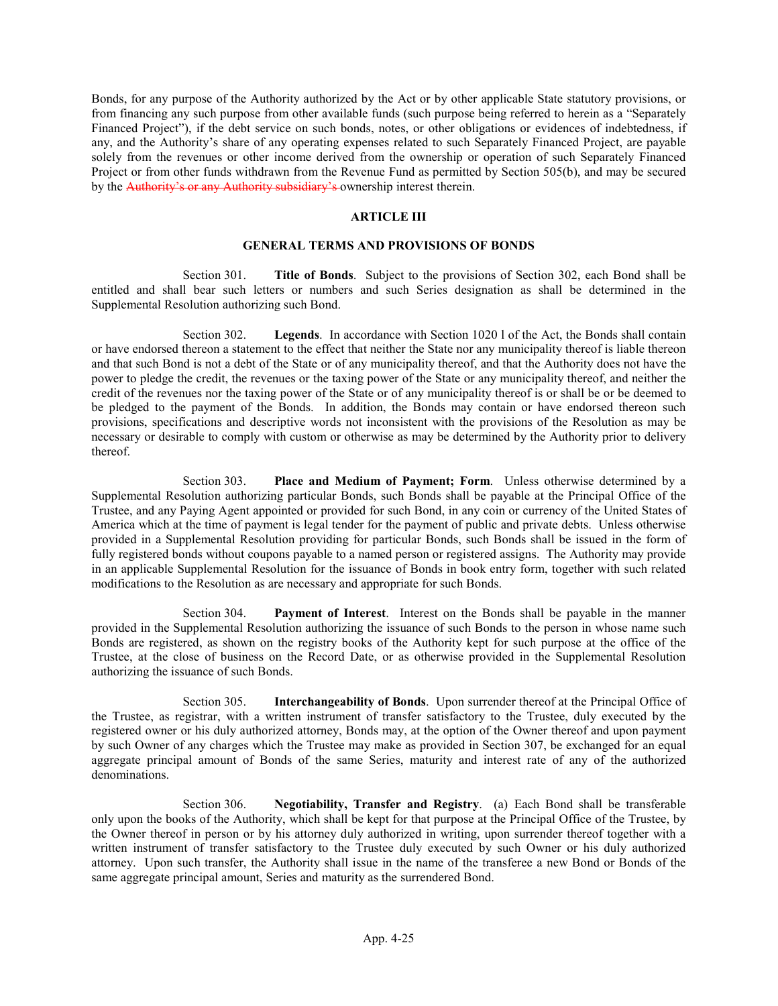Bonds, for any purpose of the Authority authorized by the Act or by other applicable State statutory provisions, or from financing any such purpose from other available funds (such purpose being referred to herein as a "Separately Financed Project"), if the debt service on such bonds, notes, or other obligations or evidences of indebtedness, if any, and the Authority's share of any operating expenses related to such Separately Financed Project, are payable solely from the revenues or other income derived from the ownership or operation of such Separately Financed Project or from other funds withdrawn from the Revenue Fund as permitted by Section 505(b), and may be secured by the Authority's or any Authority subsidiary's ownership interest therein.

## ARTICLE III

### GENERAL TERMS AND PROVISIONS OF BONDS

Section 301. **Title of Bonds.** Subject to the provisions of Section 302, each Bond shall be entitled and shall bear such letters or numbers and such Series designation as shall be determined in the Supplemental Resolution authorizing such Bond.

Section 302. Legends. In accordance with Section 1020 l of the Act, the Bonds shall contain or have endorsed thereon a statement to the effect that neither the State nor any municipality thereof is liable thereon and that such Bond is not a debt of the State or of any municipality thereof, and that the Authority does not have the power to pledge the credit, the revenues or the taxing power of the State or any municipality thereof, and neither the credit of the revenues nor the taxing power of the State or of any municipality thereof is or shall be or be deemed to be pledged to the payment of the Bonds. In addition, the Bonds may contain or have endorsed thereon such provisions, specifications and descriptive words not inconsistent with the provisions of the Resolution as may be necessary or desirable to comply with custom or otherwise as may be determined by the Authority prior to delivery thereof.

Section 303. Place and Medium of Payment; Form. Unless otherwise determined by a Supplemental Resolution authorizing particular Bonds, such Bonds shall be payable at the Principal Office of the Trustee, and any Paying Agent appointed or provided for such Bond, in any coin or currency of the United States of America which at the time of payment is legal tender for the payment of public and private debts. Unless otherwise provided in a Supplemental Resolution providing for particular Bonds, such Bonds shall be issued in the form of fully registered bonds without coupons payable to a named person or registered assigns. The Authority may provide in an applicable Supplemental Resolution for the issuance of Bonds in book entry form, together with such related modifications to the Resolution as are necessary and appropriate for such Bonds.

Section 304. Payment of Interest. Interest on the Bonds shall be payable in the manner provided in the Supplemental Resolution authorizing the issuance of such Bonds to the person in whose name such Bonds are registered, as shown on the registry books of the Authority kept for such purpose at the office of the Trustee, at the close of business on the Record Date, or as otherwise provided in the Supplemental Resolution authorizing the issuance of such Bonds.

Section 305. Interchangeability of Bonds. Upon surrender thereof at the Principal Office of the Trustee, as registrar, with a written instrument of transfer satisfactory to the Trustee, duly executed by the registered owner or his duly authorized attorney, Bonds may, at the option of the Owner thereof and upon payment by such Owner of any charges which the Trustee may make as provided in Section 307, be exchanged for an equal aggregate principal amount of Bonds of the same Series, maturity and interest rate of any of the authorized denominations.

Section 306. Negotiability, Transfer and Registry. (a) Each Bond shall be transferable only upon the books of the Authority, which shall be kept for that purpose at the Principal Office of the Trustee, by the Owner thereof in person or by his attorney duly authorized in writing, upon surrender thereof together with a written instrument of transfer satisfactory to the Trustee duly executed by such Owner or his duly authorized attorney. Upon such transfer, the Authority shall issue in the name of the transferee a new Bond or Bonds of the same aggregate principal amount, Series and maturity as the surrendered Bond.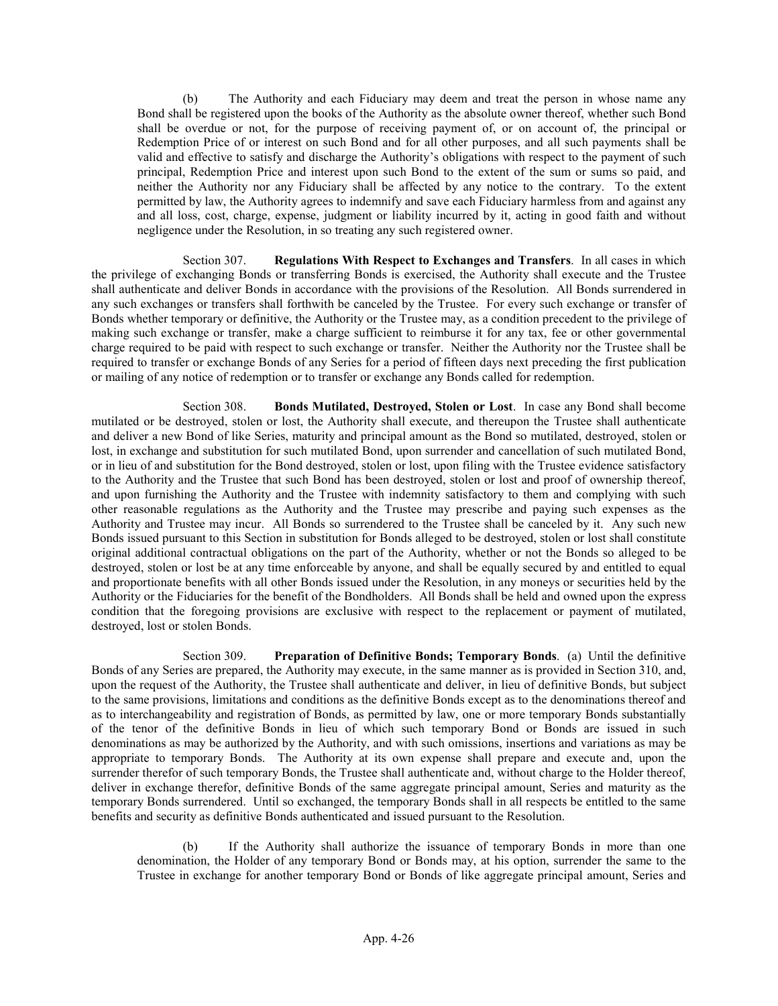(b) The Authority and each Fiduciary may deem and treat the person in whose name any Bond shall be registered upon the books of the Authority as the absolute owner thereof, whether such Bond shall be overdue or not, for the purpose of receiving payment of, or on account of, the principal or Redemption Price of or interest on such Bond and for all other purposes, and all such payments shall be valid and effective to satisfy and discharge the Authority's obligations with respect to the payment of such principal, Redemption Price and interest upon such Bond to the extent of the sum or sums so paid, and neither the Authority nor any Fiduciary shall be affected by any notice to the contrary. To the extent permitted by law, the Authority agrees to indemnify and save each Fiduciary harmless from and against any and all loss, cost, charge, expense, judgment or liability incurred by it, acting in good faith and without negligence under the Resolution, in so treating any such registered owner.

Section 307. Regulations With Respect to Exchanges and Transfers. In all cases in which the privilege of exchanging Bonds or transferring Bonds is exercised, the Authority shall execute and the Trustee shall authenticate and deliver Bonds in accordance with the provisions of the Resolution. All Bonds surrendered in any such exchanges or transfers shall forthwith be canceled by the Trustee. For every such exchange or transfer of Bonds whether temporary or definitive, the Authority or the Trustee may, as a condition precedent to the privilege of making such exchange or transfer, make a charge sufficient to reimburse it for any tax, fee or other governmental charge required to be paid with respect to such exchange or transfer. Neither the Authority nor the Trustee shall be required to transfer or exchange Bonds of any Series for a period of fifteen days next preceding the first publication or mailing of any notice of redemption or to transfer or exchange any Bonds called for redemption.

Section 308. Bonds Mutilated, Destroyed, Stolen or Lost. In case any Bond shall become mutilated or be destroyed, stolen or lost, the Authority shall execute, and thereupon the Trustee shall authenticate and deliver a new Bond of like Series, maturity and principal amount as the Bond so mutilated, destroyed, stolen or lost, in exchange and substitution for such mutilated Bond, upon surrender and cancellation of such mutilated Bond, or in lieu of and substitution for the Bond destroyed, stolen or lost, upon filing with the Trustee evidence satisfactory to the Authority and the Trustee that such Bond has been destroyed, stolen or lost and proof of ownership thereof, and upon furnishing the Authority and the Trustee with indemnity satisfactory to them and complying with such other reasonable regulations as the Authority and the Trustee may prescribe and paying such expenses as the Authority and Trustee may incur. All Bonds so surrendered to the Trustee shall be canceled by it. Any such new Bonds issued pursuant to this Section in substitution for Bonds alleged to be destroyed, stolen or lost shall constitute original additional contractual obligations on the part of the Authority, whether or not the Bonds so alleged to be destroyed, stolen or lost be at any time enforceable by anyone, and shall be equally secured by and entitled to equal and proportionate benefits with all other Bonds issued under the Resolution, in any moneys or securities held by the Authority or the Fiduciaries for the benefit of the Bondholders. All Bonds shall be held and owned upon the express condition that the foregoing provisions are exclusive with respect to the replacement or payment of mutilated, destroyed, lost or stolen Bonds.

Section 309. Preparation of Definitive Bonds; Temporary Bonds. (a) Until the definitive Bonds of any Series are prepared, the Authority may execute, in the same manner as is provided in Section 310, and, upon the request of the Authority, the Trustee shall authenticate and deliver, in lieu of definitive Bonds, but subject to the same provisions, limitations and conditions as the definitive Bonds except as to the denominations thereof and as to interchangeability and registration of Bonds, as permitted by law, one or more temporary Bonds substantially of the tenor of the definitive Bonds in lieu of which such temporary Bond or Bonds are issued in such denominations as may be authorized by the Authority, and with such omissions, insertions and variations as may be appropriate to temporary Bonds. The Authority at its own expense shall prepare and execute and, upon the surrender therefor of such temporary Bonds, the Trustee shall authenticate and, without charge to the Holder thereof, deliver in exchange therefor, definitive Bonds of the same aggregate principal amount, Series and maturity as the temporary Bonds surrendered. Until so exchanged, the temporary Bonds shall in all respects be entitled to the same benefits and security as definitive Bonds authenticated and issued pursuant to the Resolution.

(b) If the Authority shall authorize the issuance of temporary Bonds in more than one denomination, the Holder of any temporary Bond or Bonds may, at his option, surrender the same to the Trustee in exchange for another temporary Bond or Bonds of like aggregate principal amount, Series and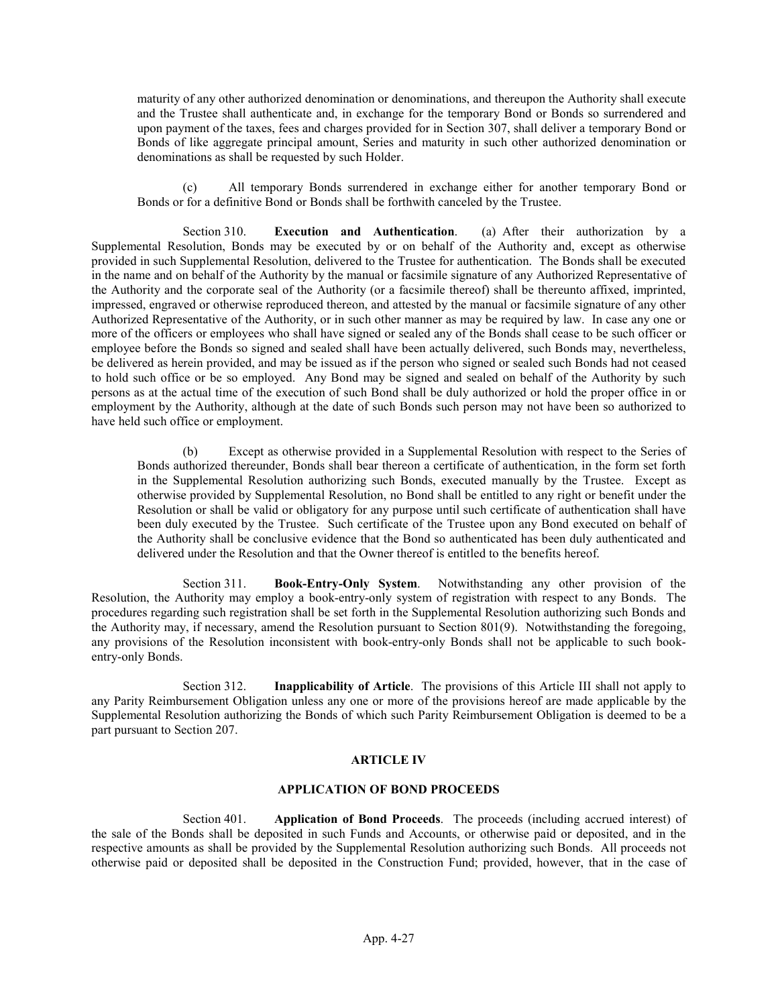maturity of any other authorized denomination or denominations, and thereupon the Authority shall execute and the Trustee shall authenticate and, in exchange for the temporary Bond or Bonds so surrendered and upon payment of the taxes, fees and charges provided for in Section 307, shall deliver a temporary Bond or Bonds of like aggregate principal amount, Series and maturity in such other authorized denomination or denominations as shall be requested by such Holder.

(c) All temporary Bonds surrendered in exchange either for another temporary Bond or Bonds or for a definitive Bond or Bonds shall be forthwith canceled by the Trustee.

Section 310. Execution and Authentication. (a) After their authorization by a Supplemental Resolution, Bonds may be executed by or on behalf of the Authority and, except as otherwise provided in such Supplemental Resolution, delivered to the Trustee for authentication. The Bonds shall be executed in the name and on behalf of the Authority by the manual or facsimile signature of any Authorized Representative of the Authority and the corporate seal of the Authority (or a facsimile thereof) shall be thereunto affixed, imprinted, impressed, engraved or otherwise reproduced thereon, and attested by the manual or facsimile signature of any other Authorized Representative of the Authority, or in such other manner as may be required by law. In case any one or more of the officers or employees who shall have signed or sealed any of the Bonds shall cease to be such officer or employee before the Bonds so signed and sealed shall have been actually delivered, such Bonds may, nevertheless, be delivered as herein provided, and may be issued as if the person who signed or sealed such Bonds had not ceased to hold such office or be so employed. Any Bond may be signed and sealed on behalf of the Authority by such persons as at the actual time of the execution of such Bond shall be duly authorized or hold the proper office in or employment by the Authority, although at the date of such Bonds such person may not have been so authorized to have held such office or employment.

(b) Except as otherwise provided in a Supplemental Resolution with respect to the Series of Bonds authorized thereunder, Bonds shall bear thereon a certificate of authentication, in the form set forth in the Supplemental Resolution authorizing such Bonds, executed manually by the Trustee. Except as otherwise provided by Supplemental Resolution, no Bond shall be entitled to any right or benefit under the Resolution or shall be valid or obligatory for any purpose until such certificate of authentication shall have been duly executed by the Trustee. Such certificate of the Trustee upon any Bond executed on behalf of the Authority shall be conclusive evidence that the Bond so authenticated has been duly authenticated and delivered under the Resolution and that the Owner thereof is entitled to the benefits hereof.

Section 311. Book-Entry-Only System. Notwithstanding any other provision of the Resolution, the Authority may employ a book-entry-only system of registration with respect to any Bonds. The procedures regarding such registration shall be set forth in the Supplemental Resolution authorizing such Bonds and the Authority may, if necessary, amend the Resolution pursuant to Section 801(9). Notwithstanding the foregoing, any provisions of the Resolution inconsistent with book-entry-only Bonds shall not be applicable to such bookentry-only Bonds.

Section 312. Inapplicability of Article. The provisions of this Article III shall not apply to any Parity Reimbursement Obligation unless any one or more of the provisions hereof are made applicable by the Supplemental Resolution authorizing the Bonds of which such Parity Reimbursement Obligation is deemed to be a part pursuant to Section 207.

#### ARTICLE IV

#### APPLICATION OF BOND PROCEEDS

Section 401. Application of Bond Proceeds. The proceeds (including accrued interest) of the sale of the Bonds shall be deposited in such Funds and Accounts, or otherwise paid or deposited, and in the respective amounts as shall be provided by the Supplemental Resolution authorizing such Bonds. All proceeds not otherwise paid or deposited shall be deposited in the Construction Fund; provided, however, that in the case of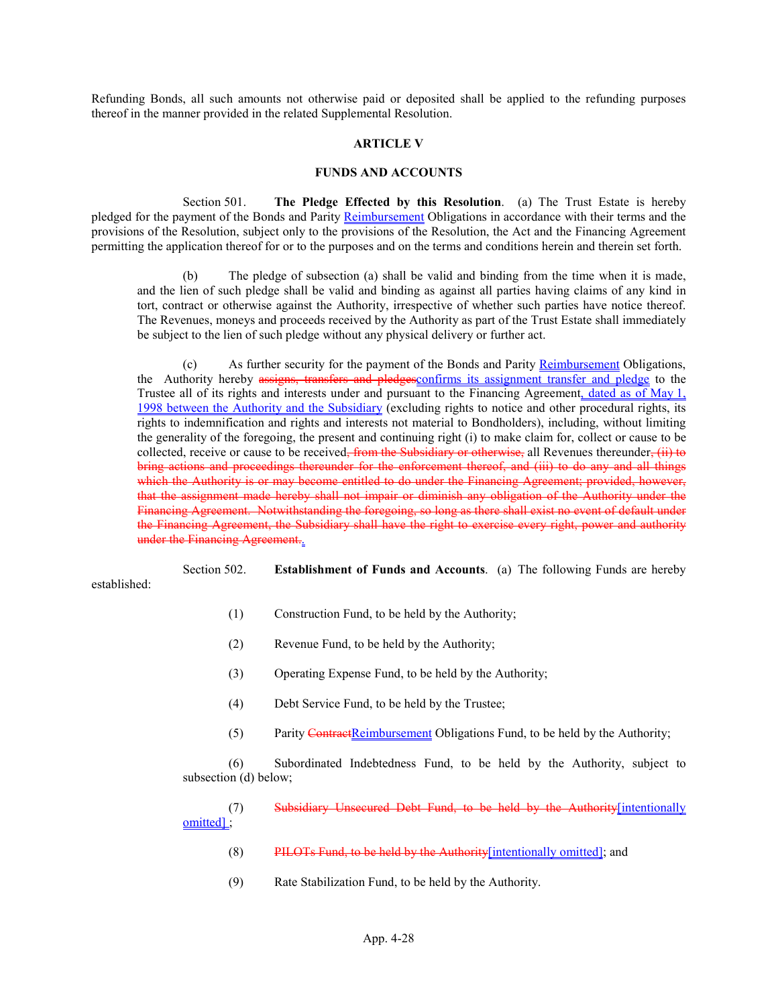Refunding Bonds, all such amounts not otherwise paid or deposited shall be applied to the refunding purposes thereof in the manner provided in the related Supplemental Resolution.

#### ARTICLE V

#### FUNDS AND ACCOUNTS

Section 501. The Pledge Effected by this Resolution. (a) The Trust Estate is hereby pledged for the payment of the Bonds and Parity Reimbursement Obligations in accordance with their terms and the provisions of the Resolution, subject only to the provisions of the Resolution, the Act and the Financing Agreement permitting the application thereof for or to the purposes and on the terms and conditions herein and therein set forth.

(b) The pledge of subsection (a) shall be valid and binding from the time when it is made, and the lien of such pledge shall be valid and binding as against all parties having claims of any kind in tort, contract or otherwise against the Authority, irrespective of whether such parties have notice thereof. The Revenues, moneys and proceeds received by the Authority as part of the Trust Estate shall immediately be subject to the lien of such pledge without any physical delivery or further act.

(c) As further security for the payment of the Bonds and Parity Reimbursement Obligations, the Authority hereby assigns, transfers and pledges confirms its assignment transfer and pledge to the Trustee all of its rights and interests under and pursuant to the Financing Agreement, dated as of May 1, 1998 between the Authority and the Subsidiary (excluding rights to notice and other procedural rights, its rights to indemnification and rights and interests not material to Bondholders), including, without limiting the generality of the foregoing, the present and continuing right (i) to make claim for, collect or cause to be collected, receive or cause to be received<del>, from the Subsidiary or otherwise,</del> all Revenues thereunder, (ii) to bring actions and proceedings thereunder for the enforcement thereof, and (iii) to do any and all things which the Authority is or may become entitled to do under the Financing Agreement; provided, however, that the assignment made hereby shall not impair or diminish any obligation of the Authority under the Financing Agreement. Notwithstanding the foregoing, so long as there shall exist no event of default under the Financing Agreement, the Subsidiary shall have the right to exercise every right, power and authority under the Financing Agreement.

Section 502. Establishment of Funds and Accounts. (a) The following Funds are hereby established:

- (1) Construction Fund, to be held by the Authority;
- (2) Revenue Fund, to be held by the Authority;
- (3) Operating Expense Fund, to be held by the Authority;
- (4) Debt Service Fund, to be held by the Trustee;
- (5) Parity ContractReimbursement Obligations Fund, to be held by the Authority;

(6) Subordinated Indebtedness Fund, to be held by the Authority, subject to subsection (d) below;

(7) Subsidiary Unsecured Debt Fund, to be held by the Authority[intentionally omitted] ;

- (8) PILOTs Fund, to be held by the Authority[intentionally omitted]; and
- (9) Rate Stabilization Fund, to be held by the Authority.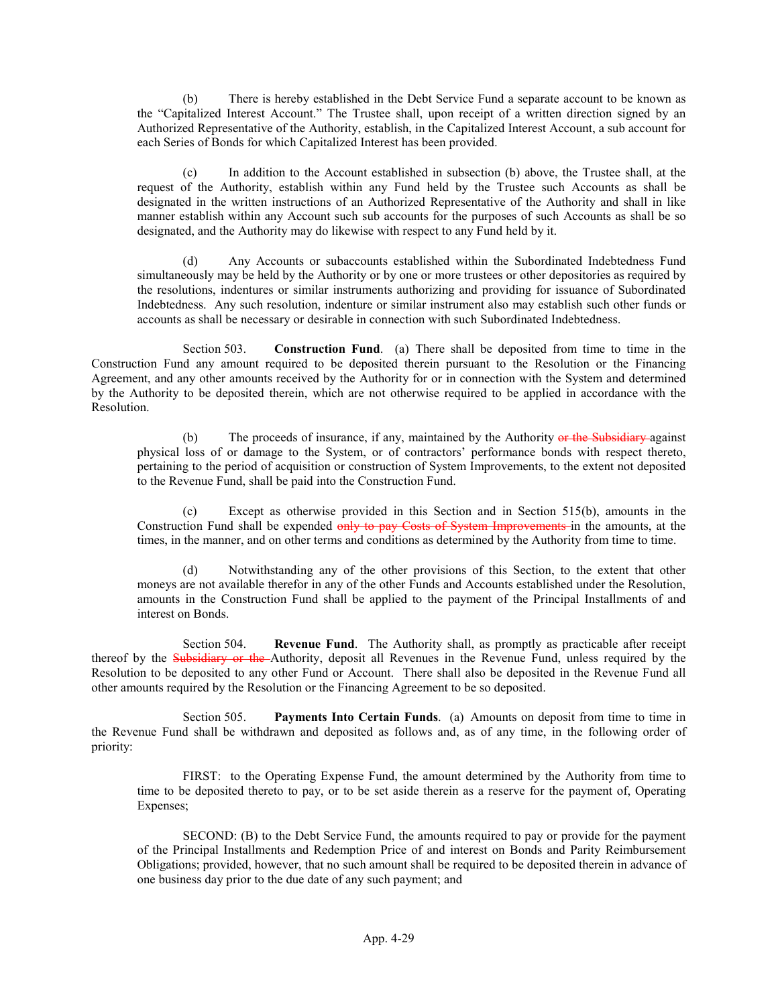(b) There is hereby established in the Debt Service Fund a separate account to be known as the "Capitalized Interest Account." The Trustee shall, upon receipt of a written direction signed by an Authorized Representative of the Authority, establish, in the Capitalized Interest Account, a sub account for each Series of Bonds for which Capitalized Interest has been provided.

(c) In addition to the Account established in subsection (b) above, the Trustee shall, at the request of the Authority, establish within any Fund held by the Trustee such Accounts as shall be designated in the written instructions of an Authorized Representative of the Authority and shall in like manner establish within any Account such sub accounts for the purposes of such Accounts as shall be so designated, and the Authority may do likewise with respect to any Fund held by it.

(d) Any Accounts or subaccounts established within the Subordinated Indebtedness Fund simultaneously may be held by the Authority or by one or more trustees or other depositories as required by the resolutions, indentures or similar instruments authorizing and providing for issuance of Subordinated Indebtedness. Any such resolution, indenture or similar instrument also may establish such other funds or accounts as shall be necessary or desirable in connection with such Subordinated Indebtedness.

Section 503. Construction Fund. (a) There shall be deposited from time to time in the Construction Fund any amount required to be deposited therein pursuant to the Resolution or the Financing Agreement, and any other amounts received by the Authority for or in connection with the System and determined by the Authority to be deposited therein, which are not otherwise required to be applied in accordance with the Resolution.

(b) The proceeds of insurance, if any, maintained by the Authority or the Subsidiary against physical loss of or damage to the System, or of contractors' performance bonds with respect thereto, pertaining to the period of acquisition or construction of System Improvements, to the extent not deposited to the Revenue Fund, shall be paid into the Construction Fund.

(c) Except as otherwise provided in this Section and in Section 515(b), amounts in the Construction Fund shall be expended only to pay Costs of System Improvements in the amounts, at the times, in the manner, and on other terms and conditions as determined by the Authority from time to time.

(d) Notwithstanding any of the other provisions of this Section, to the extent that other moneys are not available therefor in any of the other Funds and Accounts established under the Resolution, amounts in the Construction Fund shall be applied to the payment of the Principal Installments of and interest on Bonds.

Section 504. Revenue Fund. The Authority shall, as promptly as practicable after receipt thereof by the Subsidiary or the Authority, deposit all Revenues in the Revenue Fund, unless required by the Resolution to be deposited to any other Fund or Account. There shall also be deposited in the Revenue Fund all other amounts required by the Resolution or the Financing Agreement to be so deposited.

Section 505. Payments Into Certain Funds. (a) Amounts on deposit from time to time in the Revenue Fund shall be withdrawn and deposited as follows and, as of any time, in the following order of priority:

FIRST: to the Operating Expense Fund, the amount determined by the Authority from time to time to be deposited thereto to pay, or to be set aside therein as a reserve for the payment of, Operating Expenses;

SECOND: (B) to the Debt Service Fund, the amounts required to pay or provide for the payment of the Principal Installments and Redemption Price of and interest on Bonds and Parity Reimbursement Obligations; provided, however, that no such amount shall be required to be deposited therein in advance of one business day prior to the due date of any such payment; and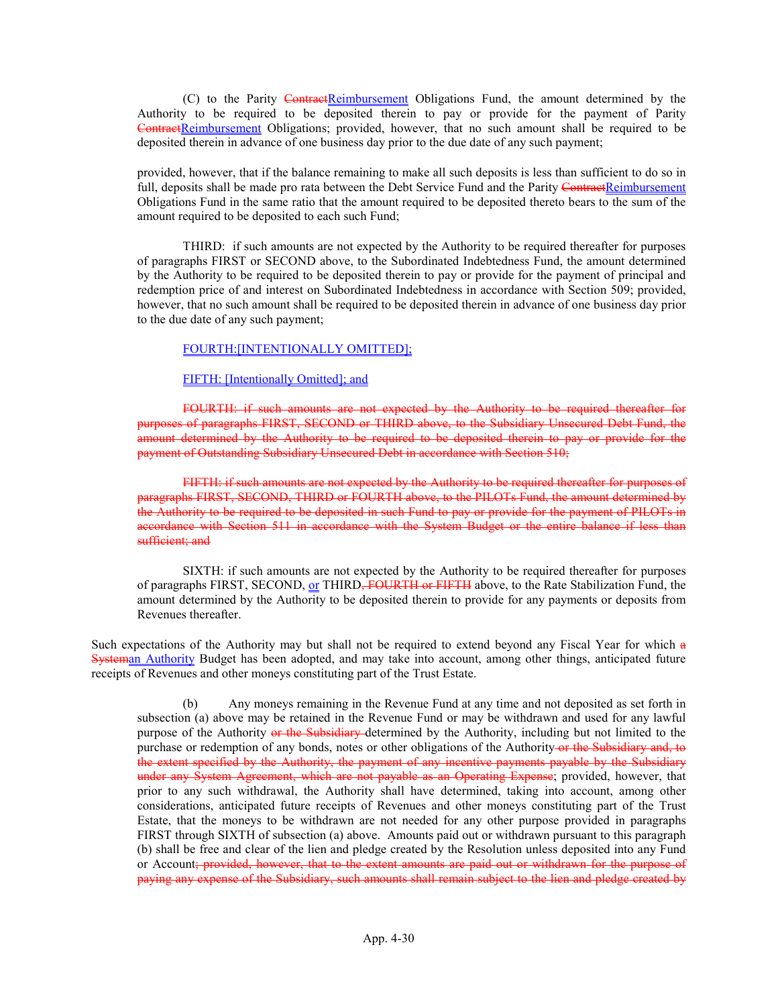(C) to the Parity ContractReimbursement Obligations Fund, the amount determined by the Authority to be required to be deposited therein to pay or provide for the payment of Parity ContractReimbursement Obligations; provided, however, that no such amount shall be required to be deposited therein in advance of one business day prior to the due date of any such payment;

provided, however, that if the balance remaining to make all such deposits is less than sufficient to do so in full, deposits shall be made pro rata between the Debt Service Fund and the Parity ContractReimbursement Obligations Fund in the same ratio that the amount required to be deposited thereto bears to the sum of the amount required to be deposited to each such Fund;

THIRD: if such amounts are not expected by the Authority to be required thereafter for purposes of paragraphs FIRST or SECOND above, to the Subordinated Indebtedness Fund, the amount determined by the Authority to be required to be deposited therein to pay or provide for the payment of principal and redemption price of and interest on Subordinated Indebtedness in accordance with Section 509; provided, however, that no such amount shall be required to be deposited therein in advance of one business day prior to the due date of any such payment;

### FOURTH:[INTENTIONALLY OMITTED];

#### FIFTH: [Intentionally Omitted]; and

FOURTH: if such amounts are not expected by the Authority to be required thereafter for purposes of paragraphs FIRST, SECOND or THIRD above, to the Subsidiary Unsecured Debt Fund, the amount determined by the Authority to be required to be deposited therein to pay or provide for the payment of Outstanding Subsidiary Unsecured Debt in accordance with Section 510;

FIFTH: if such amounts are not expected by the Authority to be required thereafter for purposes of agraphs FIRST, SECOND, THIRD or FOURTH above, to the PILOTs Fund, the amount determined by the Authority to be required to be deposited in such Fund to pay or provide for the payment of PILOTs in accordance with Section 511 in accordance with the System Budget or the entire balance if less than sufficient: and

SIXTH: if such amounts are not expected by the Authority to be required thereafter for purposes of paragraphs FIRST, SECOND, or THIRD<del>, FOURTH or FIFTH</del> above, to the Rate Stabilization Fund, the amount determined by the Authority to be deposited therein to provide for any payments or deposits from Revenues thereafter.

Such expectations of the Authority may but shall not be required to extend beyond any Fiscal Year for which a Systeman Authority Budget has been adopted, and may take into account, among other things, anticipated future receipts of Revenues and other moneys constituting part of the Trust Estate.

(b) Any moneys remaining in the Revenue Fund at any time and not deposited as set forth in subsection (a) above may be retained in the Revenue Fund or may be withdrawn and used for any lawful purpose of the Authority or the Subsidiary determined by the Authority, including but not limited to the purchase or redemption of any bonds, notes or other obligations of the Authority or the Subsidiary and, to the extent specified by the Authority, the payment of any incentive payments payable by the Subsidiary under any System Agreement, which are not payable as an Operating Expense; provided, however, that prior to any such withdrawal, the Authority shall have determined, taking into account, among other considerations, anticipated future receipts of Revenues and other moneys constituting part of the Trust Estate, that the moneys to be withdrawn are not needed for any other purpose provided in paragraphs FIRST through SIXTH of subsection (a) above. Amounts paid out or withdrawn pursuant to this paragraph (b) shall be free and clear of the lien and pledge created by the Resolution unless deposited into any Fund or Account; provided, however, that to the extent amounts are paid out or withdrawn for the purpose of paying any expense of the Subsidiary, such amounts shall remain subject to the lien and pledge created by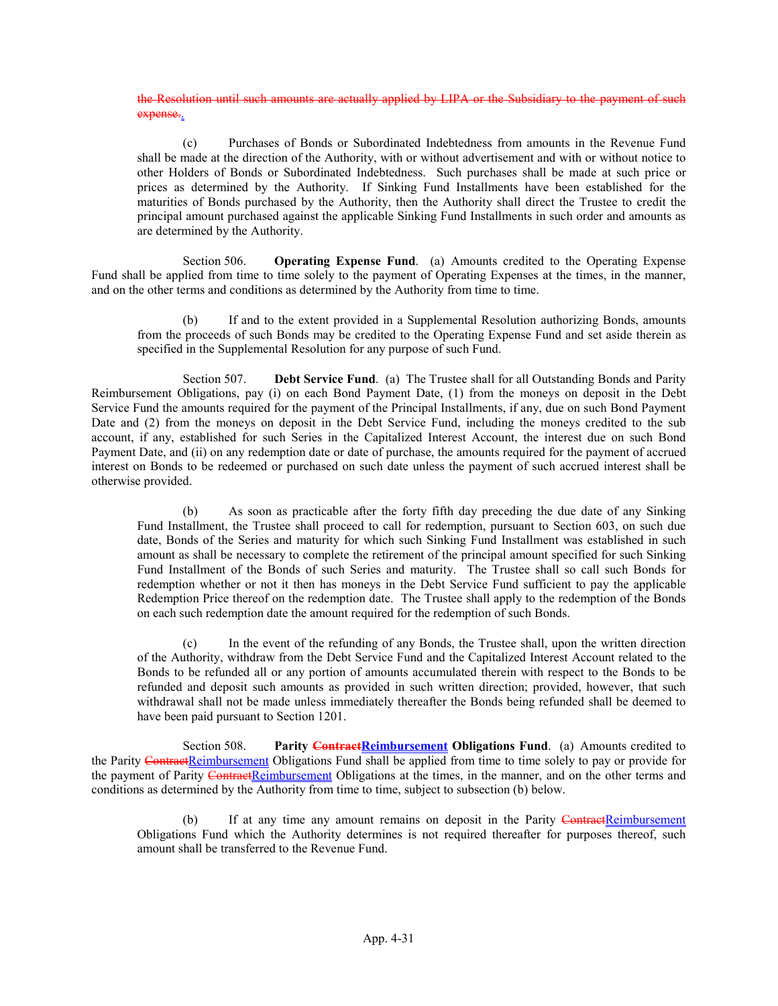the Resolution until such amounts are actually applied by LIPA or the Subsidiary to the payment of such expense.

(c) Purchases of Bonds or Subordinated Indebtedness from amounts in the Revenue Fund shall be made at the direction of the Authority, with or without advertisement and with or without notice to other Holders of Bonds or Subordinated Indebtedness. Such purchases shall be made at such price or prices as determined by the Authority. If Sinking Fund Installments have been established for the maturities of Bonds purchased by the Authority, then the Authority shall direct the Trustee to credit the principal amount purchased against the applicable Sinking Fund Installments in such order and amounts as are determined by the Authority.

Section 506. Operating Expense Fund. (a) Amounts credited to the Operating Expense Fund shall be applied from time to time solely to the payment of Operating Expenses at the times, in the manner, and on the other terms and conditions as determined by the Authority from time to time.

(b) If and to the extent provided in a Supplemental Resolution authorizing Bonds, amounts from the proceeds of such Bonds may be credited to the Operating Expense Fund and set aside therein as specified in the Supplemental Resolution for any purpose of such Fund.

Section 507. **Debt Service Fund.** (a) The Trustee shall for all Outstanding Bonds and Parity Reimbursement Obligations, pay (i) on each Bond Payment Date, (1) from the moneys on deposit in the Debt Service Fund the amounts required for the payment of the Principal Installments, if any, due on such Bond Payment Date and (2) from the moneys on deposit in the Debt Service Fund, including the moneys credited to the sub account, if any, established for such Series in the Capitalized Interest Account, the interest due on such Bond Payment Date, and (ii) on any redemption date or date of purchase, the amounts required for the payment of accrued interest on Bonds to be redeemed or purchased on such date unless the payment of such accrued interest shall be otherwise provided.

(b) As soon as practicable after the forty fifth day preceding the due date of any Sinking Fund Installment, the Trustee shall proceed to call for redemption, pursuant to Section 603, on such due date, Bonds of the Series and maturity for which such Sinking Fund Installment was established in such amount as shall be necessary to complete the retirement of the principal amount specified for such Sinking Fund Installment of the Bonds of such Series and maturity. The Trustee shall so call such Bonds for redemption whether or not it then has moneys in the Debt Service Fund sufficient to pay the applicable Redemption Price thereof on the redemption date. The Trustee shall apply to the redemption of the Bonds on each such redemption date the amount required for the redemption of such Bonds.

(c) In the event of the refunding of any Bonds, the Trustee shall, upon the written direction of the Authority, withdraw from the Debt Service Fund and the Capitalized Interest Account related to the Bonds to be refunded all or any portion of amounts accumulated therein with respect to the Bonds to be refunded and deposit such amounts as provided in such written direction; provided, however, that such withdrawal shall not be made unless immediately thereafter the Bonds being refunded shall be deemed to have been paid pursuant to Section 1201.

Section 508. Parity **ContractReimbursement Obligations Fund.** (a) Amounts credited to the Parity ContractReimbursement Obligations Fund shall be applied from time to time solely to pay or provide for the payment of Parity ContractReimbursement Obligations at the times, in the manner, and on the other terms and conditions as determined by the Authority from time to time, subject to subsection (b) below.

(b) If at any time any amount remains on deposit in the Parity ContractReimbursement Obligations Fund which the Authority determines is not required thereafter for purposes thereof, such amount shall be transferred to the Revenue Fund.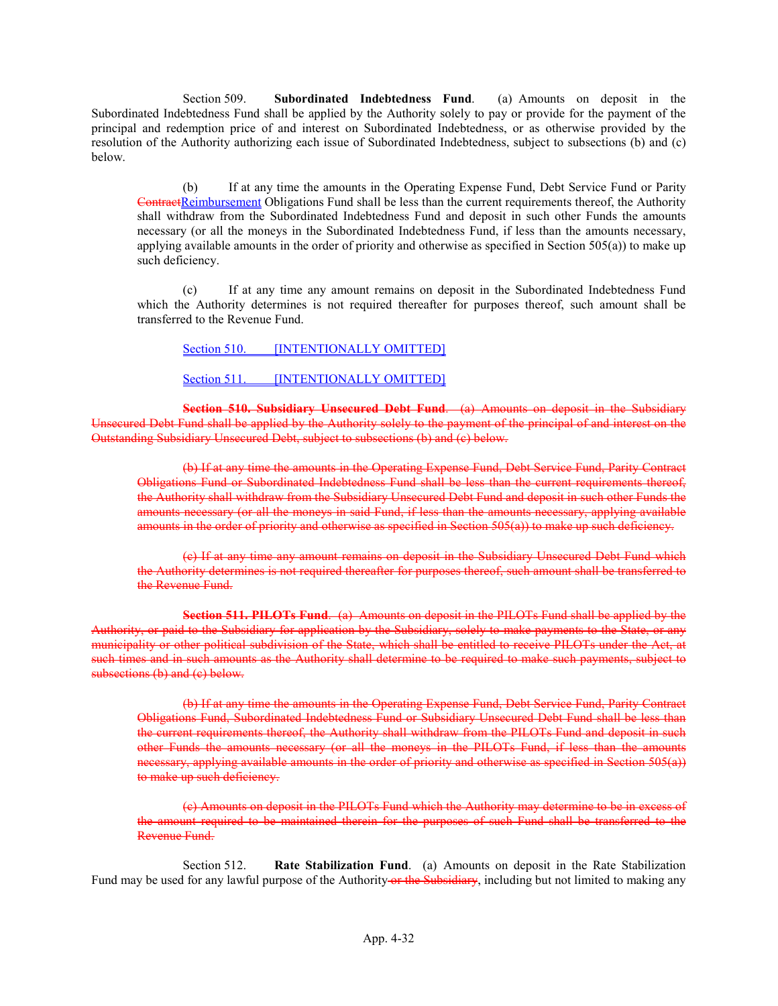Section 509. Subordinated Indebtedness Fund. (a) Amounts on deposit in the Subordinated Indebtedness Fund shall be applied by the Authority solely to pay or provide for the payment of the principal and redemption price of and interest on Subordinated Indebtedness, or as otherwise provided by the resolution of the Authority authorizing each issue of Subordinated Indebtedness, subject to subsections (b) and (c) below.

(b) If at any time the amounts in the Operating Expense Fund, Debt Service Fund or Parity ContractReimbursement Obligations Fund shall be less than the current requirements thereof, the Authority shall withdraw from the Subordinated Indebtedness Fund and deposit in such other Funds the amounts necessary (or all the moneys in the Subordinated Indebtedness Fund, if less than the amounts necessary, applying available amounts in the order of priority and otherwise as specified in Section 505(a)) to make up such deficiency.

(c) If at any time any amount remains on deposit in the Subordinated Indebtedness Fund which the Authority determines is not required thereafter for purposes thereof, such amount shall be transferred to the Revenue Fund.

### Section 510. **[INTENTIONALLY OMITTED]**

### Section 511. [INTENTIONALLY OMITTED]

Section 510. Subsidiary Unsecured Debt Fund. (a) Amounts on deposit in the Subsidiary Unsecured Debt Fund shall be applied by the Authority solely to the payment of the principal of and interest on the Outstanding Subsidiary Unsecured Debt, subject to subsections (b) and (c) below.

(b) If at any time the amounts in the Operating Expense Fund, Debt Service Fund, Parity Contract Obligations Fund or Subordinated Indebtedness Fund shall be less than the current requirements thereof, the Authority shall withdraw from the Subsidiary Unsecured Debt Fund and deposit in such other Funds the amounts necessary (or all the moneys in said Fund, if less than the amounts necessary, applying available amounts in the order of priority and otherwise as specified in Section 505(a)) to make up such deficiency.

(c) If at any time any amount remains on deposit in the Subsidiary Unsecured Debt Fund which the Authority determines is not required thereafter for purposes thereof, such amount shall be transferred to the Revenue Fund.

Section 511. PILOTs Fund. (a) Amounts on deposit in the PILOTs Fund shall be applied by the Authority, or paid to the Subsidiary for application by the Subsidiary, solely to make payments to the State, or any municipality or other political subdivision of the State, which shall be entitled to receive PILOTs under the Act, at such times and in such amounts as the Authority shall determine to be required to make such payments, subject to subsections (b) and (c) below.

(b) If at any time the amounts in the Operating Expense Fund, Debt Service Fund, Parity Contract Obligations Fund, Subordinated Indebtedness Fund or Subsidiary Unsecured Debt Fund shall be less than the current requirements thereof, the Authority shall withdraw from the PILOTs Fund and deposit in such other Funds the amounts necessary (or all the moneys in the PILOTs Fund, if less than the amounts necessary, applying available amounts in the order of priority and otherwise as specified in Section 505(a)) to make up such deficiency.

(c) Amounts on deposit in the PILOTs Fund which the Authority may determine to be in excess of the amount required to be maintained therein for the purposes of such Fund shall be transferred to the Revenue Fund.

Section 512. Rate Stabilization Fund. (a) Amounts on deposit in the Rate Stabilization Fund may be used for any lawful purpose of the Authority or the Subsidiary, including but not limited to making any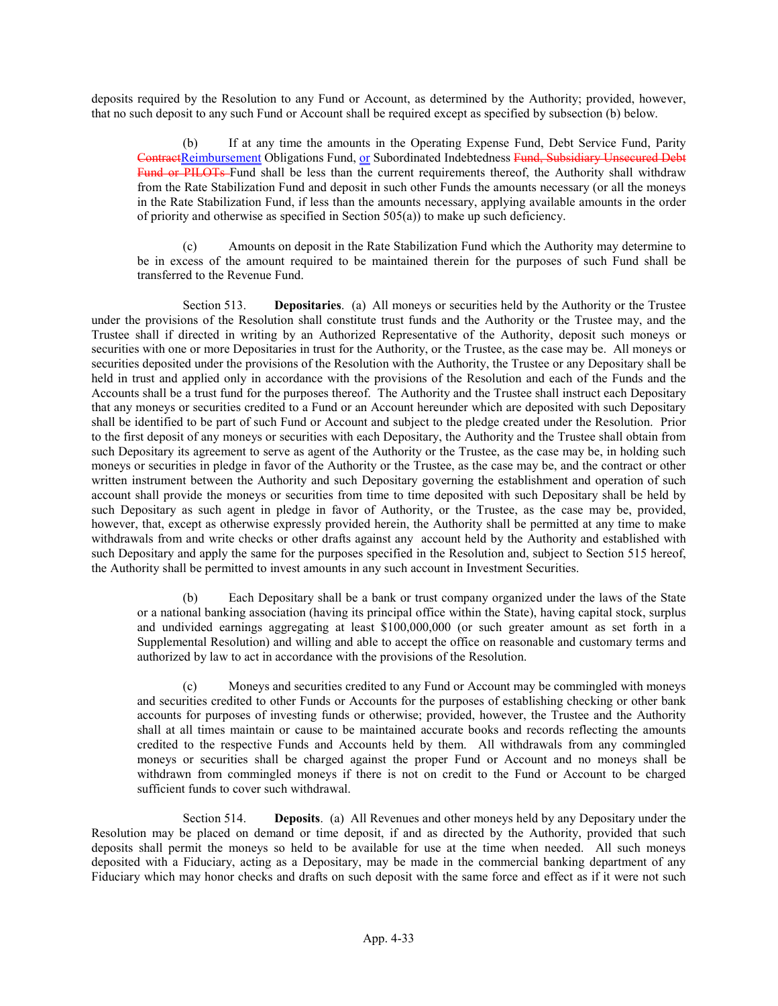deposits required by the Resolution to any Fund or Account, as determined by the Authority; provided, however, that no such deposit to any such Fund or Account shall be required except as specified by subsection (b) below.

(b) If at any time the amounts in the Operating Expense Fund, Debt Service Fund, Parity ContractReimbursement Obligations Fund, or Subordinated Indebtedness Fund, Subsidiary Unsecured Debt Fund or PILOTs Fund shall be less than the current requirements thereof, the Authority shall withdraw from the Rate Stabilization Fund and deposit in such other Funds the amounts necessary (or all the moneys in the Rate Stabilization Fund, if less than the amounts necessary, applying available amounts in the order of priority and otherwise as specified in Section 505(a)) to make up such deficiency.

(c) Amounts on deposit in the Rate Stabilization Fund which the Authority may determine to be in excess of the amount required to be maintained therein for the purposes of such Fund shall be transferred to the Revenue Fund.

Section 513. **Depositaries.** (a) All moneys or securities held by the Authority or the Trustee under the provisions of the Resolution shall constitute trust funds and the Authority or the Trustee may, and the Trustee shall if directed in writing by an Authorized Representative of the Authority, deposit such moneys or securities with one or more Depositaries in trust for the Authority, or the Trustee, as the case may be. All moneys or securities deposited under the provisions of the Resolution with the Authority, the Trustee or any Depositary shall be held in trust and applied only in accordance with the provisions of the Resolution and each of the Funds and the Accounts shall be a trust fund for the purposes thereof. The Authority and the Trustee shall instruct each Depositary that any moneys or securities credited to a Fund or an Account hereunder which are deposited with such Depositary shall be identified to be part of such Fund or Account and subject to the pledge created under the Resolution. Prior to the first deposit of any moneys or securities with each Depositary, the Authority and the Trustee shall obtain from such Depositary its agreement to serve as agent of the Authority or the Trustee, as the case may be, in holding such moneys or securities in pledge in favor of the Authority or the Trustee, as the case may be, and the contract or other written instrument between the Authority and such Depositary governing the establishment and operation of such account shall provide the moneys or securities from time to time deposited with such Depositary shall be held by such Depositary as such agent in pledge in favor of Authority, or the Trustee, as the case may be, provided, however, that, except as otherwise expressly provided herein, the Authority shall be permitted at any time to make withdrawals from and write checks or other drafts against any account held by the Authority and established with such Depositary and apply the same for the purposes specified in the Resolution and, subject to Section 515 hereof, the Authority shall be permitted to invest amounts in any such account in Investment Securities.

(b) Each Depositary shall be a bank or trust company organized under the laws of the State or a national banking association (having its principal office within the State), having capital stock, surplus and undivided earnings aggregating at least \$100,000,000 (or such greater amount as set forth in a Supplemental Resolution) and willing and able to accept the office on reasonable and customary terms and authorized by law to act in accordance with the provisions of the Resolution.

(c) Moneys and securities credited to any Fund or Account may be commingled with moneys and securities credited to other Funds or Accounts for the purposes of establishing checking or other bank accounts for purposes of investing funds or otherwise; provided, however, the Trustee and the Authority shall at all times maintain or cause to be maintained accurate books and records reflecting the amounts credited to the respective Funds and Accounts held by them. All withdrawals from any commingled moneys or securities shall be charged against the proper Fund or Account and no moneys shall be withdrawn from commingled moneys if there is not on credit to the Fund or Account to be charged sufficient funds to cover such withdrawal.

Section 514. Deposits. (a) All Revenues and other moneys held by any Depositary under the Resolution may be placed on demand or time deposit, if and as directed by the Authority, provided that such deposits shall permit the moneys so held to be available for use at the time when needed. All such moneys deposited with a Fiduciary, acting as a Depositary, may be made in the commercial banking department of any Fiduciary which may honor checks and drafts on such deposit with the same force and effect as if it were not such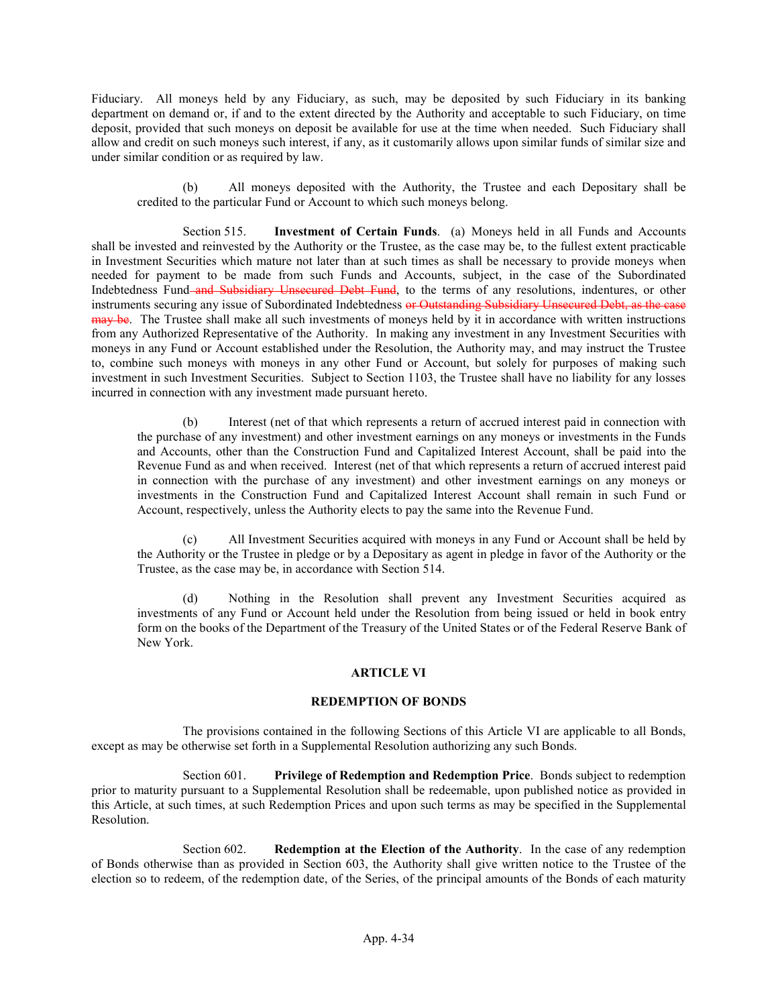Fiduciary. All moneys held by any Fiduciary, as such, may be deposited by such Fiduciary in its banking department on demand or, if and to the extent directed by the Authority and acceptable to such Fiduciary, on time deposit, provided that such moneys on deposit be available for use at the time when needed. Such Fiduciary shall allow and credit on such moneys such interest, if any, as it customarily allows upon similar funds of similar size and under similar condition or as required by law.

(b) All moneys deposited with the Authority, the Trustee and each Depositary shall be credited to the particular Fund or Account to which such moneys belong.

Section 515. Investment of Certain Funds. (a) Moneys held in all Funds and Accounts shall be invested and reinvested by the Authority or the Trustee, as the case may be, to the fullest extent practicable in Investment Securities which mature not later than at such times as shall be necessary to provide moneys when needed for payment to be made from such Funds and Accounts, subject, in the case of the Subordinated Indebtedness Fund and Subsidiary Unsecured Debt Fund, to the terms of any resolutions, indentures, or other instruments securing any issue of Subordinated Indebtedness or Outstanding Subsidiary Unsecured Debt, as the case may be. The Trustee shall make all such investments of moneys held by it in accordance with written instructions from any Authorized Representative of the Authority. In making any investment in any Investment Securities with moneys in any Fund or Account established under the Resolution, the Authority may, and may instruct the Trustee to, combine such moneys with moneys in any other Fund or Account, but solely for purposes of making such investment in such Investment Securities. Subject to Section 1103, the Trustee shall have no liability for any losses incurred in connection with any investment made pursuant hereto.

(b) Interest (net of that which represents a return of accrued interest paid in connection with the purchase of any investment) and other investment earnings on any moneys or investments in the Funds and Accounts, other than the Construction Fund and Capitalized Interest Account, shall be paid into the Revenue Fund as and when received. Interest (net of that which represents a return of accrued interest paid in connection with the purchase of any investment) and other investment earnings on any moneys or investments in the Construction Fund and Capitalized Interest Account shall remain in such Fund or Account, respectively, unless the Authority elects to pay the same into the Revenue Fund.

(c) All Investment Securities acquired with moneys in any Fund or Account shall be held by the Authority or the Trustee in pledge or by a Depositary as agent in pledge in favor of the Authority or the Trustee, as the case may be, in accordance with Section 514.

(d) Nothing in the Resolution shall prevent any Investment Securities acquired as investments of any Fund or Account held under the Resolution from being issued or held in book entry form on the books of the Department of the Treasury of the United States or of the Federal Reserve Bank of New York.

### ARTICLE VI

#### REDEMPTION OF BONDS

The provisions contained in the following Sections of this Article VI are applicable to all Bonds, except as may be otherwise set forth in a Supplemental Resolution authorizing any such Bonds.

Section 601. Privilege of Redemption and Redemption Price. Bonds subject to redemption prior to maturity pursuant to a Supplemental Resolution shall be redeemable, upon published notice as provided in this Article, at such times, at such Redemption Prices and upon such terms as may be specified in the Supplemental Resolution.

Section 602. Redemption at the Election of the Authority. In the case of any redemption of Bonds otherwise than as provided in Section 603, the Authority shall give written notice to the Trustee of the election so to redeem, of the redemption date, of the Series, of the principal amounts of the Bonds of each maturity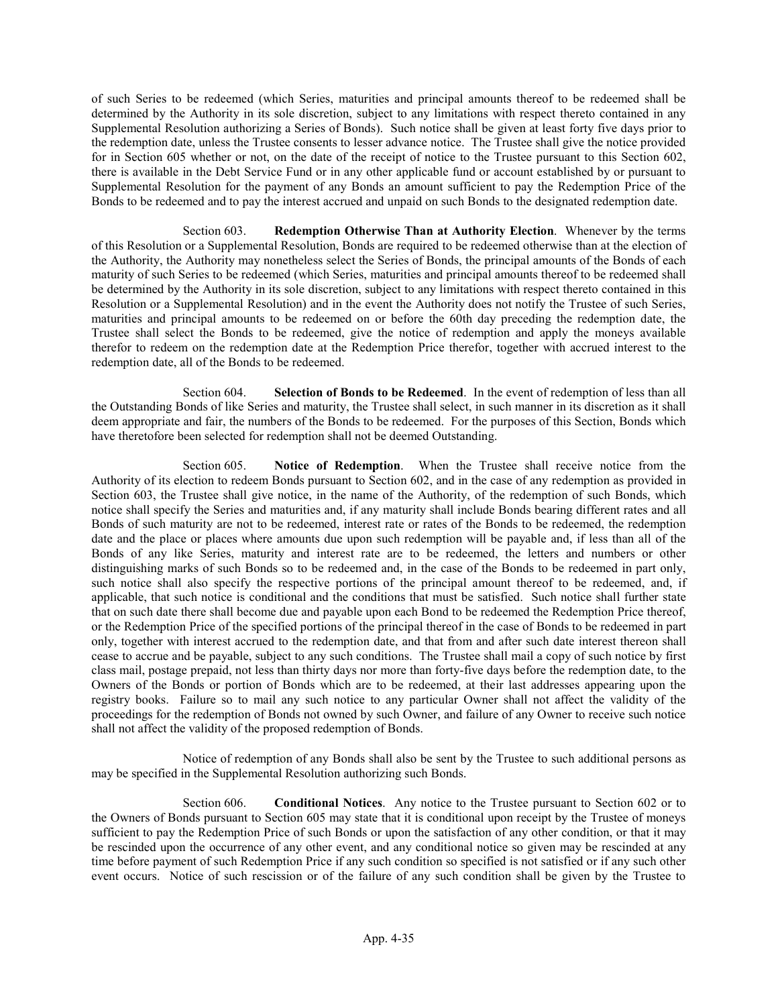of such Series to be redeemed (which Series, maturities and principal amounts thereof to be redeemed shall be determined by the Authority in its sole discretion, subject to any limitations with respect thereto contained in any Supplemental Resolution authorizing a Series of Bonds). Such notice shall be given at least forty five days prior to the redemption date, unless the Trustee consents to lesser advance notice. The Trustee shall give the notice provided for in Section 605 whether or not, on the date of the receipt of notice to the Trustee pursuant to this Section 602, there is available in the Debt Service Fund or in any other applicable fund or account established by or pursuant to Supplemental Resolution for the payment of any Bonds an amount sufficient to pay the Redemption Price of the Bonds to be redeemed and to pay the interest accrued and unpaid on such Bonds to the designated redemption date.

Section 603. Redemption Otherwise Than at Authority Election. Whenever by the terms of this Resolution or a Supplemental Resolution, Bonds are required to be redeemed otherwise than at the election of the Authority, the Authority may nonetheless select the Series of Bonds, the principal amounts of the Bonds of each maturity of such Series to be redeemed (which Series, maturities and principal amounts thereof to be redeemed shall be determined by the Authority in its sole discretion, subject to any limitations with respect thereto contained in this Resolution or a Supplemental Resolution) and in the event the Authority does not notify the Trustee of such Series, maturities and principal amounts to be redeemed on or before the 60th day preceding the redemption date, the Trustee shall select the Bonds to be redeemed, give the notice of redemption and apply the moneys available therefor to redeem on the redemption date at the Redemption Price therefor, together with accrued interest to the redemption date, all of the Bonds to be redeemed.

Section 604. Selection of Bonds to be Redeemed. In the event of redemption of less than all the Outstanding Bonds of like Series and maturity, the Trustee shall select, in such manner in its discretion as it shall deem appropriate and fair, the numbers of the Bonds to be redeemed. For the purposes of this Section, Bonds which have theretofore been selected for redemption shall not be deemed Outstanding.

Section 605. Notice of Redemption. When the Trustee shall receive notice from the Authority of its election to redeem Bonds pursuant to Section 602, and in the case of any redemption as provided in Section 603, the Trustee shall give notice, in the name of the Authority, of the redemption of such Bonds, which notice shall specify the Series and maturities and, if any maturity shall include Bonds bearing different rates and all Bonds of such maturity are not to be redeemed, interest rate or rates of the Bonds to be redeemed, the redemption date and the place or places where amounts due upon such redemption will be payable and, if less than all of the Bonds of any like Series, maturity and interest rate are to be redeemed, the letters and numbers or other distinguishing marks of such Bonds so to be redeemed and, in the case of the Bonds to be redeemed in part only, such notice shall also specify the respective portions of the principal amount thereof to be redeemed, and, if applicable, that such notice is conditional and the conditions that must be satisfied. Such notice shall further state that on such date there shall become due and payable upon each Bond to be redeemed the Redemption Price thereof, or the Redemption Price of the specified portions of the principal thereof in the case of Bonds to be redeemed in part only, together with interest accrued to the redemption date, and that from and after such date interest thereon shall cease to accrue and be payable, subject to any such conditions. The Trustee shall mail a copy of such notice by first class mail, postage prepaid, not less than thirty days nor more than forty-five days before the redemption date, to the Owners of the Bonds or portion of Bonds which are to be redeemed, at their last addresses appearing upon the registry books. Failure so to mail any such notice to any particular Owner shall not affect the validity of the proceedings for the redemption of Bonds not owned by such Owner, and failure of any Owner to receive such notice shall not affect the validity of the proposed redemption of Bonds.

Notice of redemption of any Bonds shall also be sent by the Trustee to such additional persons as may be specified in the Supplemental Resolution authorizing such Bonds.

Section 606. **Conditional Notices**. Any notice to the Trustee pursuant to Section 602 or to the Owners of Bonds pursuant to Section 605 may state that it is conditional upon receipt by the Trustee of moneys sufficient to pay the Redemption Price of such Bonds or upon the satisfaction of any other condition, or that it may be rescinded upon the occurrence of any other event, and any conditional notice so given may be rescinded at any time before payment of such Redemption Price if any such condition so specified is not satisfied or if any such other event occurs. Notice of such rescission or of the failure of any such condition shall be given by the Trustee to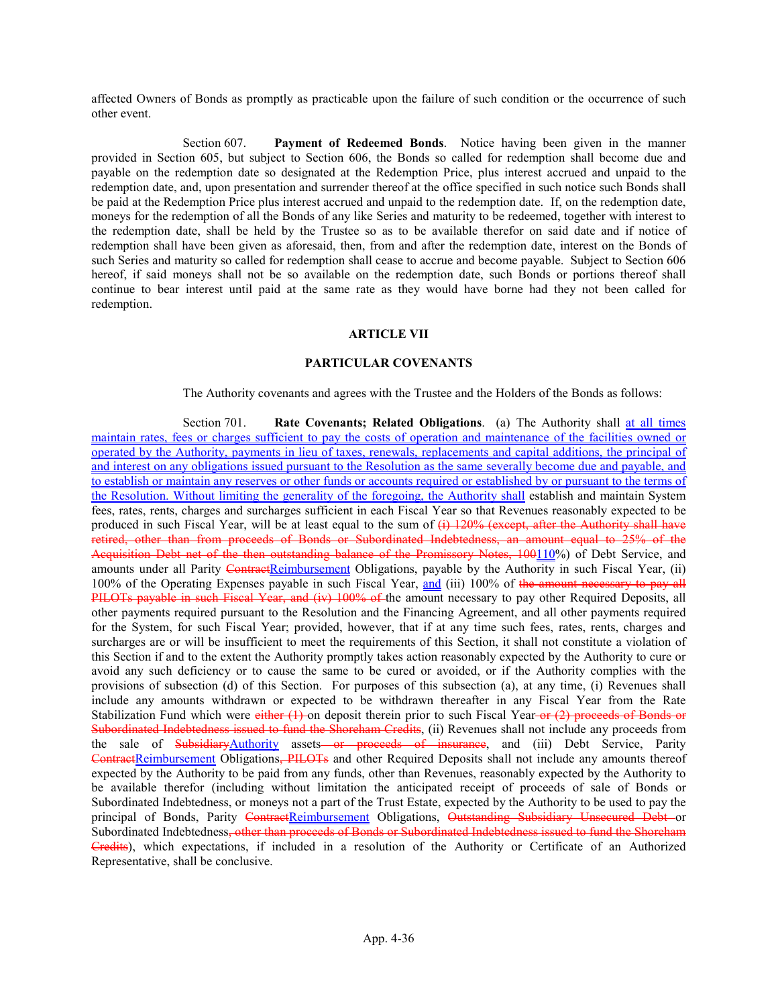affected Owners of Bonds as promptly as practicable upon the failure of such condition or the occurrence of such other event.

Section 607. Payment of Redeemed Bonds. Notice having been given in the manner provided in Section 605, but subject to Section 606, the Bonds so called for redemption shall become due and payable on the redemption date so designated at the Redemption Price, plus interest accrued and unpaid to the redemption date, and, upon presentation and surrender thereof at the office specified in such notice such Bonds shall be paid at the Redemption Price plus interest accrued and unpaid to the redemption date. If, on the redemption date, moneys for the redemption of all the Bonds of any like Series and maturity to be redeemed, together with interest to the redemption date, shall be held by the Trustee so as to be available therefor on said date and if notice of redemption shall have been given as aforesaid, then, from and after the redemption date, interest on the Bonds of such Series and maturity so called for redemption shall cease to accrue and become payable. Subject to Section 606 hereof, if said moneys shall not be so available on the redemption date, such Bonds or portions thereof shall continue to bear interest until paid at the same rate as they would have borne had they not been called for redemption.

#### ARTICLE VII

### PARTICULAR COVENANTS

The Authority covenants and agrees with the Trustee and the Holders of the Bonds as follows:

Section 701. **Rate Covenants; Related Obligations.** (a) The Authority shall at all times maintain rates, fees or charges sufficient to pay the costs of operation and maintenance of the facilities owned or operated by the Authority, payments in lieu of taxes, renewals, replacements and capital additions, the principal of and interest on any obligations issued pursuant to the Resolution as the same severally become due and payable, and to establish or maintain any reserves or other funds or accounts required or established by or pursuant to the terms of the Resolution. Without limiting the generality of the foregoing, the Authority shall establish and maintain System fees, rates, rents, charges and surcharges sufficient in each Fiscal Year so that Revenues reasonably expected to be produced in such Fiscal Year, will be at least equal to the sum of  $(i)$  120% (except, after the Authority shall have retired, other than from proceeds of Bonds or Subordinated Indebtedness, an amount equal to 25% of the Acquisition Debt net of the then outstanding balance of the Promissory Notes, 100110%) of Debt Service, and amounts under all Parity ContractReimbursement Obligations, payable by the Authority in such Fiscal Year, (ii) 100% of the Operating Expenses payable in such Fiscal Year, and (iii) 100% of the amount necessary to pay all PILOTs payable in such Fiscal Year, and (iv) 100% of the amount necessary to pay other Required Deposits, all other payments required pursuant to the Resolution and the Financing Agreement, and all other payments required for the System, for such Fiscal Year; provided, however, that if at any time such fees, rates, rents, charges and surcharges are or will be insufficient to meet the requirements of this Section, it shall not constitute a violation of this Section if and to the extent the Authority promptly takes action reasonably expected by the Authority to cure or avoid any such deficiency or to cause the same to be cured or avoided, or if the Authority complies with the provisions of subsection (d) of this Section. For purposes of this subsection (a), at any time, (i) Revenues shall include any amounts withdrawn or expected to be withdrawn thereafter in any Fiscal Year from the Rate Stabilization Fund which were either  $(1)$ -on deposit therein prior to such Fiscal Year-or  $(2)$  proceeds of Bonds or Subordinated Indebtedness issued to fund the Shoreham Credits, (ii) Revenues shall not include any proceeds from the sale of SubsidiaryAuthority assets or proceeds of insurance, and (iii) Debt Service, Parity ContractReimbursement Obligations, PILOTs and other Required Deposits shall not include any amounts thereof expected by the Authority to be paid from any funds, other than Revenues, reasonably expected by the Authority to be available therefor (including without limitation the anticipated receipt of proceeds of sale of Bonds or Subordinated Indebtedness, or moneys not a part of the Trust Estate, expected by the Authority to be used to pay the principal of Bonds, Parity ContractReimbursement Obligations, Outstanding Subsidiary Unsecured Debt or Subordinated Indebtedness<del>, other than proceeds of Bonds or Subordinated Indebtedness issued to fund the Shoreham</del> Credits), which expectations, if included in a resolution of the Authority or Certificate of an Authorized Representative, shall be conclusive.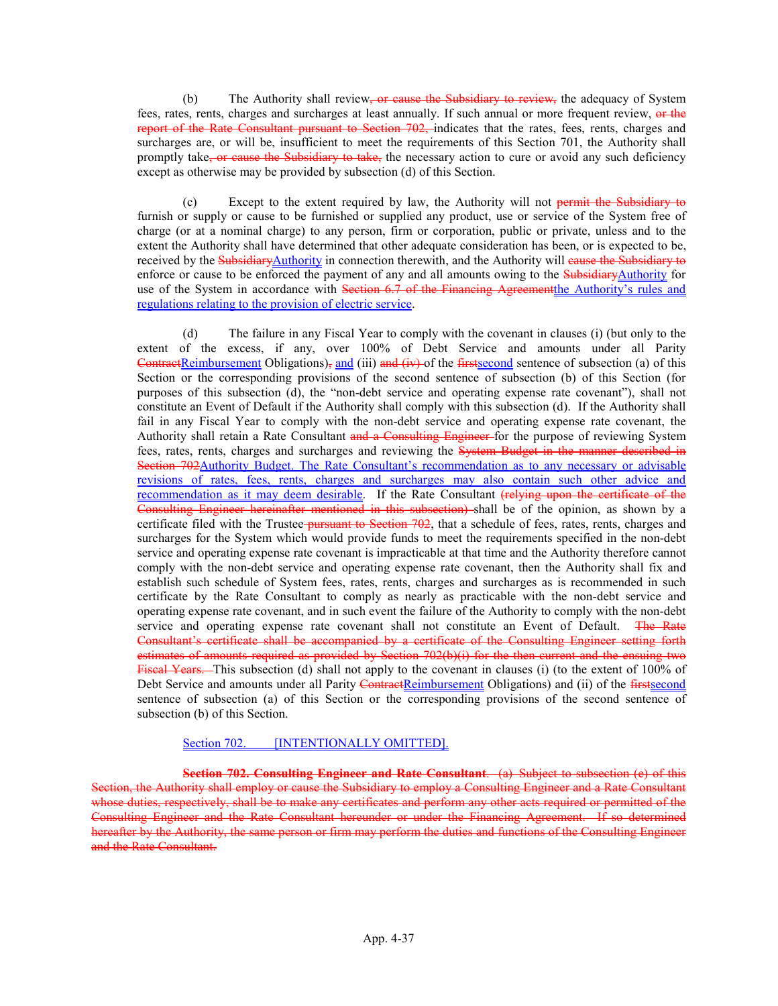(b) The Authority shall review, or cause the Subsidiary to review, the adequacy of System fees, rates, rents, charges and surcharges at least annually. If such annual or more frequent review, or the report of the Rate Consultant pursuant to Section 702, indicates that the rates, fees, rents, charges and surcharges are, or will be, insufficient to meet the requirements of this Section 701, the Authority shall promptly take<del>, or cause the Subsidiary to take,</del> the necessary action to cure or avoid any such deficiency except as otherwise may be provided by subsection (d) of this Section.

(c) Except to the extent required by law, the Authority will not permit the Subsidiary to furnish or supply or cause to be furnished or supplied any product, use or service of the System free of charge (or at a nominal charge) to any person, firm or corporation, public or private, unless and to the extent the Authority shall have determined that other adequate consideration has been, or is expected to be, received by the Subsidiary Authority in connection therewith, and the Authority will cause the Subsidiary to enforce or cause to be enforced the payment of any and all amounts owing to the SubsidiaryAuthority for use of the System in accordance with Section 6.7 of the Financing Agreement the Authority's rules and regulations relating to the provision of electric service.

(d) The failure in any Fiscal Year to comply with the covenant in clauses (i) (but only to the extent of the excess, if any, over 100% of Debt Service and amounts under all Parity ContractReimbursement Obligations), and (iii) and (iv) of the firstsecond sentence of subsection (a) of this Section or the corresponding provisions of the second sentence of subsection (b) of this Section (for purposes of this subsection (d), the "non-debt service and operating expense rate covenant"), shall not constitute an Event of Default if the Authority shall comply with this subsection (d). If the Authority shall fail in any Fiscal Year to comply with the non-debt service and operating expense rate covenant, the Authority shall retain a Rate Consultant and a Consulting Engineer-for the purpose of reviewing System fees, rates, rents, charges and surcharges and reviewing the System Budget in the manner described in Section 702 Authority Budget. The Rate Consultant's recommendation as to any necessary or advisable revisions of rates, fees, rents, charges and surcharges may also contain such other advice and recommendation as it may deem desirable. If the Rate Consultant (relying upon the certificate of the Consulting Engineer hereinafter mentioned in this subsection) shall be of the opinion, as shown by a certificate filed with the Trustee-pursuant to Section 702, that a schedule of fees, rates, rents, charges and surcharges for the System which would provide funds to meet the requirements specified in the non-debt service and operating expense rate covenant is impracticable at that time and the Authority therefore cannot comply with the non-debt service and operating expense rate covenant, then the Authority shall fix and establish such schedule of System fees, rates, rents, charges and surcharges as is recommended in such certificate by the Rate Consultant to comply as nearly as practicable with the non-debt service and operating expense rate covenant, and in such event the failure of the Authority to comply with the non-debt service and operating expense rate covenant shall not constitute an Event of Default. The Rate Consultant's certificate shall be accompanied by a certificate of the Consulting Engineer setting forth estimates of amounts required as provided by Section 702(b)(i) for the then current and the ensuing two Fiscal Years. This subsection (d) shall not apply to the covenant in clauses (i) (to the extent of 100% of Debt Service and amounts under all Parity ContractReimbursement Obligations) and (ii) of the *firstsecond* sentence of subsection (a) of this Section or the *corresponding* provisions of the second sentence of subsection (b) of this Section.

### Section 702. **[INTENTIONALLY OMITTED]**.

Section 702. Consulting Engineer and Rate Consultant. (a) Subject to subsection (e) of this Section, the Authority shall employ or cause the Subsidiary to employ a Consulting Engineer and a Rate Consultant whose duties, respectively, shall be to make any certificates and perform any other acts required or permitted of the Consulting Engineer and the Rate Consultant hereunder or under the Financing Agreement. If so determined hereafter by the Authority, the same person or firm may perform the duties and functions of the Consulting Engineer and the Rate Consultant.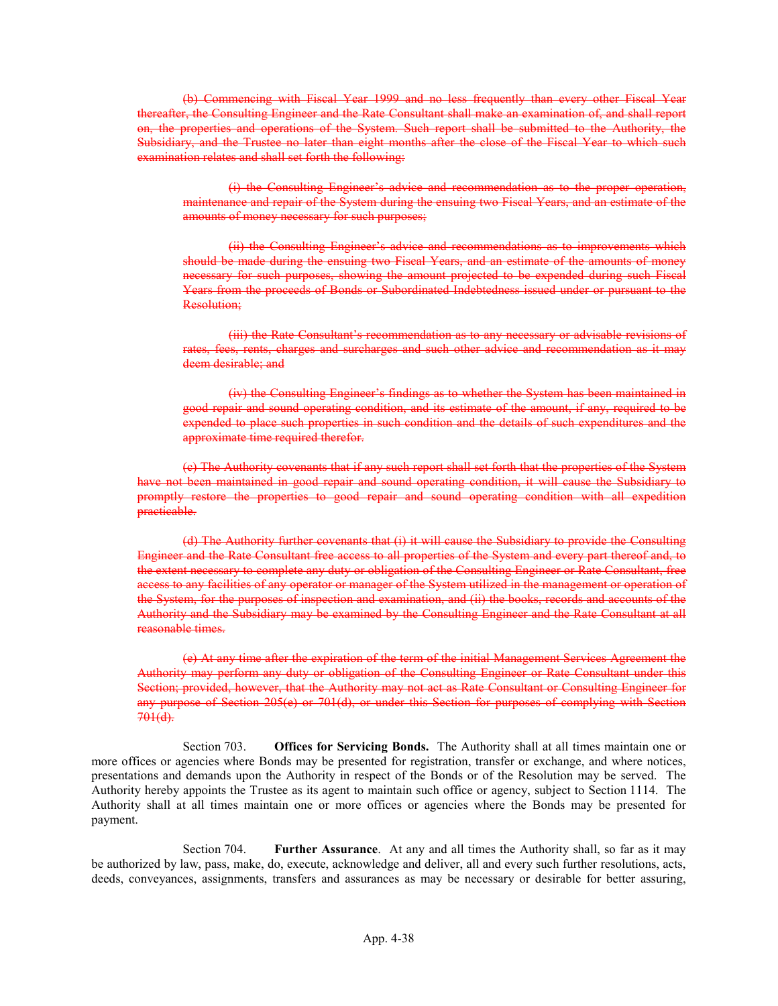(b) Commencing with Fiscal Year 1999 and no less frequently than every other Fiscal Year thereafter, the Consulting Engineer and the Rate Consultant shall make an examination of, and shall report on, the properties and operations of the System. Such report shall be submitted to the Authority, the Subsidiary, and the Trustee no later than eight months after the close of the Fiscal Year to which such examination relates and shall set forth the following:

(i) the Consulting Engineer's advice and recommendation as to the proper operation, maintenance and repair of the System during the ensuing two Fiscal Years, and an estimate of the amounts of money necessary for such purposes;

(ii) the Consulting Engineer's advice and recommendations as to improvements which should be made during the ensuing two Fiscal Years, and an estimate of the amounts of money necessary for such purposes, showing the amount projected to be expended during such Fiscal Years from the proceeds of Bonds or Subordinated Indebtedness issued under or pursuant to the Resolution;

(iii) the Rate Consultant's recommendation as to any necessary or advisable revisions of rates, fees, rents, charges and surcharges and such other advice and recommendation as it may deem desirable; and

(iv) the Consulting Engineer's findings as to whether the System has been maintained in good repair and sound operating condition, and its estimate of the amount, if any, required to be expended to place such properties in such condition and the details of such expenditures and the approximate time required therefor.

(c) The Authority covenants that if any such report shall set forth that the properties of the System have not been maintained in good repair and sound operating condition, it will cause the Subsidiary to promptly restore the properties to good repair and sound operating condition with all expedition practicable.

(d) The Authority further covenants that (i) it will cause the Subsidiary to provide the Consulting Engineer and the Rate Consultant free access to all properties of the System and every part thereof and, to the extent necessary to complete any duty or obligation of the Consulting Engineer or Rate Consultant, free access to any facilities of any operator or manager of the System utilized in the management or operation of the System, for the purposes of inspection and examination, and (ii) the books, records and accounts of the Authority and the Subsidiary may be examined by the Consulting Engineer and the Rate Consultant at all reasonable times.

(e) At any time after the expiration of the term of the initial Management Services Agreement the Authority may perform any duty or obligation of the Consulting Engineer or Rate Consultant under this Section; provided, however, that the Authority may not act as Rate Consultant or Consulting Engineer for any purpose of Section 205(e) or 701(d), or under this Section for purposes of complying with Section  $701(d)$ .

Section 703. Offices for Servicing Bonds. The Authority shall at all times maintain one or more offices or agencies where Bonds may be presented for registration, transfer or exchange, and where notices, presentations and demands upon the Authority in respect of the Bonds or of the Resolution may be served. The Authority hereby appoints the Trustee as its agent to maintain such office or agency, subject to Section 1114. The Authority shall at all times maintain one or more offices or agencies where the Bonds may be presented for payment.

Section 704. Further Assurance. At any and all times the Authority shall, so far as it may be authorized by law, pass, make, do, execute, acknowledge and deliver, all and every such further resolutions, acts, deeds, conveyances, assignments, transfers and assurances as may be necessary or desirable for better assuring,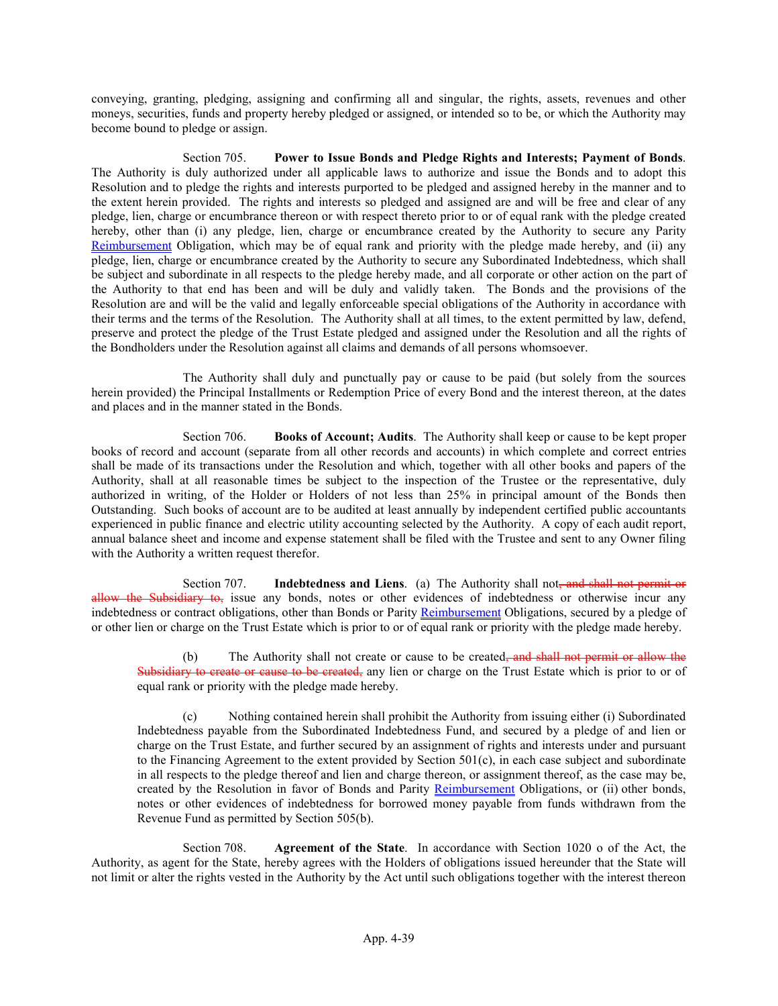conveying, granting, pledging, assigning and confirming all and singular, the rights, assets, revenues and other moneys, securities, funds and property hereby pledged or assigned, or intended so to be, or which the Authority may become bound to pledge or assign.

Section 705. Power to Issue Bonds and Pledge Rights and Interests; Payment of Bonds. The Authority is duly authorized under all applicable laws to authorize and issue the Bonds and to adopt this Resolution and to pledge the rights and interests purported to be pledged and assigned hereby in the manner and to the extent herein provided. The rights and interests so pledged and assigned are and will be free and clear of any pledge, lien, charge or encumbrance thereon or with respect thereto prior to or of equal rank with the pledge created hereby, other than (i) any pledge, lien, charge or encumbrance created by the Authority to secure any Parity Reimbursement Obligation, which may be of equal rank and priority with the pledge made hereby, and (ii) any pledge, lien, charge or encumbrance created by the Authority to secure any Subordinated Indebtedness, which shall be subject and subordinate in all respects to the pledge hereby made, and all corporate or other action on the part of the Authority to that end has been and will be duly and validly taken. The Bonds and the provisions of the Resolution are and will be the valid and legally enforceable special obligations of the Authority in accordance with their terms and the terms of the Resolution. The Authority shall at all times, to the extent permitted by law, defend, preserve and protect the pledge of the Trust Estate pledged and assigned under the Resolution and all the rights of the Bondholders under the Resolution against all claims and demands of all persons whomsoever.

The Authority shall duly and punctually pay or cause to be paid (but solely from the sources herein provided) the Principal Installments or Redemption Price of every Bond and the interest thereon, at the dates and places and in the manner stated in the Bonds.

Section 706. Books of Account; Audits. The Authority shall keep or cause to be kept proper books of record and account (separate from all other records and accounts) in which complete and correct entries shall be made of its transactions under the Resolution and which, together with all other books and papers of the Authority, shall at all reasonable times be subject to the inspection of the Trustee or the representative, duly authorized in writing, of the Holder or Holders of not less than 25% in principal amount of the Bonds then Outstanding. Such books of account are to be audited at least annually by independent certified public accountants experienced in public finance and electric utility accounting selected by the Authority. A copy of each audit report, annual balance sheet and income and expense statement shall be filed with the Trustee and sent to any Owner filing with the Authority a written request therefor.

Section 707. Indebtedness and Liens. (a) The Authority shall not, and shall not permit or allow the Subsidiary to, issue any bonds, notes or other evidences of indebtedness or otherwise incur any indebtedness or contract obligations, other than Bonds or Parity Reimbursement Obligations, secured by a pledge of or other lien or charge on the Trust Estate which is prior to or of equal rank or priority with the pledge made hereby.

(b) The Authority shall not create or cause to be created<del>, and shall not permit or allow the</del> e or cause to be created, any lien or charge on the Trust Estate which is prior to or of equal rank or priority with the pledge made hereby.

(c) Nothing contained herein shall prohibit the Authority from issuing either (i) Subordinated Indebtedness payable from the Subordinated Indebtedness Fund, and secured by a pledge of and lien or charge on the Trust Estate, and further secured by an assignment of rights and interests under and pursuant to the Financing Agreement to the extent provided by Section 501(c), in each case subject and subordinate in all respects to the pledge thereof and lien and charge thereon, or assignment thereof, as the case may be, created by the Resolution in favor of Bonds and Parity Reimbursement Obligations, or (ii) other bonds, notes or other evidences of indebtedness for borrowed money payable from funds withdrawn from the Revenue Fund as permitted by Section 505(b).

Section 708. Agreement of the State. In accordance with Section 1020 o of the Act, the Authority, as agent for the State, hereby agrees with the Holders of obligations issued hereunder that the State will not limit or alter the rights vested in the Authority by the Act until such obligations together with the interest thereon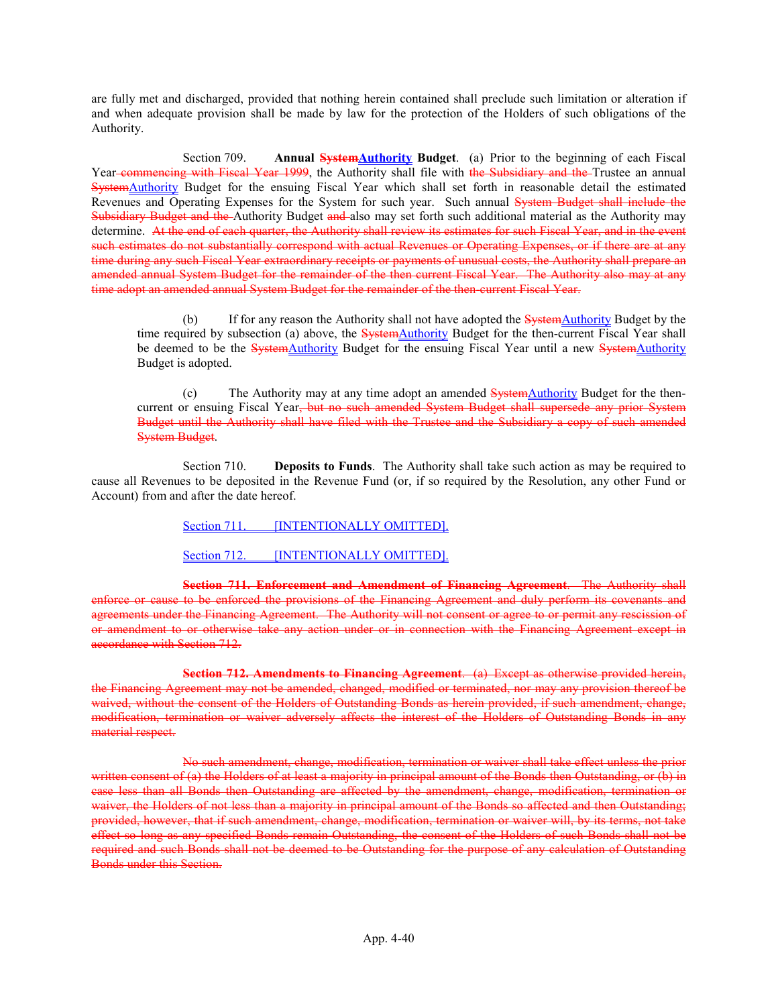are fully met and discharged, provided that nothing herein contained shall preclude such limitation or alteration if and when adequate provision shall be made by law for the protection of the Holders of such obligations of the Authority.

Section 709. Annual **SystemAuthority Budget**. (a) Prior to the beginning of each Fiscal Year commencing with Fiscal Year 1999, the Authority shall file with the Subsidiary and the Trustee an annual SystemAuthority Budget for the ensuing Fiscal Year which shall set forth in reasonable detail the estimated Revenues and Operating Expenses for the System for such year. Such annual System Budget shall include the Subsidiary Budget and the Authority Budget and also may set forth such additional material as the Authority may determine. At the end of each quarter, the Authority shall review its estimates for such Fiscal Year, and in the event such estimates do not substantially correspond with actual Revenues or Operating Expenses, or if there are at any time during any such Fiscal Year extraordinary receipts or payments of unusual costs, the Authority shall prepare an amended annual System Budget for the remainder of the then current Fiscal Year. The Authority also may at any time adopt an amended annual System Budget for the remainder of the then-current Fiscal Year.

(b) If for any reason the Authority shall not have adopted the **SystemAuthority** Budget by the time required by subsection (a) above, the **SystemAuthority** Budget for the then-current Fiscal Year shall be deemed to be the SystemAuthority Budget for the ensuing Fiscal Year until a new SystemAuthority Budget is adopted.

(c) The Authority may at any time adopt an amended SystemAuthority Budget for the thencurrent or ensuing Fiscal Year, but no such amended System Budget shall supersede any prior System Budget until the Authority shall have filed with the Trustee and the Subsidiary a copy of such amended System Budget.

Section 710. **Deposits to Funds**. The Authority shall take such action as may be required to cause all Revenues to be deposited in the Revenue Fund (or, if so required by the Resolution, any other Fund or Account) from and after the date hereof.

Section 711. **[INTENTIONALLY OMITTED]**.

Section 712. **[INTENTIONALLY OMITTED]**.

Section 711. Enforcement and Amendment of Financing Agreement. The Authority shall enforce or cause to be enforced the provisions of the Financing Agreement and duly perform its covenants and agreements under the Financing Agreement. The Authority will not consent or agree to or permit any rescission of or amendment to or otherwise take any action under or in connection with the Financing Agreement except in accordance with Section 712.

Section 712. Amendments to Financing Agreement. (a) Except as otherwise provided herein, the Financing Agreement may not be amended, changed, modified or terminated, nor may any provision thereof be waived, without the consent of the Holders of Outstanding Bonds as herein provided, if such amendment, change, modification, termination or waiver adversely affects the interest of the Holders of Outstanding Bonds in any material respect.

No such amendment, change, modification, termination or waiver shall take effect unless the prior written consent of (a) the Holders of at least a majority in principal amount of the Bonds then Outstanding, or (b) in case less than all Bonds then Outstanding are affected by the amendment, change, modification, termination or waiver, the Holders of not less than a majority in principal amount of the Bonds so affected and then Outstanding; provided, however, that if such amendment, change, modification, termination or waiver will, by its terms, not take effect so long as any specified Bonds remain Outstanding, the consent of the Holders of such Bonds shall not be required and such Bonds shall not be deemed to be Outstanding for the purpose of any calculation of Outstanding Bonds under this Section.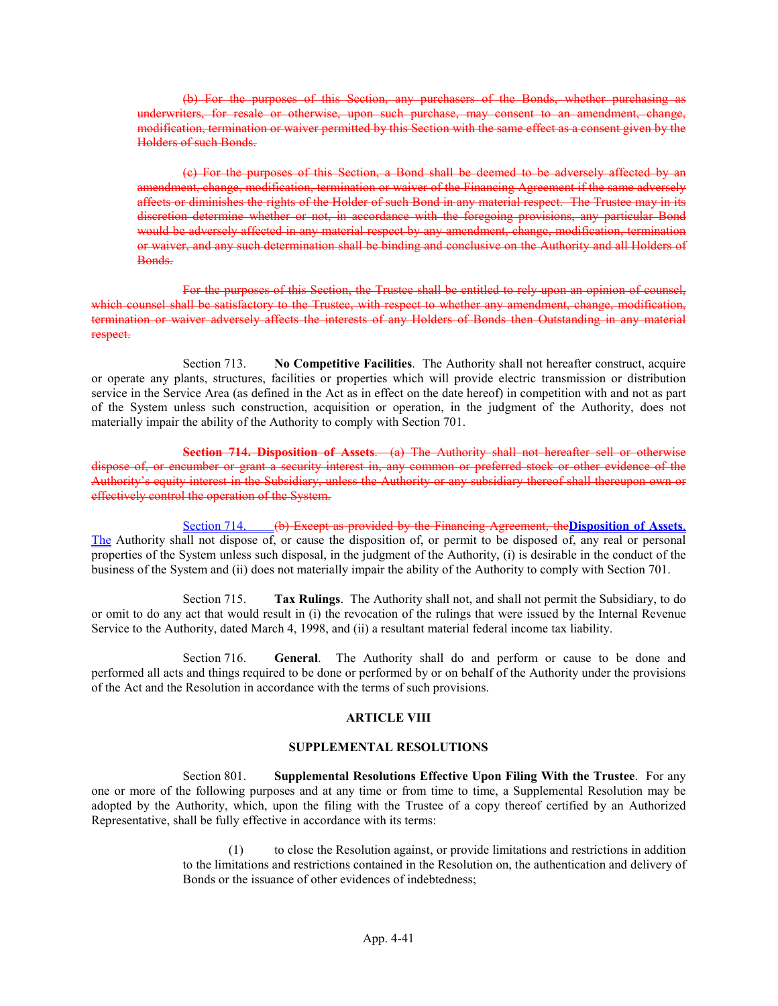(b) For the purposes of this Section, any purchasers of the Bonds, whether purchasing underwriters, for resale or otherwise, upon such purchase, may consent to an amendment, change, modification, termination or waiver permitted by this Section with the same effect as a consent given by Holders of such Bonds.

(c) For the purposes of this Section, a Bond shall be deemed to be adversely affected by an amendment, change, modification, termination or waiver of the Financing Agreement if the same adversely affects or diminishes the rights of the Holder of such Bond in any material respect. The Trustee may in its discretion determine whether or not, in accordance with the foregoing provisions, any particular Bond would be adversely affected in any material respect by any amendment, change, modification, termination or waiver, and any such determination shall be binding and conclusive on the Authority and all Holders of Bonds.

For the purposes of this Section, the Trustee shall be entitled to rely upon an opinion of counsel, which counsel shall be satisfactory to the Trustee, with respect to whether any amendment, change, modification, termination or waiver adversely affects the interests of any Holders of Bonds then Outstanding in any material respect.

Section 713. No Competitive Facilities. The Authority shall not hereafter construct, acquire or operate any plants, structures, facilities or properties which will provide electric transmission or distribution service in the Service Area (as defined in the Act as in effect on the date hereof) in competition with and not as part of the System unless such construction, acquisition or operation, in the judgment of the Authority, does not materially impair the ability of the Authority to comply with Section 701.

Section 714. Disposition of Assets. (a) The Authority shall not hereafter sell or otherwise or encumber or grant a security interest in, any common or preferred stock or other evidence of the Authority's equity interest in the Subsidiary, unless the Authority or any subsidiary thereof shall thereupon own or effectively control the operation of the System.

Section 714. (b) Except as provided by the Financing Agreement, the Disposition of Assets. The Authority shall not dispose of, or cause the disposition of, or permit to be disposed of, any real or personal properties of the System unless such disposal, in the judgment of the Authority, (i) is desirable in the conduct of the business of the System and (ii) does not materially impair the ability of the Authority to comply with Section 701.

Section 715. Tax Rulings. The Authority shall not, and shall not permit the Subsidiary, to do or omit to do any act that would result in (i) the revocation of the rulings that were issued by the Internal Revenue Service to the Authority, dated March 4, 1998, and (ii) a resultant material federal income tax liability.

Section 716. General. The Authority shall do and perform or cause to be done and performed all acts and things required to be done or performed by or on behalf of the Authority under the provisions of the Act and the Resolution in accordance with the terms of such provisions.

#### ARTICLE VIII

### SUPPLEMENTAL RESOLUTIONS

Section 801. Supplemental Resolutions Effective Upon Filing With the Trustee. For any one or more of the following purposes and at any time or from time to time, a Supplemental Resolution may be adopted by the Authority, which, upon the filing with the Trustee of a copy thereof certified by an Authorized Representative, shall be fully effective in accordance with its terms:

> (1) to close the Resolution against, or provide limitations and restrictions in addition to the limitations and restrictions contained in the Resolution on, the authentication and delivery of Bonds or the issuance of other evidences of indebtedness;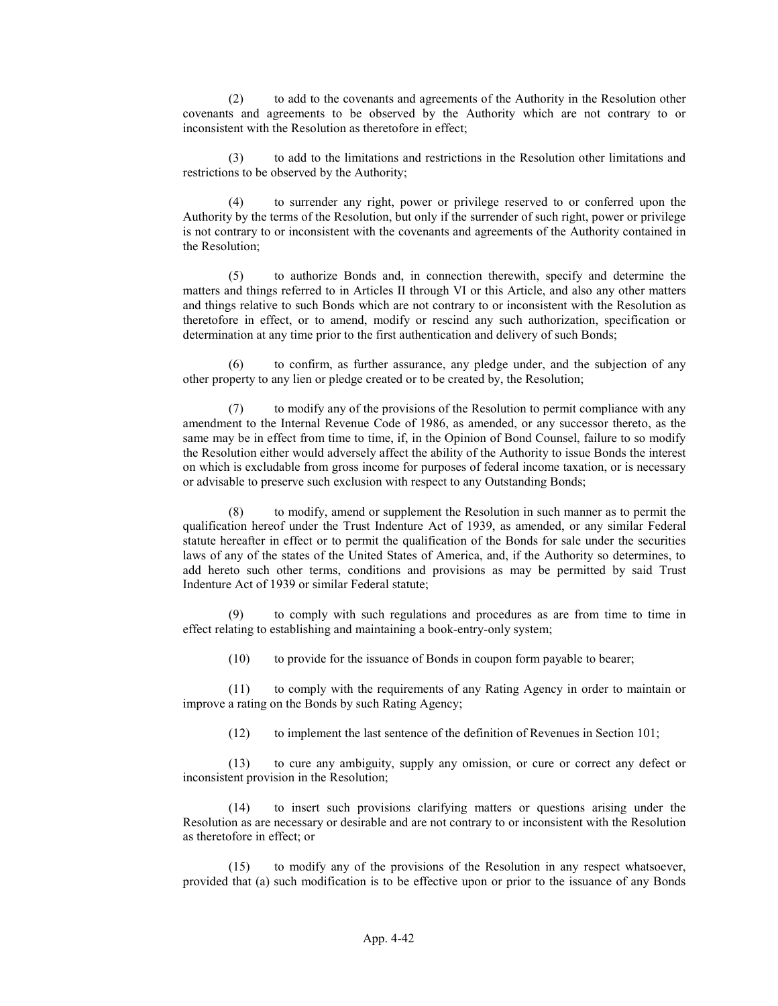(2) to add to the covenants and agreements of the Authority in the Resolution other covenants and agreements to be observed by the Authority which are not contrary to or inconsistent with the Resolution as theretofore in effect;

(3) to add to the limitations and restrictions in the Resolution other limitations and restrictions to be observed by the Authority;

(4) to surrender any right, power or privilege reserved to or conferred upon the Authority by the terms of the Resolution, but only if the surrender of such right, power or privilege is not contrary to or inconsistent with the covenants and agreements of the Authority contained in the Resolution;

(5) to authorize Bonds and, in connection therewith, specify and determine the matters and things referred to in Articles II through VI or this Article, and also any other matters and things relative to such Bonds which are not contrary to or inconsistent with the Resolution as theretofore in effect, or to amend, modify or rescind any such authorization, specification or determination at any time prior to the first authentication and delivery of such Bonds;

(6) to confirm, as further assurance, any pledge under, and the subjection of any other property to any lien or pledge created or to be created by, the Resolution;

(7) to modify any of the provisions of the Resolution to permit compliance with any amendment to the Internal Revenue Code of 1986, as amended, or any successor thereto, as the same may be in effect from time to time, if, in the Opinion of Bond Counsel, failure to so modify the Resolution either would adversely affect the ability of the Authority to issue Bonds the interest on which is excludable from gross income for purposes of federal income taxation, or is necessary or advisable to preserve such exclusion with respect to any Outstanding Bonds;

(8) to modify, amend or supplement the Resolution in such manner as to permit the qualification hereof under the Trust Indenture Act of 1939, as amended, or any similar Federal statute hereafter in effect or to permit the qualification of the Bonds for sale under the securities laws of any of the states of the United States of America, and, if the Authority so determines, to add hereto such other terms, conditions and provisions as may be permitted by said Trust Indenture Act of 1939 or similar Federal statute;

to comply with such regulations and procedures as are from time to time in effect relating to establishing and maintaining a book-entry-only system;

(10) to provide for the issuance of Bonds in coupon form payable to bearer;

(11) to comply with the requirements of any Rating Agency in order to maintain or improve a rating on the Bonds by such Rating Agency;

(12) to implement the last sentence of the definition of Revenues in Section 101;

(13) to cure any ambiguity, supply any omission, or cure or correct any defect or inconsistent provision in the Resolution;

(14) to insert such provisions clarifying matters or questions arising under the Resolution as are necessary or desirable and are not contrary to or inconsistent with the Resolution as theretofore in effect; or

(15) to modify any of the provisions of the Resolution in any respect whatsoever, provided that (a) such modification is to be effective upon or prior to the issuance of any Bonds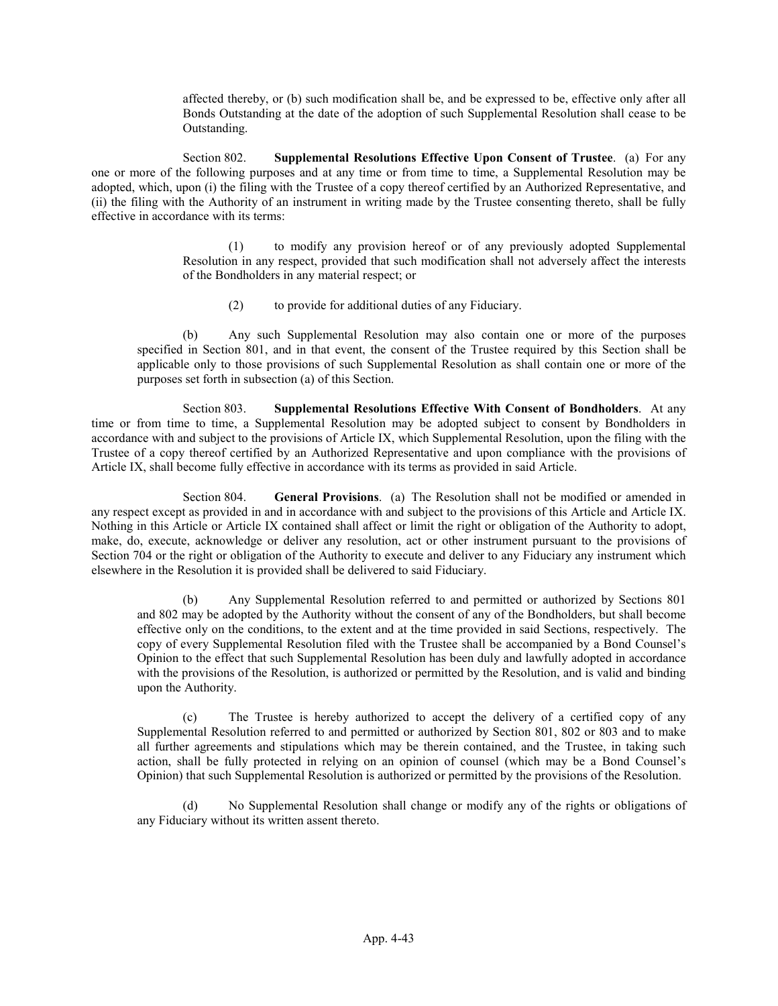affected thereby, or (b) such modification shall be, and be expressed to be, effective only after all Bonds Outstanding at the date of the adoption of such Supplemental Resolution shall cease to be Outstanding.

Section 802. Supplemental Resolutions Effective Upon Consent of Trustee. (a) For any one or more of the following purposes and at any time or from time to time, a Supplemental Resolution may be adopted, which, upon (i) the filing with the Trustee of a copy thereof certified by an Authorized Representative, and (ii) the filing with the Authority of an instrument in writing made by the Trustee consenting thereto, shall be fully effective in accordance with its terms:

> (1) to modify any provision hereof or of any previously adopted Supplemental Resolution in any respect, provided that such modification shall not adversely affect the interests of the Bondholders in any material respect; or

(2) to provide for additional duties of any Fiduciary.

(b) Any such Supplemental Resolution may also contain one or more of the purposes specified in Section 801, and in that event, the consent of the Trustee required by this Section shall be applicable only to those provisions of such Supplemental Resolution as shall contain one or more of the purposes set forth in subsection (a) of this Section.

Section 803. Supplemental Resolutions Effective With Consent of Bondholders. At any time or from time to time, a Supplemental Resolution may be adopted subject to consent by Bondholders in accordance with and subject to the provisions of Article IX, which Supplemental Resolution, upon the filing with the Trustee of a copy thereof certified by an Authorized Representative and upon compliance with the provisions of Article IX, shall become fully effective in accordance with its terms as provided in said Article.

Section 804. General Provisions. (a) The Resolution shall not be modified or amended in any respect except as provided in and in accordance with and subject to the provisions of this Article and Article IX. Nothing in this Article or Article IX contained shall affect or limit the right or obligation of the Authority to adopt, make, do, execute, acknowledge or deliver any resolution, act or other instrument pursuant to the provisions of Section 704 or the right or obligation of the Authority to execute and deliver to any Fiduciary any instrument which elsewhere in the Resolution it is provided shall be delivered to said Fiduciary.

(b) Any Supplemental Resolution referred to and permitted or authorized by Sections 801 and 802 may be adopted by the Authority without the consent of any of the Bondholders, but shall become effective only on the conditions, to the extent and at the time provided in said Sections, respectively. The copy of every Supplemental Resolution filed with the Trustee shall be accompanied by a Bond Counsel's Opinion to the effect that such Supplemental Resolution has been duly and lawfully adopted in accordance with the provisions of the Resolution, is authorized or permitted by the Resolution, and is valid and binding upon the Authority.

(c) The Trustee is hereby authorized to accept the delivery of a certified copy of any Supplemental Resolution referred to and permitted or authorized by Section 801, 802 or 803 and to make all further agreements and stipulations which may be therein contained, and the Trustee, in taking such action, shall be fully protected in relying on an opinion of counsel (which may be a Bond Counsel's Opinion) that such Supplemental Resolution is authorized or permitted by the provisions of the Resolution.

(d) No Supplemental Resolution shall change or modify any of the rights or obligations of any Fiduciary without its written assent thereto.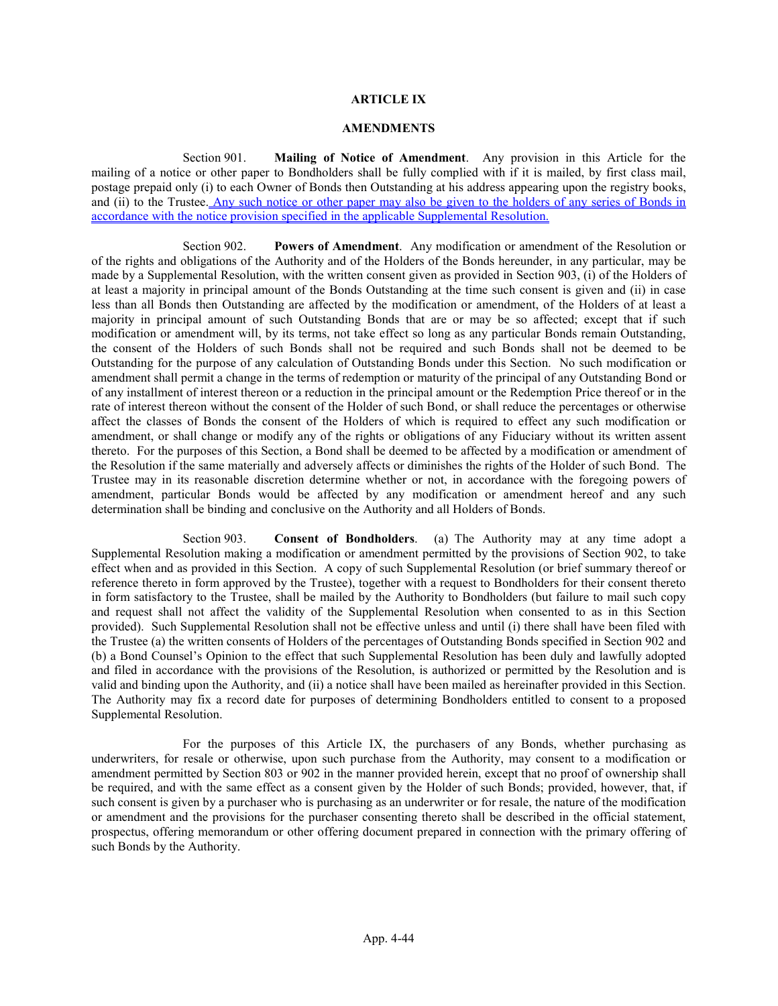### ARTICLE IX

#### AMENDMENTS

Section 901. Mailing of Notice of Amendment. Any provision in this Article for the mailing of a notice or other paper to Bondholders shall be fully complied with if it is mailed, by first class mail, postage prepaid only (i) to each Owner of Bonds then Outstanding at his address appearing upon the registry books, and (ii) to the Trustee. Any such notice or other paper may also be given to the holders of any series of Bonds in accordance with the notice provision specified in the applicable Supplemental Resolution.

Section 902. Powers of Amendment. Any modification or amendment of the Resolution or of the rights and obligations of the Authority and of the Holders of the Bonds hereunder, in any particular, may be made by a Supplemental Resolution, with the written consent given as provided in Section 903, (i) of the Holders of at least a majority in principal amount of the Bonds Outstanding at the time such consent is given and (ii) in case less than all Bonds then Outstanding are affected by the modification or amendment, of the Holders of at least a majority in principal amount of such Outstanding Bonds that are or may be so affected; except that if such modification or amendment will, by its terms, not take effect so long as any particular Bonds remain Outstanding, the consent of the Holders of such Bonds shall not be required and such Bonds shall not be deemed to be Outstanding for the purpose of any calculation of Outstanding Bonds under this Section. No such modification or amendment shall permit a change in the terms of redemption or maturity of the principal of any Outstanding Bond or of any installment of interest thereon or a reduction in the principal amount or the Redemption Price thereof or in the rate of interest thereon without the consent of the Holder of such Bond, or shall reduce the percentages or otherwise affect the classes of Bonds the consent of the Holders of which is required to effect any such modification or amendment, or shall change or modify any of the rights or obligations of any Fiduciary without its written assent thereto. For the purposes of this Section, a Bond shall be deemed to be affected by a modification or amendment of the Resolution if the same materially and adversely affects or diminishes the rights of the Holder of such Bond. The Trustee may in its reasonable discretion determine whether or not, in accordance with the foregoing powers of amendment, particular Bonds would be affected by any modification or amendment hereof and any such determination shall be binding and conclusive on the Authority and all Holders of Bonds.

Section 903. Consent of Bondholders. (a) The Authority may at any time adopt a Supplemental Resolution making a modification or amendment permitted by the provisions of Section 902, to take effect when and as provided in this Section. A copy of such Supplemental Resolution (or brief summary thereof or reference thereto in form approved by the Trustee), together with a request to Bondholders for their consent thereto in form satisfactory to the Trustee, shall be mailed by the Authority to Bondholders (but failure to mail such copy and request shall not affect the validity of the Supplemental Resolution when consented to as in this Section provided). Such Supplemental Resolution shall not be effective unless and until (i) there shall have been filed with the Trustee (a) the written consents of Holders of the percentages of Outstanding Bonds specified in Section 902 and (b) a Bond Counsel's Opinion to the effect that such Supplemental Resolution has been duly and lawfully adopted and filed in accordance with the provisions of the Resolution, is authorized or permitted by the Resolution and is valid and binding upon the Authority, and (ii) a notice shall have been mailed as hereinafter provided in this Section. The Authority may fix a record date for purposes of determining Bondholders entitled to consent to a proposed Supplemental Resolution.

For the purposes of this Article IX, the purchasers of any Bonds, whether purchasing as underwriters, for resale or otherwise, upon such purchase from the Authority, may consent to a modification or amendment permitted by Section 803 or 902 in the manner provided herein, except that no proof of ownership shall be required, and with the same effect as a consent given by the Holder of such Bonds; provided, however, that, if such consent is given by a purchaser who is purchasing as an underwriter or for resale, the nature of the modification or amendment and the provisions for the purchaser consenting thereto shall be described in the official statement, prospectus, offering memorandum or other offering document prepared in connection with the primary offering of such Bonds by the Authority.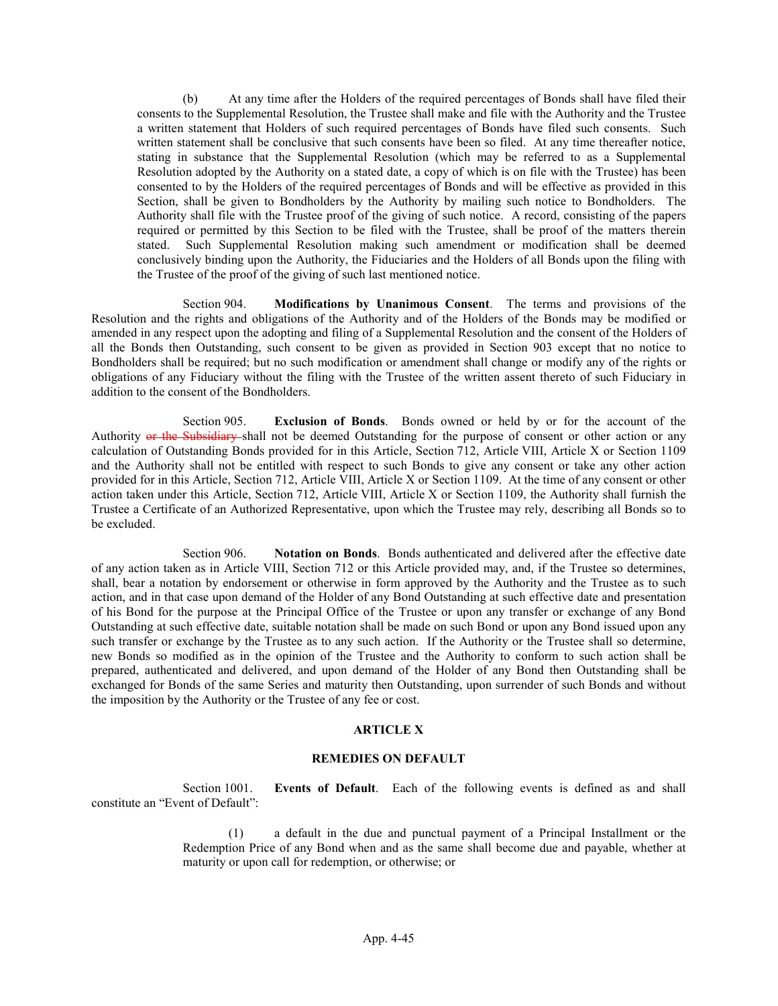(b) At any time after the Holders of the required percentages of Bonds shall have filed their consents to the Supplemental Resolution, the Trustee shall make and file with the Authority and the Trustee a written statement that Holders of such required percentages of Bonds have filed such consents. Such written statement shall be conclusive that such consents have been so filed. At any time thereafter notice, stating in substance that the Supplemental Resolution (which may be referred to as a Supplemental Resolution adopted by the Authority on a stated date, a copy of which is on file with the Trustee) has been consented to by the Holders of the required percentages of Bonds and will be effective as provided in this Section, shall be given to Bondholders by the Authority by mailing such notice to Bondholders. The Authority shall file with the Trustee proof of the giving of such notice. A record, consisting of the papers required or permitted by this Section to be filed with the Trustee, shall be proof of the matters therein stated. Such Supplemental Resolution making such amendment or modification shall be deemed conclusively binding upon the Authority, the Fiduciaries and the Holders of all Bonds upon the filing with the Trustee of the proof of the giving of such last mentioned notice.

Section 904. Modifications by Unanimous Consent. The terms and provisions of the Resolution and the rights and obligations of the Authority and of the Holders of the Bonds may be modified or amended in any respect upon the adopting and filing of a Supplemental Resolution and the consent of the Holders of all the Bonds then Outstanding, such consent to be given as provided in Section 903 except that no notice to Bondholders shall be required; but no such modification or amendment shall change or modify any of the rights or obligations of any Fiduciary without the filing with the Trustee of the written assent thereto of such Fiduciary in addition to the consent of the Bondholders.

Section 905. Exclusion of Bonds. Bonds owned or held by or for the account of the Authority or the Subsidiary shall not be deemed Outstanding for the purpose of consent or other action or any calculation of Outstanding Bonds provided for in this Article, Section 712, Article VIII, Article X or Section 1109 and the Authority shall not be entitled with respect to such Bonds to give any consent or take any other action provided for in this Article, Section 712, Article VIII, Article X or Section 1109. At the time of any consent or other action taken under this Article, Section 712, Article VIII, Article X or Section 1109, the Authority shall furnish the Trustee a Certificate of an Authorized Representative, upon which the Trustee may rely, describing all Bonds so to be excluded.

Section 906. Notation on Bonds. Bonds authenticated and delivered after the effective date of any action taken as in Article VIII, Section 712 or this Article provided may, and, if the Trustee so determines, shall, bear a notation by endorsement or otherwise in form approved by the Authority and the Trustee as to such action, and in that case upon demand of the Holder of any Bond Outstanding at such effective date and presentation of his Bond for the purpose at the Principal Office of the Trustee or upon any transfer or exchange of any Bond Outstanding at such effective date, suitable notation shall be made on such Bond or upon any Bond issued upon any such transfer or exchange by the Trustee as to any such action. If the Authority or the Trustee shall so determine, new Bonds so modified as in the opinion of the Trustee and the Authority to conform to such action shall be prepared, authenticated and delivered, and upon demand of the Holder of any Bond then Outstanding shall be exchanged for Bonds of the same Series and maturity then Outstanding, upon surrender of such Bonds and without the imposition by the Authority or the Trustee of any fee or cost.

### ARTICLE X

#### REMEDIES ON DEFAULT

Section 1001. Events of Default. Each of the following events is defined as and shall constitute an "Event of Default":

> (1) a default in the due and punctual payment of a Principal Installment or the Redemption Price of any Bond when and as the same shall become due and payable, whether at maturity or upon call for redemption, or otherwise; or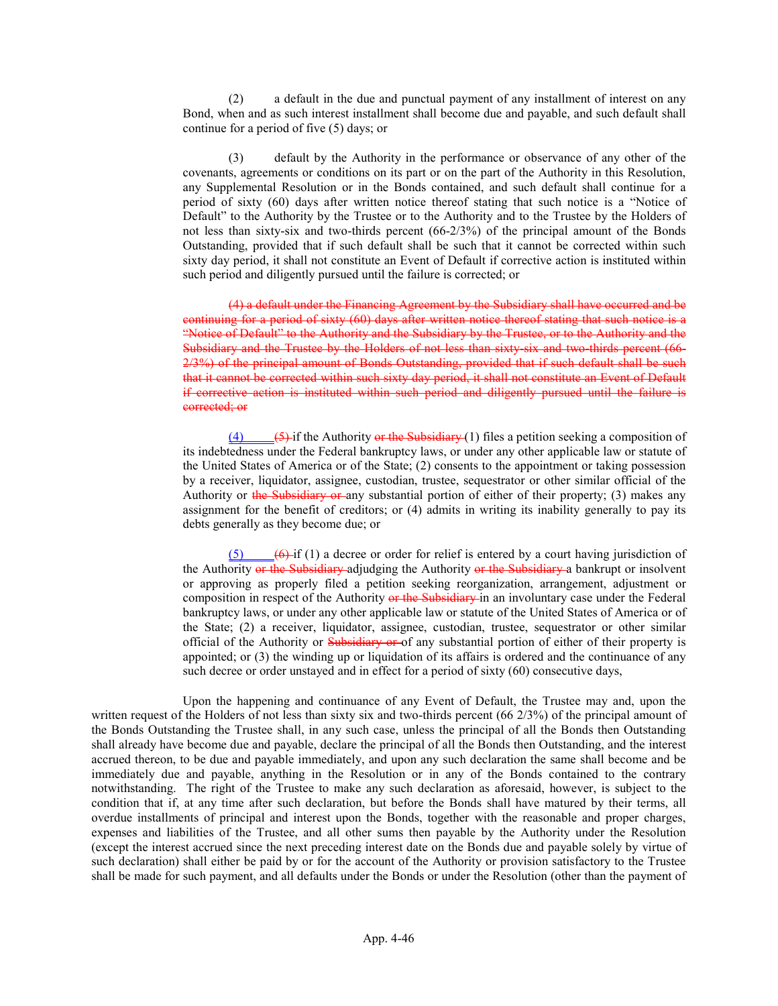(2) a default in the due and punctual payment of any installment of interest on any Bond, when and as such interest installment shall become due and payable, and such default shall continue for a period of five (5) days; or

(3) default by the Authority in the performance or observance of any other of the covenants, agreements or conditions on its part or on the part of the Authority in this Resolution, any Supplemental Resolution or in the Bonds contained, and such default shall continue for a period of sixty (60) days after written notice thereof stating that such notice is a "Notice of Default" to the Authority by the Trustee or to the Authority and to the Trustee by the Holders of not less than sixty-six and two-thirds percent (66-2/3%) of the principal amount of the Bonds Outstanding, provided that if such default shall be such that it cannot be corrected within such sixty day period, it shall not constitute an Event of Default if corrective action is instituted within such period and diligently pursued until the failure is corrected; or

(4) a default under the Financing Agreement by the Subsidiary shall have occurred and be continuing for a period of sixty (60) days after written notice thereof stating that such notice is a "Notice of Default" to the Authority and the Subsidiary by the Trustee, or to the Authority and the Subsidiary and the Trustee by the Holders of not less than sixty-six and two-thirds percent (66- 2/3%) of the principal amount of Bonds Outstanding, provided that if such default shall be such that it cannot be corrected within such sixty day period, it shall not constitute an Event of Default if corrective action is instituted within such period and diligently pursued until the failure is corrected; or

 $\overline{(4)}$   $\overline{(5)}$  if the Authority or the Subsidiary (1) files a petition seeking a composition of its indebtedness under the Federal bankruptcy laws, or under any other applicable law or statute of the United States of America or of the State; (2) consents to the appointment or taking possession by a receiver, liquidator, assignee, custodian, trustee, sequestrator or other similar official of the Authority or the Subsidiary or any substantial portion of either of their property; (3) makes any assignment for the benefit of creditors; or (4) admits in writing its inability generally to pay its debts generally as they become due; or

 $(5)$   $(6)$ -if (1) a decree or order for relief is entered by a court having jurisdiction of the Authority or the Subsidiary adjudging the Authority or the Subsidiary a bankrupt or insolvent or approving as properly filed a petition seeking reorganization, arrangement, adjustment or composition in respect of the Authority or the Subsidiary in an involuntary case under the Federal bankruptcy laws, or under any other applicable law or statute of the United States of America or of the State; (2) a receiver, liquidator, assignee, custodian, trustee, sequestrator or other similar official of the Authority or Subsidiary or of any substantial portion of either of their property is appointed; or (3) the winding up or liquidation of its affairs is ordered and the continuance of any such decree or order unstayed and in effect for a period of sixty (60) consecutive days,

Upon the happening and continuance of any Event of Default, the Trustee may and, upon the written request of the Holders of not less than sixty six and two-thirds percent (66 2/3%) of the principal amount of the Bonds Outstanding the Trustee shall, in any such case, unless the principal of all the Bonds then Outstanding shall already have become due and payable, declare the principal of all the Bonds then Outstanding, and the interest accrued thereon, to be due and payable immediately, and upon any such declaration the same shall become and be immediately due and payable, anything in the Resolution or in any of the Bonds contained to the contrary notwithstanding. The right of the Trustee to make any such declaration as aforesaid, however, is subject to the condition that if, at any time after such declaration, but before the Bonds shall have matured by their terms, all overdue installments of principal and interest upon the Bonds, together with the reasonable and proper charges, expenses and liabilities of the Trustee, and all other sums then payable by the Authority under the Resolution (except the interest accrued since the next preceding interest date on the Bonds due and payable solely by virtue of such declaration) shall either be paid by or for the account of the Authority or provision satisfactory to the Trustee shall be made for such payment, and all defaults under the Bonds or under the Resolution (other than the payment of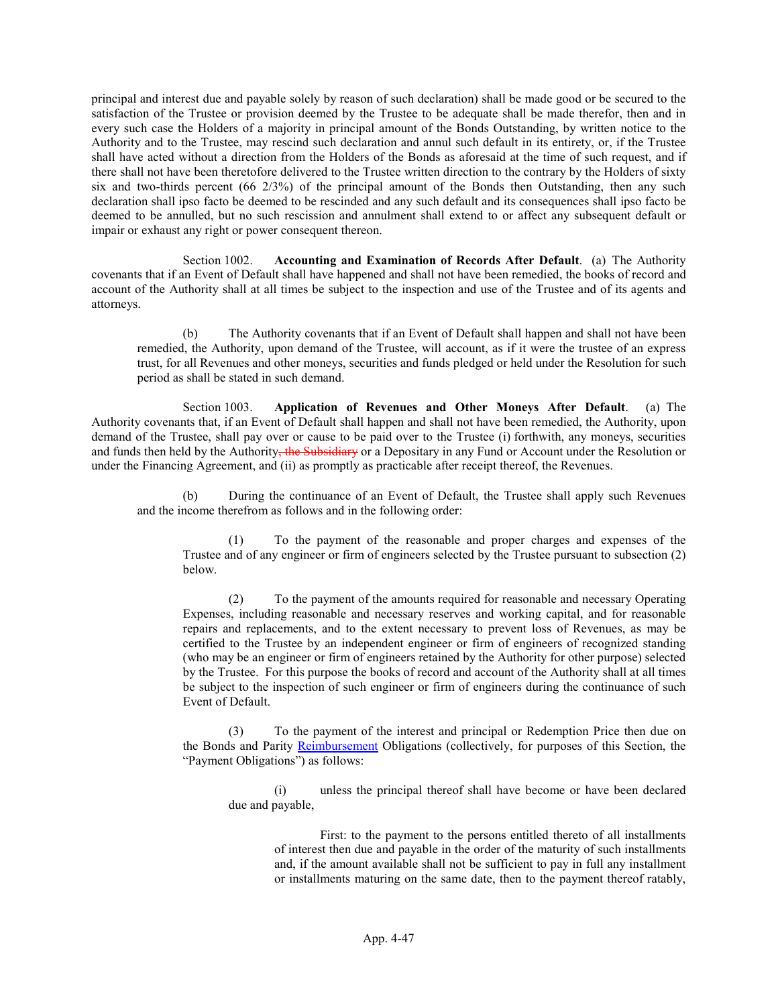principal and interest due and payable solely by reason of such declaration) shall be made good or be secured to the satisfaction of the Trustee or provision deemed by the Trustee to be adequate shall be made therefor, then and in every such case the Holders of a majority in principal amount of the Bonds Outstanding, by written notice to the Authority and to the Trustee, may rescind such declaration and annul such default in its entirety, or, if the Trustee shall have acted without a direction from the Holders of the Bonds as aforesaid at the time of such request, and if there shall not have been theretofore delivered to the Trustee written direction to the contrary by the Holders of sixty six and two-thirds percent  $(66 \frac{2}{3})$  of the principal amount of the Bonds then Outstanding, then any such declaration shall ipso facto be deemed to be rescinded and any such default and its consequences shall ipso facto be deemed to be annulled, but no such rescission and annulment shall extend to or affect any subsequent default or impair or exhaust any right or power consequent thereon.

Section 1002. Accounting and Examination of Records After Default. (a) The Authority covenants that if an Event of Default shall have happened and shall not have been remedied, the books of record and account of the Authority shall at all times be subject to the inspection and use of the Trustee and of its agents and attorneys.

(b) The Authority covenants that if an Event of Default shall happen and shall not have been remedied, the Authority, upon demand of the Trustee, will account, as if it were the trustee of an express trust, for all Revenues and other moneys, securities and funds pledged or held under the Resolution for such period as shall be stated in such demand.

Section 1003. Application of Revenues and Other Moneys After Default. (a) The Authority covenants that, if an Event of Default shall happen and shall not have been remedied, the Authority, upon demand of the Trustee, shall pay over or cause to be paid over to the Trustee (i) forthwith, any moneys, securities and funds then held by the Authority, the Subsidiary or a Depositary in any Fund or Account under the Resolution or under the Financing Agreement, and (ii) as promptly as practicable after receipt thereof, the Revenues.

(b) During the continuance of an Event of Default, the Trustee shall apply such Revenues and the income therefrom as follows and in the following order:

(1) To the payment of the reasonable and proper charges and expenses of the Trustee and of any engineer or firm of engineers selected by the Trustee pursuant to subsection (2) below.

(2) To the payment of the amounts required for reasonable and necessary Operating Expenses, including reasonable and necessary reserves and working capital, and for reasonable repairs and replacements, and to the extent necessary to prevent loss of Revenues, as may be certified to the Trustee by an independent engineer or firm of engineers of recognized standing (who may be an engineer or firm of engineers retained by the Authority for other purpose) selected by the Trustee. For this purpose the books of record and account of the Authority shall at all times be subject to the inspection of such engineer or firm of engineers during the continuance of such Event of Default.

(3) To the payment of the interest and principal or Redemption Price then due on the Bonds and Parity Reimbursement Obligations (collectively, for purposes of this Section, the "Payment Obligations") as follows:

(i) unless the principal thereof shall have become or have been declared due and payable,

First: to the payment to the persons entitled thereto of all installments of interest then due and payable in the order of the maturity of such installments and, if the amount available shall not be sufficient to pay in full any installment or installments maturing on the same date, then to the payment thereof ratably,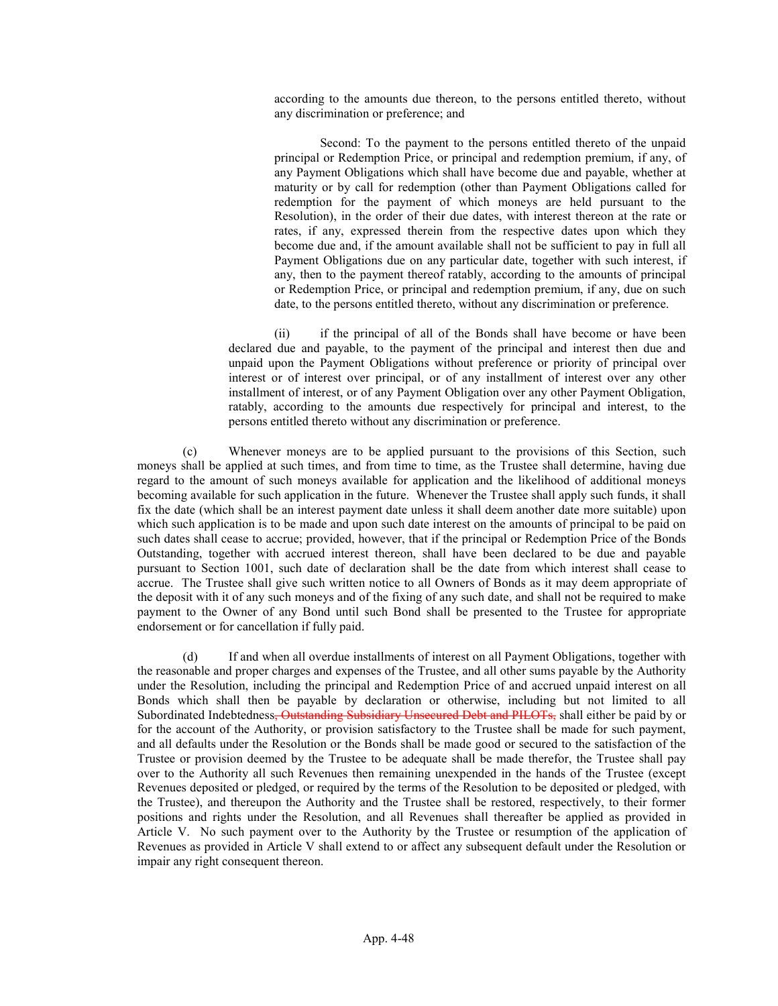according to the amounts due thereon, to the persons entitled thereto, without any discrimination or preference; and

Second: To the payment to the persons entitled thereto of the unpaid principal or Redemption Price, or principal and redemption premium, if any, of any Payment Obligations which shall have become due and payable, whether at maturity or by call for redemption (other than Payment Obligations called for redemption for the payment of which moneys are held pursuant to the Resolution), in the order of their due dates, with interest thereon at the rate or rates, if any, expressed therein from the respective dates upon which they become due and, if the amount available shall not be sufficient to pay in full all Payment Obligations due on any particular date, together with such interest, if any, then to the payment thereof ratably, according to the amounts of principal or Redemption Price, or principal and redemption premium, if any, due on such date, to the persons entitled thereto, without any discrimination or preference.

(ii) if the principal of all of the Bonds shall have become or have been declared due and payable, to the payment of the principal and interest then due and unpaid upon the Payment Obligations without preference or priority of principal over interest or of interest over principal, or of any installment of interest over any other installment of interest, or of any Payment Obligation over any other Payment Obligation, ratably, according to the amounts due respectively for principal and interest, to the persons entitled thereto without any discrimination or preference.

(c) Whenever moneys are to be applied pursuant to the provisions of this Section, such moneys shall be applied at such times, and from time to time, as the Trustee shall determine, having due regard to the amount of such moneys available for application and the likelihood of additional moneys becoming available for such application in the future. Whenever the Trustee shall apply such funds, it shall fix the date (which shall be an interest payment date unless it shall deem another date more suitable) upon which such application is to be made and upon such date interest on the amounts of principal to be paid on such dates shall cease to accrue; provided, however, that if the principal or Redemption Price of the Bonds Outstanding, together with accrued interest thereon, shall have been declared to be due and payable pursuant to Section 1001, such date of declaration shall be the date from which interest shall cease to accrue. The Trustee shall give such written notice to all Owners of Bonds as it may deem appropriate of the deposit with it of any such moneys and of the fixing of any such date, and shall not be required to make payment to the Owner of any Bond until such Bond shall be presented to the Trustee for appropriate endorsement or for cancellation if fully paid.

(d) If and when all overdue installments of interest on all Payment Obligations, together with the reasonable and proper charges and expenses of the Trustee, and all other sums payable by the Authority under the Resolution, including the principal and Redemption Price of and accrued unpaid interest on all Bonds which shall then be payable by declaration or otherwise, including but not limited to all Subordinated Indebtedness, Outstanding Subsidiary Unsecured Debt and PILOTs, shall either be paid by or for the account of the Authority, or provision satisfactory to the Trustee shall be made for such payment, and all defaults under the Resolution or the Bonds shall be made good or secured to the satisfaction of the Trustee or provision deemed by the Trustee to be adequate shall be made therefor, the Trustee shall pay over to the Authority all such Revenues then remaining unexpended in the hands of the Trustee (except Revenues deposited or pledged, or required by the terms of the Resolution to be deposited or pledged, with the Trustee), and thereupon the Authority and the Trustee shall be restored, respectively, to their former positions and rights under the Resolution, and all Revenues shall thereafter be applied as provided in Article V. No such payment over to the Authority by the Trustee or resumption of the application of Revenues as provided in Article V shall extend to or affect any subsequent default under the Resolution or impair any right consequent thereon.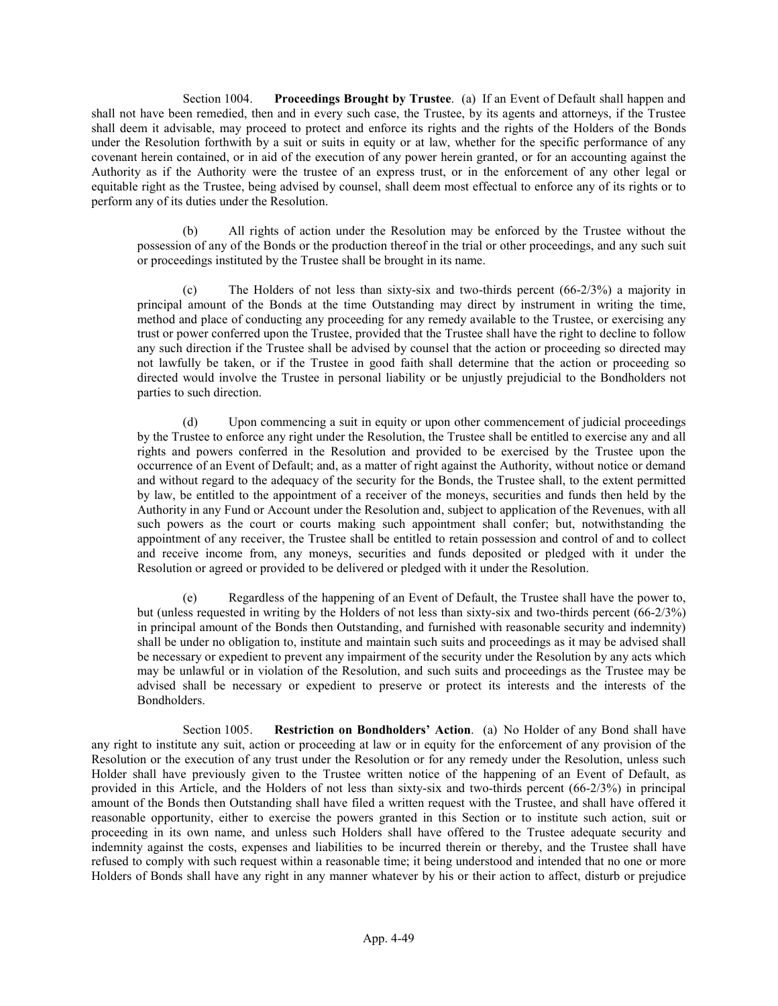Section 1004. Proceedings Brought by Trustee. (a) If an Event of Default shall happen and shall not have been remedied, then and in every such case, the Trustee, by its agents and attorneys, if the Trustee shall deem it advisable, may proceed to protect and enforce its rights and the rights of the Holders of the Bonds under the Resolution forthwith by a suit or suits in equity or at law, whether for the specific performance of any covenant herein contained, or in aid of the execution of any power herein granted, or for an accounting against the Authority as if the Authority were the trustee of an express trust, or in the enforcement of any other legal or equitable right as the Trustee, being advised by counsel, shall deem most effectual to enforce any of its rights or to perform any of its duties under the Resolution.

(b) All rights of action under the Resolution may be enforced by the Trustee without the possession of any of the Bonds or the production thereof in the trial or other proceedings, and any such suit or proceedings instituted by the Trustee shall be brought in its name.

The Holders of not less than sixty-six and two-thirds percent  $(66-2/3%)$  a majority in principal amount of the Bonds at the time Outstanding may direct by instrument in writing the time, method and place of conducting any proceeding for any remedy available to the Trustee, or exercising any trust or power conferred upon the Trustee, provided that the Trustee shall have the right to decline to follow any such direction if the Trustee shall be advised by counsel that the action or proceeding so directed may not lawfully be taken, or if the Trustee in good faith shall determine that the action or proceeding so directed would involve the Trustee in personal liability or be unjustly prejudicial to the Bondholders not parties to such direction.

(d) Upon commencing a suit in equity or upon other commencement of judicial proceedings by the Trustee to enforce any right under the Resolution, the Trustee shall be entitled to exercise any and all rights and powers conferred in the Resolution and provided to be exercised by the Trustee upon the occurrence of an Event of Default; and, as a matter of right against the Authority, without notice or demand and without regard to the adequacy of the security for the Bonds, the Trustee shall, to the extent permitted by law, be entitled to the appointment of a receiver of the moneys, securities and funds then held by the Authority in any Fund or Account under the Resolution and, subject to application of the Revenues, with all such powers as the court or courts making such appointment shall confer; but, notwithstanding the appointment of any receiver, the Trustee shall be entitled to retain possession and control of and to collect and receive income from, any moneys, securities and funds deposited or pledged with it under the Resolution or agreed or provided to be delivered or pledged with it under the Resolution.

(e) Regardless of the happening of an Event of Default, the Trustee shall have the power to, but (unless requested in writing by the Holders of not less than sixty-six and two-thirds percent (66-2/3%) in principal amount of the Bonds then Outstanding, and furnished with reasonable security and indemnity) shall be under no obligation to, institute and maintain such suits and proceedings as it may be advised shall be necessary or expedient to prevent any impairment of the security under the Resolution by any acts which may be unlawful or in violation of the Resolution, and such suits and proceedings as the Trustee may be advised shall be necessary or expedient to preserve or protect its interests and the interests of the Bondholders.

Section 1005. Restriction on Bondholders' Action. (a) No Holder of any Bond shall have any right to institute any suit, action or proceeding at law or in equity for the enforcement of any provision of the Resolution or the execution of any trust under the Resolution or for any remedy under the Resolution, unless such Holder shall have previously given to the Trustee written notice of the happening of an Event of Default, as provided in this Article, and the Holders of not less than sixty-six and two-thirds percent (66-2/3%) in principal amount of the Bonds then Outstanding shall have filed a written request with the Trustee, and shall have offered it reasonable opportunity, either to exercise the powers granted in this Section or to institute such action, suit or proceeding in its own name, and unless such Holders shall have offered to the Trustee adequate security and indemnity against the costs, expenses and liabilities to be incurred therein or thereby, and the Trustee shall have refused to comply with such request within a reasonable time; it being understood and intended that no one or more Holders of Bonds shall have any right in any manner whatever by his or their action to affect, disturb or prejudice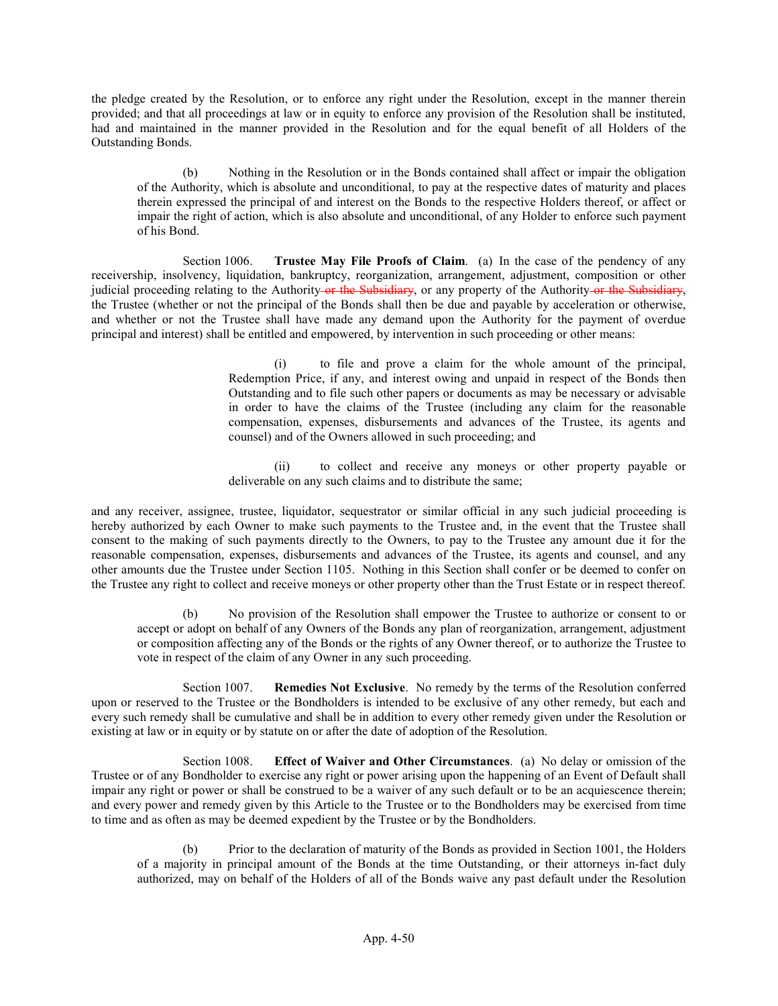the pledge created by the Resolution, or to enforce any right under the Resolution, except in the manner therein provided; and that all proceedings at law or in equity to enforce any provision of the Resolution shall be instituted, had and maintained in the manner provided in the Resolution and for the equal benefit of all Holders of the Outstanding Bonds.

(b) Nothing in the Resolution or in the Bonds contained shall affect or impair the obligation of the Authority, which is absolute and unconditional, to pay at the respective dates of maturity and places therein expressed the principal of and interest on the Bonds to the respective Holders thereof, or affect or impair the right of action, which is also absolute and unconditional, of any Holder to enforce such payment of his Bond.

Section 1006. Trustee May File Proofs of Claim. (a) In the case of the pendency of any receivership, insolvency, liquidation, bankruptcy, reorganization, arrangement, adjustment, composition or other judicial proceeding relating to the Authority or the Subsidiary, or any property of the Authority or the Subsidiary, the Trustee (whether or not the principal of the Bonds shall then be due and payable by acceleration or otherwise, and whether or not the Trustee shall have made any demand upon the Authority for the payment of overdue principal and interest) shall be entitled and empowered, by intervention in such proceeding or other means:

> (i) to file and prove a claim for the whole amount of the principal, Redemption Price, if any, and interest owing and unpaid in respect of the Bonds then Outstanding and to file such other papers or documents as may be necessary or advisable in order to have the claims of the Trustee (including any claim for the reasonable compensation, expenses, disbursements and advances of the Trustee, its agents and counsel) and of the Owners allowed in such proceeding; and

> (ii) to collect and receive any moneys or other property payable or deliverable on any such claims and to distribute the same;

and any receiver, assignee, trustee, liquidator, sequestrator or similar official in any such judicial proceeding is hereby authorized by each Owner to make such payments to the Trustee and, in the event that the Trustee shall consent to the making of such payments directly to the Owners, to pay to the Trustee any amount due it for the reasonable compensation, expenses, disbursements and advances of the Trustee, its agents and counsel, and any other amounts due the Trustee under Section 1105. Nothing in this Section shall confer or be deemed to confer on the Trustee any right to collect and receive moneys or other property other than the Trust Estate or in respect thereof.

(b) No provision of the Resolution shall empower the Trustee to authorize or consent to or accept or adopt on behalf of any Owners of the Bonds any plan of reorganization, arrangement, adjustment or composition affecting any of the Bonds or the rights of any Owner thereof, or to authorize the Trustee to vote in respect of the claim of any Owner in any such proceeding.

Section 1007. Remedies Not Exclusive. No remedy by the terms of the Resolution conferred upon or reserved to the Trustee or the Bondholders is intended to be exclusive of any other remedy, but each and every such remedy shall be cumulative and shall be in addition to every other remedy given under the Resolution or existing at law or in equity or by statute on or after the date of adoption of the Resolution.

Section 1008. Effect of Waiver and Other Circumstances. (a) No delay or omission of the Trustee or of any Bondholder to exercise any right or power arising upon the happening of an Event of Default shall impair any right or power or shall be construed to be a waiver of any such default or to be an acquiescence therein; and every power and remedy given by this Article to the Trustee or to the Bondholders may be exercised from time to time and as often as may be deemed expedient by the Trustee or by the Bondholders.

(b) Prior to the declaration of maturity of the Bonds as provided in Section 1001, the Holders of a majority in principal amount of the Bonds at the time Outstanding, or their attorneys in-fact duly authorized, may on behalf of the Holders of all of the Bonds waive any past default under the Resolution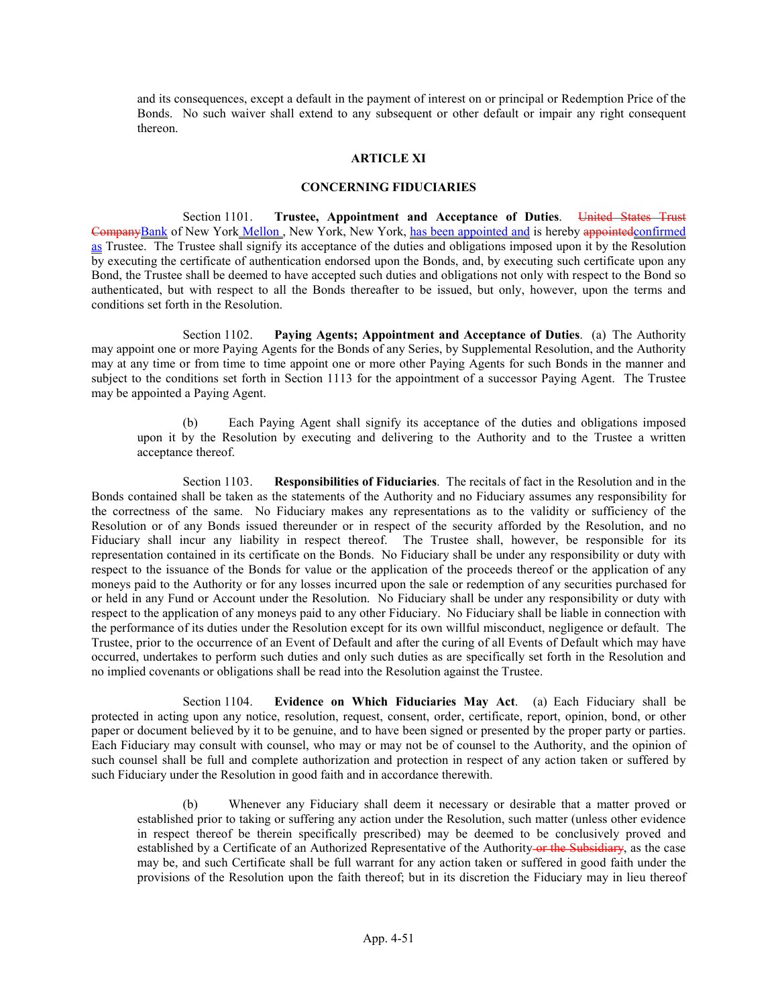and its consequences, except a default in the payment of interest on or principal or Redemption Price of the Bonds. No such waiver shall extend to any subsequent or other default or impair any right consequent thereon.

#### ARTICLE XI

#### CONCERNING FIDUCIARIES

Section 1101. Trustee, Appointment and Acceptance of Duties. United States Trust CompanyBank of New York Mellon , New York, New York, has been appointed and is hereby appointedconfirmed as Trustee. The Trustee shall signify its acceptance of the duties and obligations imposed upon it by the Resolution by executing the certificate of authentication endorsed upon the Bonds, and, by executing such certificate upon any Bond, the Trustee shall be deemed to have accepted such duties and obligations not only with respect to the Bond so authenticated, but with respect to all the Bonds thereafter to be issued, but only, however, upon the terms and conditions set forth in the Resolution.

Section 1102. Paying Agents; Appointment and Acceptance of Duties. (a) The Authority may appoint one or more Paying Agents for the Bonds of any Series, by Supplemental Resolution, and the Authority may at any time or from time to time appoint one or more other Paying Agents for such Bonds in the manner and subject to the conditions set forth in Section 1113 for the appointment of a successor Paying Agent. The Trustee may be appointed a Paying Agent.

(b) Each Paying Agent shall signify its acceptance of the duties and obligations imposed upon it by the Resolution by executing and delivering to the Authority and to the Trustee a written acceptance thereof.

Section 1103. Responsibilities of Fiduciaries. The recitals of fact in the Resolution and in the Bonds contained shall be taken as the statements of the Authority and no Fiduciary assumes any responsibility for the correctness of the same. No Fiduciary makes any representations as to the validity or sufficiency of the Resolution or of any Bonds issued thereunder or in respect of the security afforded by the Resolution, and no Fiduciary shall incur any liability in respect thereof. The Trustee shall, however, be responsible for its representation contained in its certificate on the Bonds. No Fiduciary shall be under any responsibility or duty with respect to the issuance of the Bonds for value or the application of the proceeds thereof or the application of any moneys paid to the Authority or for any losses incurred upon the sale or redemption of any securities purchased for or held in any Fund or Account under the Resolution. No Fiduciary shall be under any responsibility or duty with respect to the application of any moneys paid to any other Fiduciary. No Fiduciary shall be liable in connection with the performance of its duties under the Resolution except for its own willful misconduct, negligence or default. The Trustee, prior to the occurrence of an Event of Default and after the curing of all Events of Default which may have occurred, undertakes to perform such duties and only such duties as are specifically set forth in the Resolution and no implied covenants or obligations shall be read into the Resolution against the Trustee.

Section 1104. Evidence on Which Fiduciaries May Act. (a) Each Fiduciary shall be protected in acting upon any notice, resolution, request, consent, order, certificate, report, opinion, bond, or other paper or document believed by it to be genuine, and to have been signed or presented by the proper party or parties. Each Fiduciary may consult with counsel, who may or may not be of counsel to the Authority, and the opinion of such counsel shall be full and complete authorization and protection in respect of any action taken or suffered by such Fiduciary under the Resolution in good faith and in accordance therewith.

(b) Whenever any Fiduciary shall deem it necessary or desirable that a matter proved or established prior to taking or suffering any action under the Resolution, such matter (unless other evidence in respect thereof be therein specifically prescribed) may be deemed to be conclusively proved and established by a Certificate of an Authorized Representative of the Authority or the Subsidiary, as the case may be, and such Certificate shall be full warrant for any action taken or suffered in good faith under the provisions of the Resolution upon the faith thereof; but in its discretion the Fiduciary may in lieu thereof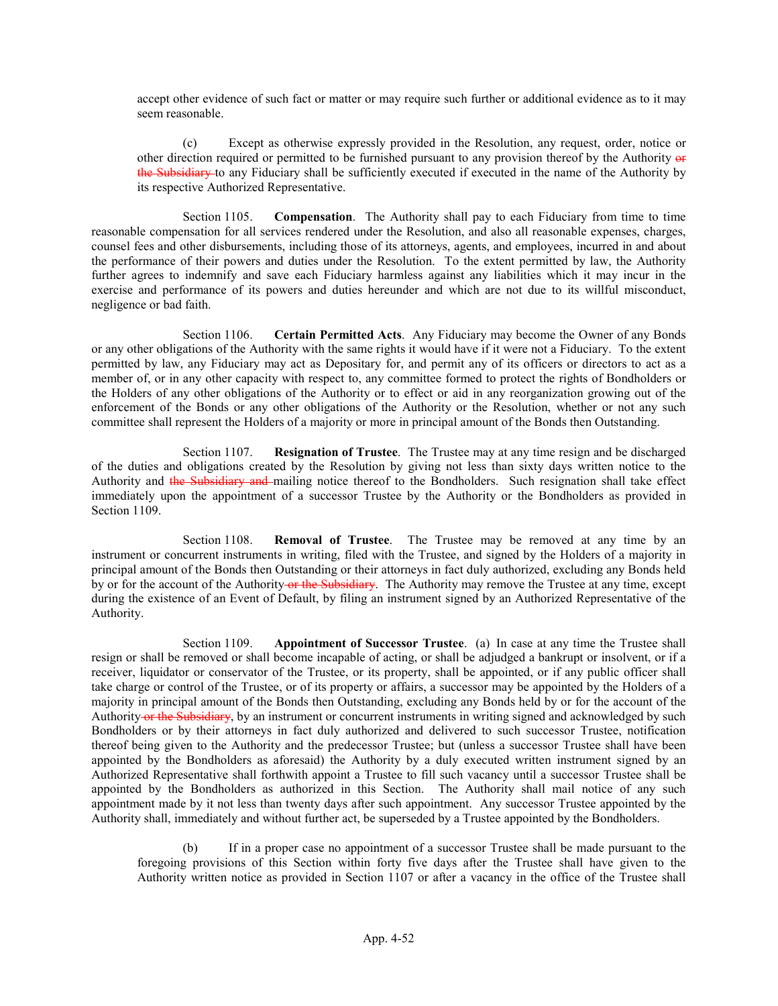accept other evidence of such fact or matter or may require such further or additional evidence as to it may seem reasonable.

(c) Except as otherwise expressly provided in the Resolution, any request, order, notice or other direction required or permitted to be furnished pursuant to any provision thereof by the Authority or the Subsidiary to any Fiduciary shall be sufficiently executed if executed in the name of the Authority by its respective Authorized Representative.

Section 1105. Compensation. The Authority shall pay to each Fiduciary from time to time reasonable compensation for all services rendered under the Resolution, and also all reasonable expenses, charges, counsel fees and other disbursements, including those of its attorneys, agents, and employees, incurred in and about the performance of their powers and duties under the Resolution. To the extent permitted by law, the Authority further agrees to indemnify and save each Fiduciary harmless against any liabilities which it may incur in the exercise and performance of its powers and duties hereunder and which are not due to its willful misconduct, negligence or bad faith.

Section 1106. Certain Permitted Acts. Any Fiduciary may become the Owner of any Bonds or any other obligations of the Authority with the same rights it would have if it were not a Fiduciary. To the extent permitted by law, any Fiduciary may act as Depositary for, and permit any of its officers or directors to act as a member of, or in any other capacity with respect to, any committee formed to protect the rights of Bondholders or the Holders of any other obligations of the Authority or to effect or aid in any reorganization growing out of the enforcement of the Bonds or any other obligations of the Authority or the Resolution, whether or not any such committee shall represent the Holders of a majority or more in principal amount of the Bonds then Outstanding.

Section 1107. Resignation of Trustee. The Trustee may at any time resign and be discharged of the duties and obligations created by the Resolution by giving not less than sixty days written notice to the Authority and the Subsidiary and mailing notice thereof to the Bondholders. Such resignation shall take effect immediately upon the appointment of a successor Trustee by the Authority or the Bondholders as provided in Section 1109.

Section 1108. **Removal of Trustee**. The Trustee may be removed at any time by an instrument or concurrent instruments in writing, filed with the Trustee, and signed by the Holders of a majority in principal amount of the Bonds then Outstanding or their attorneys in fact duly authorized, excluding any Bonds held by or for the account of the Authority or the Subsidiary. The Authority may remove the Trustee at any time, except during the existence of an Event of Default, by filing an instrument signed by an Authorized Representative of the Authority.

Section 1109. Appointment of Successor Trustee. (a) In case at any time the Trustee shall resign or shall be removed or shall become incapable of acting, or shall be adjudged a bankrupt or insolvent, or if a receiver, liquidator or conservator of the Trustee, or its property, shall be appointed, or if any public officer shall take charge or control of the Trustee, or of its property or affairs, a successor may be appointed by the Holders of a majority in principal amount of the Bonds then Outstanding, excluding any Bonds held by or for the account of the Authority or the Subsidiary, by an instrument or concurrent instruments in writing signed and acknowledged by such Bondholders or by their attorneys in fact duly authorized and delivered to such successor Trustee, notification thereof being given to the Authority and the predecessor Trustee; but (unless a successor Trustee shall have been appointed by the Bondholders as aforesaid) the Authority by a duly executed written instrument signed by an Authorized Representative shall forthwith appoint a Trustee to fill such vacancy until a successor Trustee shall be appointed by the Bondholders as authorized in this Section. The Authority shall mail notice of any such appointment made by it not less than twenty days after such appointment. Any successor Trustee appointed by the Authority shall, immediately and without further act, be superseded by a Trustee appointed by the Bondholders.

(b) If in a proper case no appointment of a successor Trustee shall be made pursuant to the foregoing provisions of this Section within forty five days after the Trustee shall have given to the Authority written notice as provided in Section 1107 or after a vacancy in the office of the Trustee shall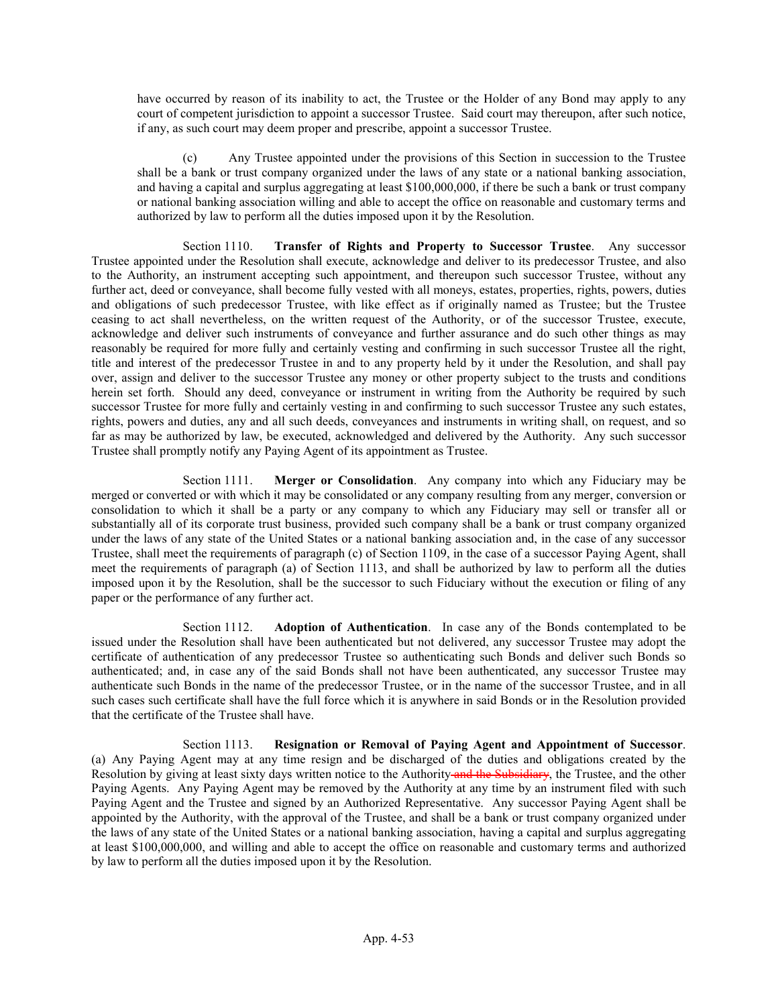have occurred by reason of its inability to act, the Trustee or the Holder of any Bond may apply to any court of competent jurisdiction to appoint a successor Trustee. Said court may thereupon, after such notice, if any, as such court may deem proper and prescribe, appoint a successor Trustee.

(c) Any Trustee appointed under the provisions of this Section in succession to the Trustee shall be a bank or trust company organized under the laws of any state or a national banking association, and having a capital and surplus aggregating at least \$100,000,000, if there be such a bank or trust company or national banking association willing and able to accept the office on reasonable and customary terms and authorized by law to perform all the duties imposed upon it by the Resolution.

Section 1110. Transfer of Rights and Property to Successor Trustee. Any successor Trustee appointed under the Resolution shall execute, acknowledge and deliver to its predecessor Trustee, and also to the Authority, an instrument accepting such appointment, and thereupon such successor Trustee, without any further act, deed or conveyance, shall become fully vested with all moneys, estates, properties, rights, powers, duties and obligations of such predecessor Trustee, with like effect as if originally named as Trustee; but the Trustee ceasing to act shall nevertheless, on the written request of the Authority, or of the successor Trustee, execute, acknowledge and deliver such instruments of conveyance and further assurance and do such other things as may reasonably be required for more fully and certainly vesting and confirming in such successor Trustee all the right, title and interest of the predecessor Trustee in and to any property held by it under the Resolution, and shall pay over, assign and deliver to the successor Trustee any money or other property subject to the trusts and conditions herein set forth. Should any deed, conveyance or instrument in writing from the Authority be required by such successor Trustee for more fully and certainly vesting in and confirming to such successor Trustee any such estates, rights, powers and duties, any and all such deeds, conveyances and instruments in writing shall, on request, and so far as may be authorized by law, be executed, acknowledged and delivered by the Authority. Any such successor Trustee shall promptly notify any Paying Agent of its appointment as Trustee.

Section 1111. Merger or Consolidation. Any company into which any Fiduciary may be merged or converted or with which it may be consolidated or any company resulting from any merger, conversion or consolidation to which it shall be a party or any company to which any Fiduciary may sell or transfer all or substantially all of its corporate trust business, provided such company shall be a bank or trust company organized under the laws of any state of the United States or a national banking association and, in the case of any successor Trustee, shall meet the requirements of paragraph (c) of Section 1109, in the case of a successor Paying Agent, shall meet the requirements of paragraph (a) of Section 1113, and shall be authorized by law to perform all the duties imposed upon it by the Resolution, shall be the successor to such Fiduciary without the execution or filing of any paper or the performance of any further act.

Section 1112. Adoption of Authentication. In case any of the Bonds contemplated to be issued under the Resolution shall have been authenticated but not delivered, any successor Trustee may adopt the certificate of authentication of any predecessor Trustee so authenticating such Bonds and deliver such Bonds so authenticated; and, in case any of the said Bonds shall not have been authenticated, any successor Trustee may authenticate such Bonds in the name of the predecessor Trustee, or in the name of the successor Trustee, and in all such cases such certificate shall have the full force which it is anywhere in said Bonds or in the Resolution provided that the certificate of the Trustee shall have.

Section 1113. Resignation or Removal of Paying Agent and Appointment of Successor. (a) Any Paying Agent may at any time resign and be discharged of the duties and obligations created by the Resolution by giving at least sixty days written notice to the Authority and the Subsidiary, the Trustee, and the other Paying Agents. Any Paying Agent may be removed by the Authority at any time by an instrument filed with such Paying Agent and the Trustee and signed by an Authorized Representative. Any successor Paying Agent shall be appointed by the Authority, with the approval of the Trustee, and shall be a bank or trust company organized under the laws of any state of the United States or a national banking association, having a capital and surplus aggregating at least \$100,000,000, and willing and able to accept the office on reasonable and customary terms and authorized by law to perform all the duties imposed upon it by the Resolution.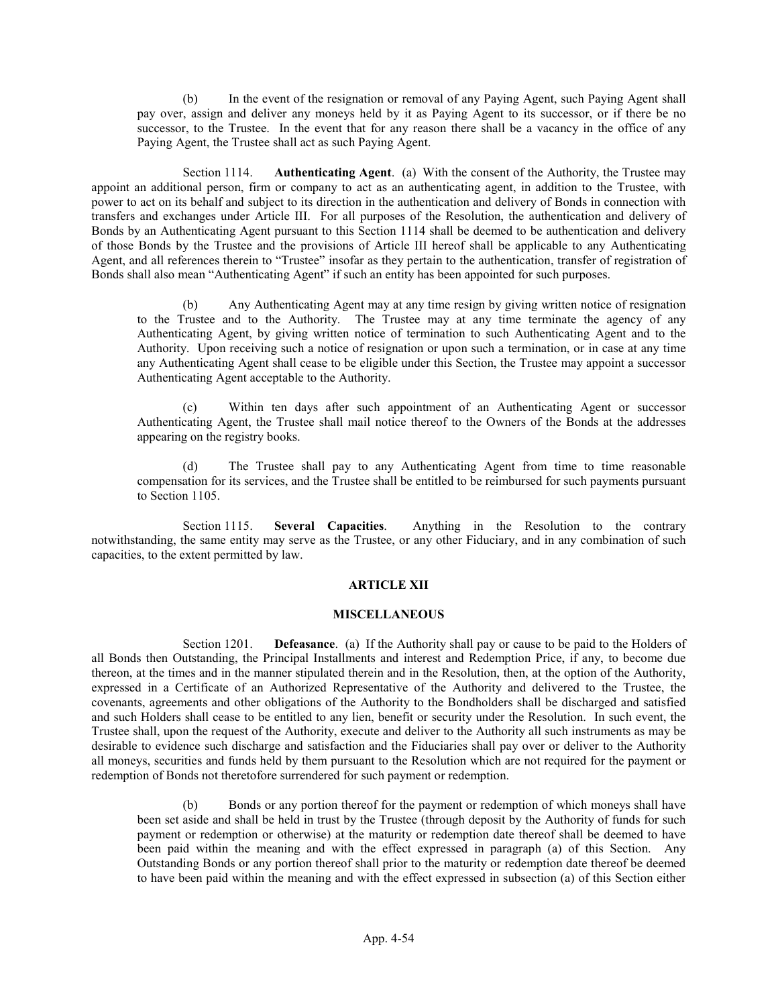(b) In the event of the resignation or removal of any Paying Agent, such Paying Agent shall pay over, assign and deliver any moneys held by it as Paying Agent to its successor, or if there be no successor, to the Trustee. In the event that for any reason there shall be a vacancy in the office of any Paying Agent, the Trustee shall act as such Paying Agent.

Section 1114. Authenticating Agent. (a) With the consent of the Authority, the Trustee may appoint an additional person, firm or company to act as an authenticating agent, in addition to the Trustee, with power to act on its behalf and subject to its direction in the authentication and delivery of Bonds in connection with transfers and exchanges under Article III. For all purposes of the Resolution, the authentication and delivery of Bonds by an Authenticating Agent pursuant to this Section 1114 shall be deemed to be authentication and delivery of those Bonds by the Trustee and the provisions of Article III hereof shall be applicable to any Authenticating Agent, and all references therein to "Trustee" insofar as they pertain to the authentication, transfer of registration of Bonds shall also mean "Authenticating Agent" if such an entity has been appointed for such purposes.

(b) Any Authenticating Agent may at any time resign by giving written notice of resignation to the Trustee and to the Authority. The Trustee may at any time terminate the agency of any Authenticating Agent, by giving written notice of termination to such Authenticating Agent and to the Authority. Upon receiving such a notice of resignation or upon such a termination, or in case at any time any Authenticating Agent shall cease to be eligible under this Section, the Trustee may appoint a successor Authenticating Agent acceptable to the Authority.

(c) Within ten days after such appointment of an Authenticating Agent or successor Authenticating Agent, the Trustee shall mail notice thereof to the Owners of the Bonds at the addresses appearing on the registry books.

(d) The Trustee shall pay to any Authenticating Agent from time to time reasonable compensation for its services, and the Trustee shall be entitled to be reimbursed for such payments pursuant to Section 1105.

Section 1115. Several Capacities. Anything in the Resolution to the contrary notwithstanding, the same entity may serve as the Trustee, or any other Fiduciary, and in any combination of such capacities, to the extent permitted by law.

### ARTICLE XII

#### **MISCELLANEOUS**

Section 1201. **Defeasance.** (a) If the Authority shall pay or cause to be paid to the Holders of all Bonds then Outstanding, the Principal Installments and interest and Redemption Price, if any, to become due thereon, at the times and in the manner stipulated therein and in the Resolution, then, at the option of the Authority, expressed in a Certificate of an Authorized Representative of the Authority and delivered to the Trustee, the covenants, agreements and other obligations of the Authority to the Bondholders shall be discharged and satisfied and such Holders shall cease to be entitled to any lien, benefit or security under the Resolution. In such event, the Trustee shall, upon the request of the Authority, execute and deliver to the Authority all such instruments as may be desirable to evidence such discharge and satisfaction and the Fiduciaries shall pay over or deliver to the Authority all moneys, securities and funds held by them pursuant to the Resolution which are not required for the payment or redemption of Bonds not theretofore surrendered for such payment or redemption.

(b) Bonds or any portion thereof for the payment or redemption of which moneys shall have been set aside and shall be held in trust by the Trustee (through deposit by the Authority of funds for such payment or redemption or otherwise) at the maturity or redemption date thereof shall be deemed to have been paid within the meaning and with the effect expressed in paragraph (a) of this Section. Any Outstanding Bonds or any portion thereof shall prior to the maturity or redemption date thereof be deemed to have been paid within the meaning and with the effect expressed in subsection (a) of this Section either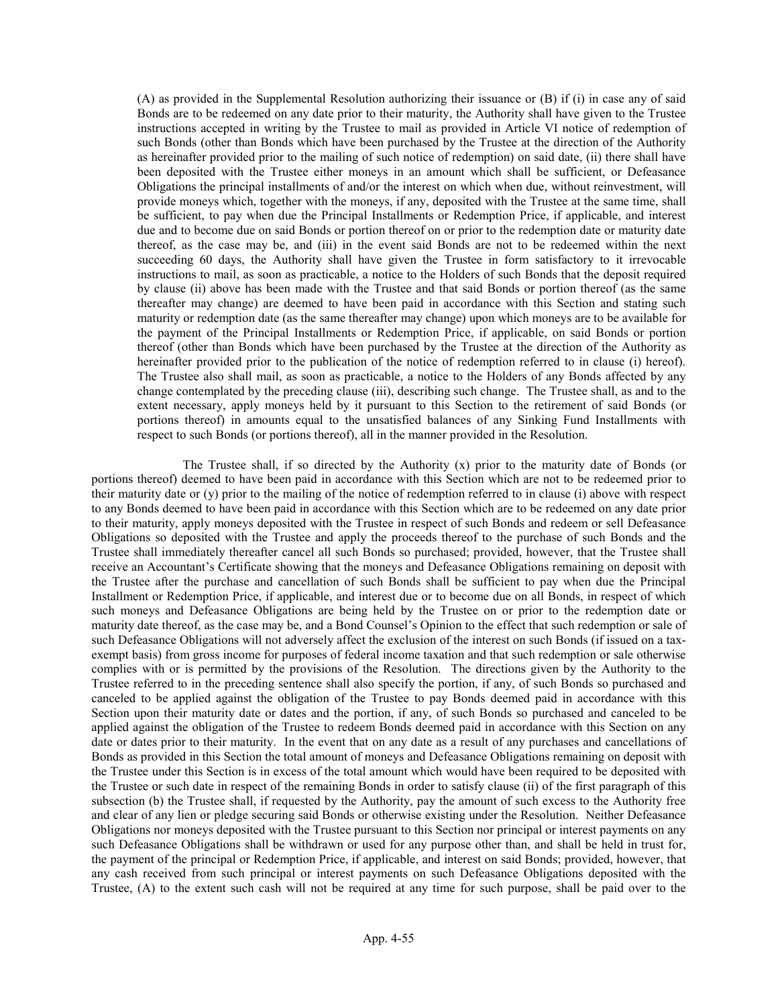(A) as provided in the Supplemental Resolution authorizing their issuance or (B) if (i) in case any of said Bonds are to be redeemed on any date prior to their maturity, the Authority shall have given to the Trustee instructions accepted in writing by the Trustee to mail as provided in Article VI notice of redemption of such Bonds (other than Bonds which have been purchased by the Trustee at the direction of the Authority as hereinafter provided prior to the mailing of such notice of redemption) on said date, (ii) there shall have been deposited with the Trustee either moneys in an amount which shall be sufficient, or Defeasance Obligations the principal installments of and/or the interest on which when due, without reinvestment, will provide moneys which, together with the moneys, if any, deposited with the Trustee at the same time, shall be sufficient, to pay when due the Principal Installments or Redemption Price, if applicable, and interest due and to become due on said Bonds or portion thereof on or prior to the redemption date or maturity date thereof, as the case may be, and (iii) in the event said Bonds are not to be redeemed within the next succeeding 60 days, the Authority shall have given the Trustee in form satisfactory to it irrevocable instructions to mail, as soon as practicable, a notice to the Holders of such Bonds that the deposit required by clause (ii) above has been made with the Trustee and that said Bonds or portion thereof (as the same thereafter may change) are deemed to have been paid in accordance with this Section and stating such maturity or redemption date (as the same thereafter may change) upon which moneys are to be available for the payment of the Principal Installments or Redemption Price, if applicable, on said Bonds or portion thereof (other than Bonds which have been purchased by the Trustee at the direction of the Authority as hereinafter provided prior to the publication of the notice of redemption referred to in clause (i) hereof). The Trustee also shall mail, as soon as practicable, a notice to the Holders of any Bonds affected by any change contemplated by the preceding clause (iii), describing such change. The Trustee shall, as and to the extent necessary, apply moneys held by it pursuant to this Section to the retirement of said Bonds (or portions thereof) in amounts equal to the unsatisfied balances of any Sinking Fund Installments with respect to such Bonds (or portions thereof), all in the manner provided in the Resolution.

The Trustee shall, if so directed by the Authority (x) prior to the maturity date of Bonds (or portions thereof) deemed to have been paid in accordance with this Section which are not to be redeemed prior to their maturity date or (y) prior to the mailing of the notice of redemption referred to in clause (i) above with respect to any Bonds deemed to have been paid in accordance with this Section which are to be redeemed on any date prior to their maturity, apply moneys deposited with the Trustee in respect of such Bonds and redeem or sell Defeasance Obligations so deposited with the Trustee and apply the proceeds thereof to the purchase of such Bonds and the Trustee shall immediately thereafter cancel all such Bonds so purchased; provided, however, that the Trustee shall receive an Accountant's Certificate showing that the moneys and Defeasance Obligations remaining on deposit with the Trustee after the purchase and cancellation of such Bonds shall be sufficient to pay when due the Principal Installment or Redemption Price, if applicable, and interest due or to become due on all Bonds, in respect of which such moneys and Defeasance Obligations are being held by the Trustee on or prior to the redemption date or maturity date thereof, as the case may be, and a Bond Counsel's Opinion to the effect that such redemption or sale of such Defeasance Obligations will not adversely affect the exclusion of the interest on such Bonds (if issued on a taxexempt basis) from gross income for purposes of federal income taxation and that such redemption or sale otherwise complies with or is permitted by the provisions of the Resolution. The directions given by the Authority to the Trustee referred to in the preceding sentence shall also specify the portion, if any, of such Bonds so purchased and canceled to be applied against the obligation of the Trustee to pay Bonds deemed paid in accordance with this Section upon their maturity date or dates and the portion, if any, of such Bonds so purchased and canceled to be applied against the obligation of the Trustee to redeem Bonds deemed paid in accordance with this Section on any date or dates prior to their maturity. In the event that on any date as a result of any purchases and cancellations of Bonds as provided in this Section the total amount of moneys and Defeasance Obligations remaining on deposit with the Trustee under this Section is in excess of the total amount which would have been required to be deposited with the Trustee or such date in respect of the remaining Bonds in order to satisfy clause (ii) of the first paragraph of this subsection (b) the Trustee shall, if requested by the Authority, pay the amount of such excess to the Authority free and clear of any lien or pledge securing said Bonds or otherwise existing under the Resolution. Neither Defeasance Obligations nor moneys deposited with the Trustee pursuant to this Section nor principal or interest payments on any such Defeasance Obligations shall be withdrawn or used for any purpose other than, and shall be held in trust for, the payment of the principal or Redemption Price, if applicable, and interest on said Bonds; provided, however, that any cash received from such principal or interest payments on such Defeasance Obligations deposited with the Trustee, (A) to the extent such cash will not be required at any time for such purpose, shall be paid over to the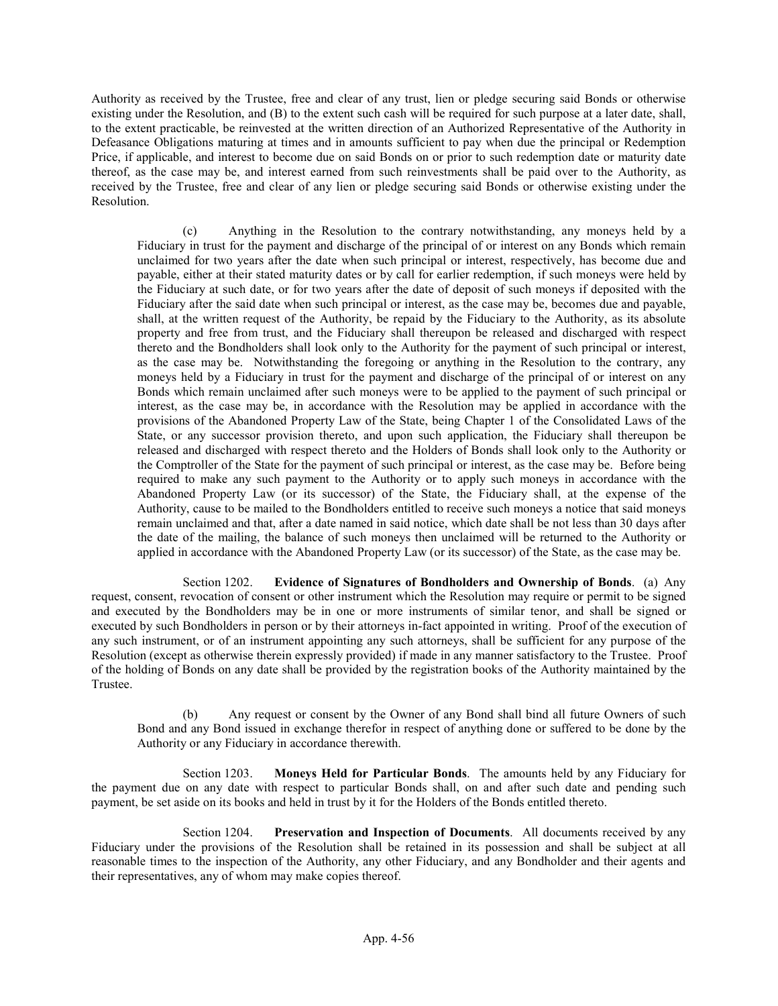Authority as received by the Trustee, free and clear of any trust, lien or pledge securing said Bonds or otherwise existing under the Resolution, and (B) to the extent such cash will be required for such purpose at a later date, shall, to the extent practicable, be reinvested at the written direction of an Authorized Representative of the Authority in Defeasance Obligations maturing at times and in amounts sufficient to pay when due the principal or Redemption Price, if applicable, and interest to become due on said Bonds on or prior to such redemption date or maturity date thereof, as the case may be, and interest earned from such reinvestments shall be paid over to the Authority, as received by the Trustee, free and clear of any lien or pledge securing said Bonds or otherwise existing under the Resolution.

(c) Anything in the Resolution to the contrary notwithstanding, any moneys held by a Fiduciary in trust for the payment and discharge of the principal of or interest on any Bonds which remain unclaimed for two years after the date when such principal or interest, respectively, has become due and payable, either at their stated maturity dates or by call for earlier redemption, if such moneys were held by the Fiduciary at such date, or for two years after the date of deposit of such moneys if deposited with the Fiduciary after the said date when such principal or interest, as the case may be, becomes due and payable, shall, at the written request of the Authority, be repaid by the Fiduciary to the Authority, as its absolute property and free from trust, and the Fiduciary shall thereupon be released and discharged with respect thereto and the Bondholders shall look only to the Authority for the payment of such principal or interest, as the case may be. Notwithstanding the foregoing or anything in the Resolution to the contrary, any moneys held by a Fiduciary in trust for the payment and discharge of the principal of or interest on any Bonds which remain unclaimed after such moneys were to be applied to the payment of such principal or interest, as the case may be, in accordance with the Resolution may be applied in accordance with the provisions of the Abandoned Property Law of the State, being Chapter 1 of the Consolidated Laws of the State, or any successor provision thereto, and upon such application, the Fiduciary shall thereupon be released and discharged with respect thereto and the Holders of Bonds shall look only to the Authority or the Comptroller of the State for the payment of such principal or interest, as the case may be. Before being required to make any such payment to the Authority or to apply such moneys in accordance with the Abandoned Property Law (or its successor) of the State, the Fiduciary shall, at the expense of the Authority, cause to be mailed to the Bondholders entitled to receive such moneys a notice that said moneys remain unclaimed and that, after a date named in said notice, which date shall be not less than 30 days after the date of the mailing, the balance of such moneys then unclaimed will be returned to the Authority or applied in accordance with the Abandoned Property Law (or its successor) of the State, as the case may be.

Section 1202. Evidence of Signatures of Bondholders and Ownership of Bonds. (a) Any request, consent, revocation of consent or other instrument which the Resolution may require or permit to be signed and executed by the Bondholders may be in one or more instruments of similar tenor, and shall be signed or executed by such Bondholders in person or by their attorneys in-fact appointed in writing. Proof of the execution of any such instrument, or of an instrument appointing any such attorneys, shall be sufficient for any purpose of the Resolution (except as otherwise therein expressly provided) if made in any manner satisfactory to the Trustee. Proof of the holding of Bonds on any date shall be provided by the registration books of the Authority maintained by the Trustee.

(b) Any request or consent by the Owner of any Bond shall bind all future Owners of such Bond and any Bond issued in exchange therefor in respect of anything done or suffered to be done by the Authority or any Fiduciary in accordance therewith.

Section 1203. Moneys Held for Particular Bonds. The amounts held by any Fiduciary for the payment due on any date with respect to particular Bonds shall, on and after such date and pending such payment, be set aside on its books and held in trust by it for the Holders of the Bonds entitled thereto.

Section 1204. Preservation and Inspection of Documents. All documents received by any Fiduciary under the provisions of the Resolution shall be retained in its possession and shall be subject at all reasonable times to the inspection of the Authority, any other Fiduciary, and any Bondholder and their agents and their representatives, any of whom may make copies thereof.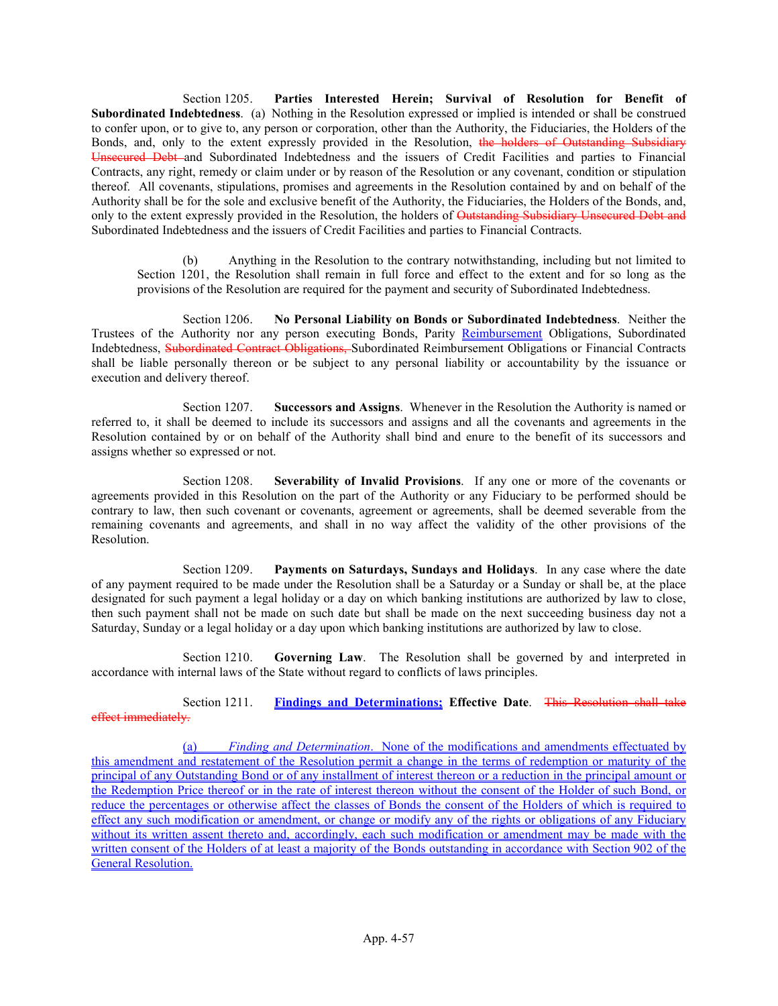Section 1205. Parties Interested Herein; Survival of Resolution for Benefit of Subordinated Indebtedness. (a) Nothing in the Resolution expressed or implied is intended or shall be construed to confer upon, or to give to, any person or corporation, other than the Authority, the Fiduciaries, the Holders of the Bonds, and, only to the extent expressly provided in the Resolution, the holders of Outstanding Subsidiary Unsecured Debt and Subordinated Indebtedness and the issuers of Credit Facilities and parties to Financial Contracts, any right, remedy or claim under or by reason of the Resolution or any covenant, condition or stipulation thereof. All covenants, stipulations, promises and agreements in the Resolution contained by and on behalf of the Authority shall be for the sole and exclusive benefit of the Authority, the Fiduciaries, the Holders of the Bonds, and, only to the extent expressly provided in the Resolution, the holders of Outstanding Subsidiary Unsecured Debt and Subordinated Indebtedness and the issuers of Credit Facilities and parties to Financial Contracts.

(b) Anything in the Resolution to the contrary notwithstanding, including but not limited to Section 1201, the Resolution shall remain in full force and effect to the extent and for so long as the provisions of the Resolution are required for the payment and security of Subordinated Indebtedness.

Section 1206. No Personal Liability on Bonds or Subordinated Indebtedness. Neither the Trustees of the Authority nor any person executing Bonds, Parity Reimbursement Obligations, Subordinated Indebtedness, Subordinated Contract Obligations, Subordinated Reimbursement Obligations or Financial Contracts shall be liable personally thereon or be subject to any personal liability or accountability by the issuance or execution and delivery thereof.

Section 1207. Successors and Assigns. Whenever in the Resolution the Authority is named or referred to, it shall be deemed to include its successors and assigns and all the covenants and agreements in the Resolution contained by or on behalf of the Authority shall bind and enure to the benefit of its successors and assigns whether so expressed or not.

Section 1208. Severability of Invalid Provisions. If any one or more of the covenants or agreements provided in this Resolution on the part of the Authority or any Fiduciary to be performed should be contrary to law, then such covenant or covenants, agreement or agreements, shall be deemed severable from the remaining covenants and agreements, and shall in no way affect the validity of the other provisions of the Resolution.

Section 1209. Payments on Saturdays, Sundays and Holidays. In any case where the date of any payment required to be made under the Resolution shall be a Saturday or a Sunday or shall be, at the place designated for such payment a legal holiday or a day on which banking institutions are authorized by law to close, then such payment shall not be made on such date but shall be made on the next succeeding business day not a Saturday, Sunday or a legal holiday or a day upon which banking institutions are authorized by law to close.

Section 1210. Governing Law. The Resolution shall be governed by and interpreted in accordance with internal laws of the State without regard to conflicts of laws principles.

Section 1211. Findings and Determinations: Effective Date. This Resolution shall take effect immediately.

(a) Finding and Determination. None of the modifications and amendments effectuated by this amendment and restatement of the Resolution permit a change in the terms of redemption or maturity of the principal of any Outstanding Bond or of any installment of interest thereon or a reduction in the principal amount or the Redemption Price thereof or in the rate of interest thereon without the consent of the Holder of such Bond, or reduce the percentages or otherwise affect the classes of Bonds the consent of the Holders of which is required to effect any such modification or amendment, or change or modify any of the rights or obligations of any Fiduciary without its written assent thereto and, accordingly, each such modification or amendment may be made with the written consent of the Holders of at least a majority of the Bonds outstanding in accordance with Section 902 of the General Resolution.